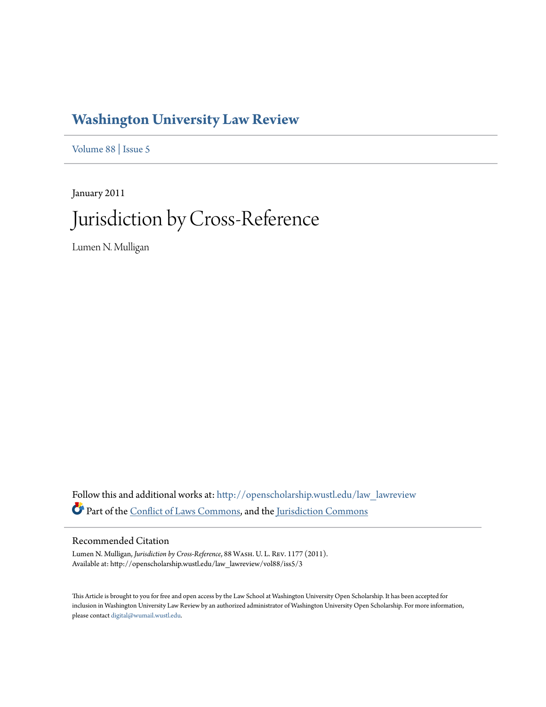# **[Washington University Law Review](http://openscholarship.wustl.edu/law_lawreview?utm_source=openscholarship.wustl.edu%2Flaw_lawreview%2Fvol88%2Fiss5%2F3&utm_medium=PDF&utm_campaign=PDFCoverPages)**

[Volume 88](http://openscholarship.wustl.edu/law_lawreview/vol88?utm_source=openscholarship.wustl.edu%2Flaw_lawreview%2Fvol88%2Fiss5%2F3&utm_medium=PDF&utm_campaign=PDFCoverPages) | [Issue 5](http://openscholarship.wustl.edu/law_lawreview/vol88/iss5?utm_source=openscholarship.wustl.edu%2Flaw_lawreview%2Fvol88%2Fiss5%2F3&utm_medium=PDF&utm_campaign=PDFCoverPages)

January 2011 Jurisdiction by Cross-Reference

Lumen N. Mulligan

Follow this and additional works at: [http://openscholarship.wustl.edu/law\\_lawreview](http://openscholarship.wustl.edu/law_lawreview?utm_source=openscholarship.wustl.edu%2Flaw_lawreview%2Fvol88%2Fiss5%2F3&utm_medium=PDF&utm_campaign=PDFCoverPages) Part of the [Conflict of Laws Commons,](http://network.bepress.com/hgg/discipline/588?utm_source=openscholarship.wustl.edu%2Flaw_lawreview%2Fvol88%2Fiss5%2F3&utm_medium=PDF&utm_campaign=PDFCoverPages) and the [Jurisdiction Commons](http://network.bepress.com/hgg/discipline/850?utm_source=openscholarship.wustl.edu%2Flaw_lawreview%2Fvol88%2Fiss5%2F3&utm_medium=PDF&utm_campaign=PDFCoverPages)

# Recommended Citation

Lumen N. Mulligan, *Jurisdiction by Cross-Reference*, 88 Wash. U. L. Rev. 1177 (2011). Available at: http://openscholarship.wustl.edu/law\_lawreview/vol88/iss5/3

This Article is brought to you for free and open access by the Law School at Washington University Open Scholarship. It has been accepted for inclusion in Washington University Law Review by an authorized administrator of Washington University Open Scholarship. For more information, please contact [digital@wumail.wustl.edu.](mailto:digital@wumail.wustl.edu)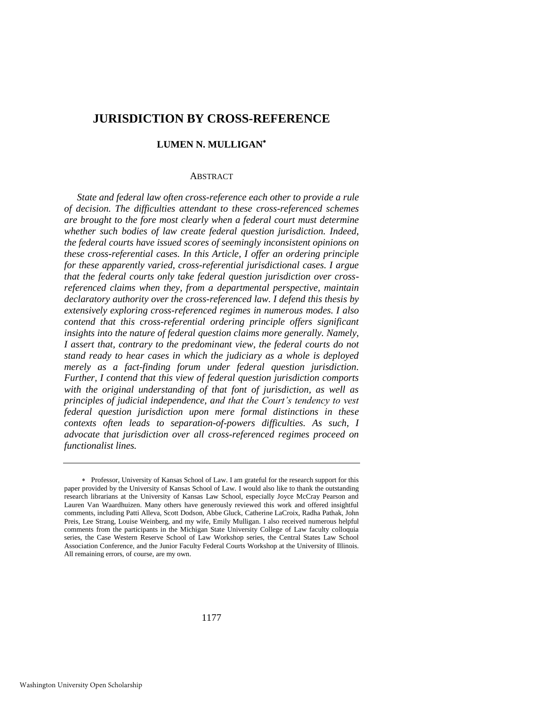# **JURISDICTION BY CROSS-REFERENCE**

# **LUMEN N. MULLIGAN**

#### ABSTRACT

*State and federal law often cross-reference each other to provide a rule of decision. The difficulties attendant to these cross-referenced schemes are brought to the fore most clearly when a federal court must determine whether such bodies of law create federal question jurisdiction. Indeed, the federal courts have issued scores of seemingly inconsistent opinions on these cross-referential cases. In this Article, I offer an ordering principle for these apparently varied, cross-referential jurisdictional cases. I argue that the federal courts only take federal question jurisdiction over crossreferenced claims when they, from a departmental perspective, maintain declaratory authority over the cross-referenced law. I defend this thesis by extensively exploring cross-referenced regimes in numerous modes. I also contend that this cross-referential ordering principle offers significant insights into the nature of federal question claims more generally. Namely, I assert that, contrary to the predominant view, the federal courts do not stand ready to hear cases in which the judiciary as a whole is deployed merely as a fact-finding forum under federal question jurisdiction. Further, I contend that this view of federal question jurisdiction comports with the original understanding of that font of jurisdiction, as well as principles of judicial independence, and that the Court's tendency to vest federal question jurisdiction upon mere formal distinctions in these contexts often leads to separation-of-powers difficulties. As such, I advocate that jurisdiction over all cross-referenced regimes proceed on functionalist lines.* 

Professor, University of Kansas School of Law. I am grateful for the research support for this paper provided by the University of Kansas School of Law. I would also like to thank the outstanding research librarians at the University of Kansas Law School, especially Joyce McCray Pearson and Lauren Van Waardhuizen. Many others have generously reviewed this work and offered insightful comments, including Patti Alleva, Scott Dodson, Abbe Gluck, Catherine LaCroix, Radha Pathak, John Preis, Lee Strang, Louise Weinberg, and my wife, Emily Mulligan. I also received numerous helpful comments from the participants in the Michigan State University College of Law faculty colloquia series, the Case Western Reserve School of Law Workshop series, the Central States Law School Association Conference, and the Junior Faculty Federal Courts Workshop at the University of Illinois. All remaining errors, of course, are my own.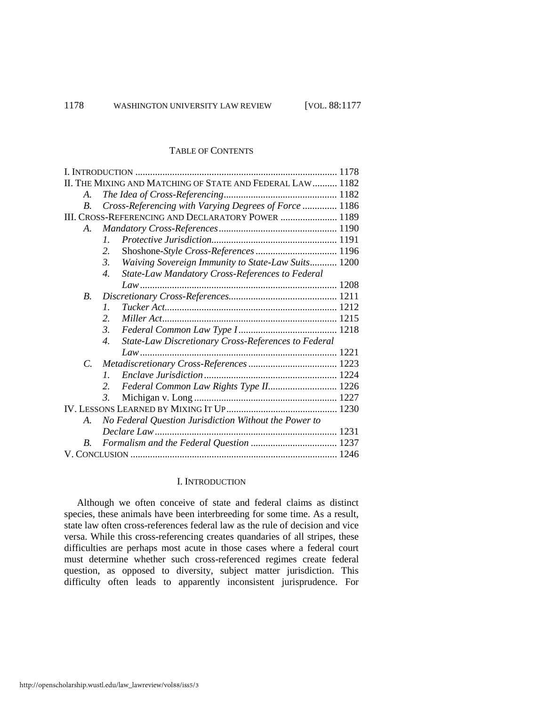#### TABLE OF CONTENTS

| II. THE MIXING AND MATCHING OF STATE AND FEDERAL LAW  1182 |                                                                                     |  |
|------------------------------------------------------------|-------------------------------------------------------------------------------------|--|
| A.                                                         |                                                                                     |  |
| <i>B</i> .                                                 | Cross-Referencing with Varying Degrees of Force  1186                               |  |
| III. CROSS-REFERENCING AND DECLARATORY POWER  1189         |                                                                                     |  |
| $A_{-}$                                                    |                                                                                     |  |
|                                                            | $\mathcal{I}$                                                                       |  |
|                                                            | 2.                                                                                  |  |
|                                                            | Waiving Sovereign Immunity to State-Law Suits 1200<br>3.                            |  |
|                                                            | State-Law Mandatory Cross-References to Federal<br>$\overline{4}$ .                 |  |
|                                                            |                                                                                     |  |
| <i>B</i> .                                                 |                                                                                     |  |
|                                                            | $\mathcal{I}$ .                                                                     |  |
|                                                            | $\overline{2}$ .                                                                    |  |
|                                                            | 3.                                                                                  |  |
|                                                            | <b>State-Law Discretionary Cross-References to Federal</b><br>$\mathcal{A}_{\cdot}$ |  |
|                                                            |                                                                                     |  |
| $C_{\cdot}$                                                |                                                                                     |  |
|                                                            | $\mathcal{I}$                                                                       |  |
|                                                            | Federal Common Law Rights Type II 1226                                              |  |
|                                                            | 3.                                                                                  |  |
|                                                            |                                                                                     |  |
| $A_{\cdot}$                                                | No Federal Question Jurisdiction Without the Power to                               |  |
|                                                            |                                                                                     |  |
| B.                                                         |                                                                                     |  |
|                                                            |                                                                                     |  |

# I. INTRODUCTION

Although we often conceive of state and federal claims as distinct species, these animals have been interbreeding for some time. As a result, state law often cross-references federal law as the rule of decision and vice versa. While this cross-referencing creates quandaries of all stripes, these difficulties are perhaps most acute in those cases where a federal court must determine whether such cross-referenced regimes create federal question, as opposed to diversity, subject matter jurisdiction. This difficulty often leads to apparently inconsistent jurisprudence. For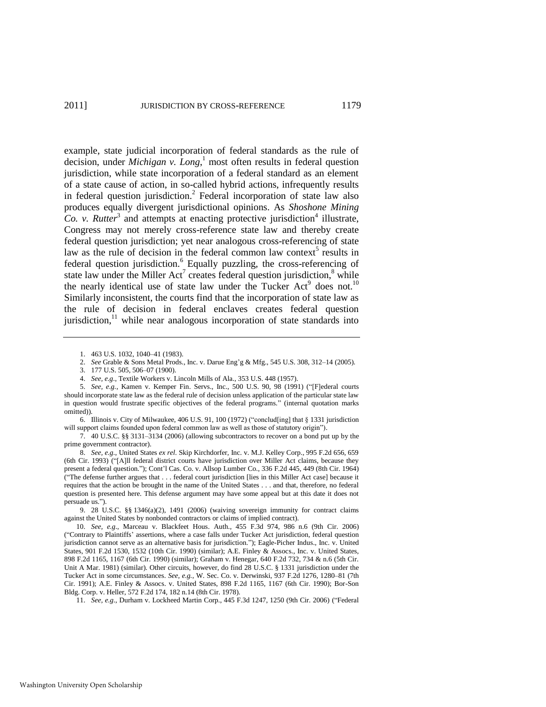example, state judicial incorporation of federal standards as the rule of decision, under *Michigan v. Long*, 1 most often results in federal question jurisdiction, while state incorporation of a federal standard as an element of a state cause of action, in so-called hybrid actions, infrequently results in federal question jurisdiction.<sup>2</sup> Federal incorporation of state law also produces equally divergent jurisdictional opinions. As *Shoshone Mining*   $Co.$  v.  $Rutter^3$  and attempts at enacting protective jurisdiction<sup>4</sup> illustrate, Congress may not merely cross-reference state law and thereby create federal question jurisdiction; yet near analogous cross-referencing of state law as the rule of decision in the federal common law context<sup>5</sup> results in federal question jurisdiction.<sup>6</sup> Equally puzzling, the cross-referencing of state law under the Miller  $Act^7$  creates federal question jurisdiction, $8$  while the nearly identical use of state law under the Tucker Act<sup>9</sup> does not.<sup>10</sup> Similarly inconsistent, the courts find that the incorporation of state law as the rule of decision in federal enclaves creates federal question jurisdiction, $11$  while near analogous incorporation of state standards into

8. *See, e.g*., United States *ex rel.* Skip Kirchdorfer, Inc. v. M.J. Kelley Corp., 995 F.2d 656, 659 (6th Cir. 1993) ("[A]ll federal district courts have jurisdiction over Miller Act claims, because they present a federal question."); Cont'l Cas. Co. v. Allsop Lumber Co., 336 F.2d 445, 449 (8th Cir. 1964) (―The defense further argues that . . . federal court jurisdiction [lies in this Miller Act case] because it requires that the action be brought in the name of the United States . . . and that, therefore, no federal question is presented here. This defense argument may have some appeal but at this date it does not persuade us.").

9. 28 U.S.C. §§ 1346(a)(2), 1491 (2006) (waiving sovereign immunity for contract claims against the United States by nonbonded contractors or claims of implied contract).

<sup>1. 463</sup> U.S. 1032, 1040–41 (1983).

<sup>2.</sup> *See* Grable & Sons Metal Prods., Inc. v. Darue Eng'g & Mfg., 545 U.S. 308, 312–14 (2005).

<sup>3. 177</sup> U.S. 505, 506–07 (1900).

<sup>4.</sup> *See, e.g*., Textile Workers v. Lincoln Mills of Ala., 353 U.S. 448 (1957).

<sup>5.</sup> *See, e.g.*, Kamen v. Kemper Fin. Servs., Inc., 500 U.S. 90, 98 (1991) ("[F]ederal courts should incorporate state law as the federal rule of decision unless application of the particular state law in question would frustrate specific objectives of the federal programs." (internal quotation marks omitted)).

<sup>6.</sup> Illinois v. City of Milwaukee, 406 U.S. 91, 100 (1972) ("conclud[ing] that  $\S$  1331 jurisdiction will support claims founded upon federal common law as well as those of statutory origin").

<sup>7. 40</sup> U.S.C. §§ 3131–3134 (2006) (allowing subcontractors to recover on a bond put up by the prime government contractor).

<sup>10.</sup> *See, e.g*., Marceau v. Blackfeet Hous. Auth., 455 F.3d 974, 986 n.6 (9th Cir. 2006) (―Contrary to Plaintiffs' assertions, where a case falls under Tucker Act jurisdiction, federal question jurisdiction cannot serve as an alternative basis for jurisdiction."); Eagle-Picher Indus., Inc. v. United States, 901 F.2d 1530, 1532 (10th Cir. 1990) (similar); A.E. Finley & Assocs., Inc. v. United States, 898 F.2d 1165, 1167 (6th Cir. 1990) (similar); Graham v. Henegar, 640 F.2d 732, 734 & n.6 (5th Cir. Unit A Mar. 1981) (similar). Other circuits, however, do find 28 U.S.C. § 1331 jurisdiction under the Tucker Act in some circumstances. *See, e.g.*, W. Sec. Co. v. Derwinski, 937 F.2d 1276, 1280–81 (7th Cir. 1991); A.E. Finley & Assocs. v. United States, 898 F.2d 1165, 1167 (6th Cir. 1990); Bor-Son Bldg. Corp. v. Heller, 572 F.2d 174, 182 n.14 (8th Cir. 1978).

<sup>11.</sup> *See, e.g.*, Durham v. Lockheed Martin Corp., 445 F.3d 1247, 1250 (9th Cir. 2006) ("Federal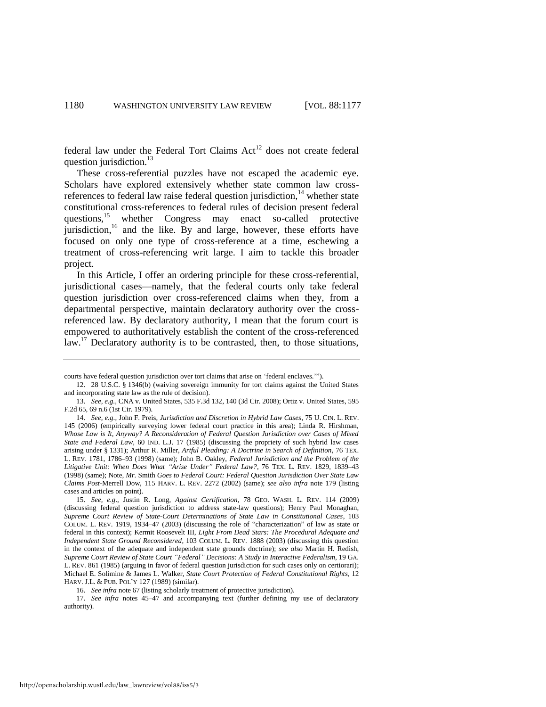federal law under the Federal Tort Claims  $Act^{12}$  does not create federal question jurisdiction.<sup>13</sup>

<span id="page-4-0"></span>These cross-referential puzzles have not escaped the academic eye. Scholars have explored extensively whether state common law crossreferences to federal law raise federal question jurisdiction, $14$  whether state constitutional cross-references to federal rules of decision present federal questions,<sup>15</sup> whether Congress may enact so-called protective jurisdiction,<sup>16</sup> and the like. By and large, however, these efforts have focused on only one type of cross-reference at a time, eschewing a treatment of cross-referencing writ large. I aim to tackle this broader project.

In this Article, I offer an ordering principle for these cross-referential, jurisdictional cases—namely, that the federal courts only take federal question jurisdiction over cross-referenced claims when they, from a departmental perspective, maintain declaratory authority over the crossreferenced law. By declaratory authority, I mean that the forum court is empowered to authoritatively establish the content of the cross-referenced law.<sup>17</sup> Declaratory authority is to be contrasted, then, to those situations,

17. *See infra* notes [45–](#page-10-0)[47](#page-10-1) and accompanying text (further defining my use of declaratory authority).

courts have federal question jurisdiction over tort claims that arise on 'federal enclaves.'").

<sup>12. 28</sup> U.S.C. § 1346(b) (waiving sovereign immunity for tort claims against the United States and incorporating state law as the rule of decision).

<sup>13.</sup> *See, e.g*., CNA v. United States, 535 F.3d 132, 140 (3d Cir. 2008); Ortiz v. United States, 595 F.2d 65, 69 n.6 (1st Cir. 1979).

<sup>14.</sup> *See, e.g*., John F. Preis, *Jurisdiction and Discretion in Hybrid Law Cases*, 75 U. CIN. L. REV. 145 (2006) (empirically surveying lower federal court practice in this area); Linda R. Hirshman, *Whose Law is It, Anyway? A Reconsideration of Federal Question Jurisdiction over Cases of Mixed State and Federal Law*, 60 IND. L.J. 17 (1985) (discussing the propriety of such hybrid law cases arising under § 1331); Arthur R. Miller, *Artful Pleading: A Doctrine in Search of Definition*, 76 TEX. L. REV. 1781, 1786–93 (1998) (same); John B. Oakley, *Federal Jurisdiction and the Problem of the Litigative Unit: When Does What "Arise Under" Federal Law?*, 76 TEX. L. REV. 1829, 1839–43 (1998) (same); Note, *Mr.* Smith *Goes to Federal Court: Federal Question Jurisdiction Over State Law Claims Post-*Merrell Dow, 115 HARV. L. REV. 2272 (2002) (same); *see also infra* note 179 (listing cases and articles on point).

<sup>15.</sup> *See, e.g*., Justin R. Long, *Against Certification*, 78 GEO. WASH. L. REV. 114 (2009) (discussing federal question jurisdiction to address state-law questions); Henry Paul Monaghan, *Supreme Court Review of State-Court Determinations of State Law in Constitutional Cases*, 103 COLUM. L. REV. 1919, 1934–47 (2003) (discussing the role of "characterization" of law as state or federal in this context); Kermit Roosevelt III, *Light From Dead Stars: The Procedural Adequate and Independent State Ground Reconsidered*, 103 COLUM. L. REV. 1888 (2003) (discussing this question in the context of the adequate and independent state grounds doctrine); *see also* Martin H. Redish, *Supreme Court Review of State Court "Federal" Decisions: A Study in Interactive Federalism*, 19 GA. L. REV. 861 (1985) (arguing in favor of federal question jurisdiction for such cases only on certiorari); Michael E. Solimine & James L. Walker, *State Court Protection of Federal Constitutional Rights*, 12 HARV. J.L. & PUB. POL'Y 127 (1989) (similar).

<sup>16.</sup> *See infra* note 67 (listing scholarly treatment of protective jurisdiction).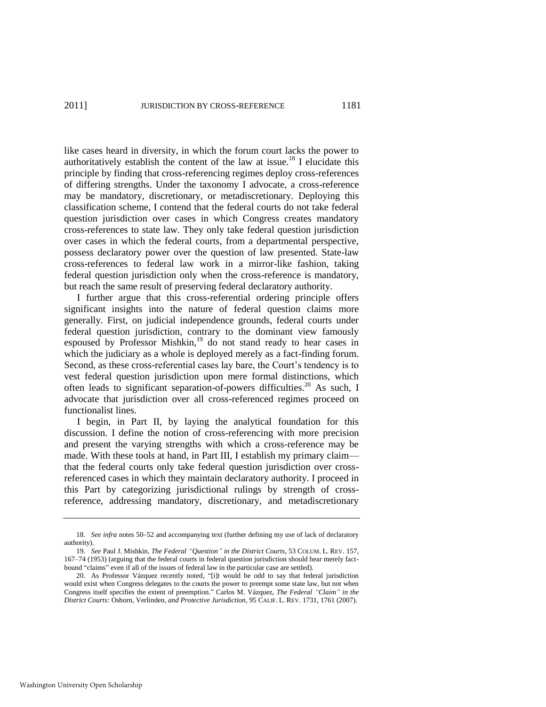like cases heard in diversity, in which the forum court lacks the power to authoritatively establish the content of the law at issue.<sup>18</sup> I elucidate this principle by finding that cross-referencing regimes deploy cross-references of differing strengths. Under the taxonomy I advocate, a cross-reference may be mandatory, discretionary, or metadiscretionary. Deploying this classification scheme, I contend that the federal courts do not take federal question jurisdiction over cases in which Congress creates mandatory cross-references to state law. They only take federal question jurisdiction over cases in which the federal courts, from a departmental perspective, possess declaratory power over the question of law presented. State-law cross-references to federal law work in a mirror-like fashion, taking federal question jurisdiction only when the cross-reference is mandatory, but reach the same result of preserving federal declaratory authority.

I further argue that this cross-referential ordering principle offers significant insights into the nature of federal question claims more generally. First, on judicial independence grounds, federal courts under federal question jurisdiction, contrary to the dominant view famously espoused by Professor Mishkin,<sup>19</sup> do not stand ready to hear cases in which the judiciary as a whole is deployed merely as a fact-finding forum. Second, as these cross-referential cases lay bare, the Court's tendency is to vest federal question jurisdiction upon mere formal distinctions, which often leads to significant separation-of-powers difficulties.<sup>20</sup> As such, I advocate that jurisdiction over all cross-referenced regimes proceed on functionalist lines.

I begin, in Part II, by laying the analytical foundation for this discussion. I define the notion of cross-referencing with more precision and present the varying strengths with which a cross-reference may be made. With these tools at hand, in Part III, I establish my primary claim that the federal courts only take federal question jurisdiction over crossreferenced cases in which they maintain declaratory authority. I proceed in this Part by categorizing jurisdictional rulings by strength of crossreference, addressing mandatory, discretionary, and metadiscretionary

<sup>18.</sup> *See infra* note[s 50](#page-10-2)[–52 a](#page-11-0)nd accompanying text (further defining my use of lack of declaratory authority).

<sup>19.</sup> *See* Paul J. Mishkin, *The Federal "Question" in the District Courts*, 53 COLUM. L. REV. 157, 167–74 (1953) (arguing that the federal courts in federal question jurisdiction should hear merely factbound "claims" even if all of the issues of federal law in the particular case are settled).

<sup>20.</sup> As Professor Vázquez recently noted, "[i]t would be odd to say that federal jurisdiction would exist when Congress delegates to the courts the power to preempt some state law, but not when Congress itself specifies the extent of preemption.‖ Carlos M. Vázquez, *The Federal "Claim" in the District Courts:* Osborn*,* Verlinden*, and Protective Jurisdiction*, 95 CALIF. L. REV. 1731, 1761 (2007).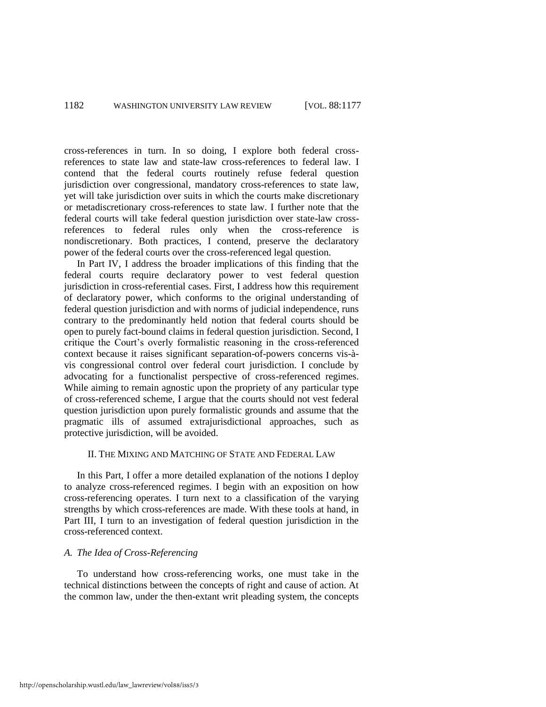cross-references in turn. In so doing, I explore both federal crossreferences to state law and state-law cross-references to federal law. I contend that the federal courts routinely refuse federal question jurisdiction over congressional, mandatory cross-references to state law, yet will take jurisdiction over suits in which the courts make discretionary or metadiscretionary cross-references to state law. I further note that the federal courts will take federal question jurisdiction over state-law crossreferences to federal rules only when the cross-reference is nondiscretionary. Both practices, I contend, preserve the declaratory power of the federal courts over the cross-referenced legal question.

In Part IV, I address the broader implications of this finding that the federal courts require declaratory power to vest federal question jurisdiction in cross-referential cases. First, I address how this requirement of declaratory power, which conforms to the original understanding of federal question jurisdiction and with norms of judicial independence, runs contrary to the predominantly held notion that federal courts should be open to purely fact-bound claims in federal question jurisdiction. Second, I critique the Court's overly formalistic reasoning in the cross-referenced context because it raises significant separation-of-powers concerns vis-àvis congressional control over federal court jurisdiction. I conclude by advocating for a functionalist perspective of cross-referenced regimes. While aiming to remain agnostic upon the propriety of any particular type of cross-referenced scheme, I argue that the courts should not vest federal question jurisdiction upon purely formalistic grounds and assume that the pragmatic ills of assumed extrajurisdictional approaches, such as protective jurisdiction, will be avoided.

## II. THE MIXING AND MATCHING OF STATE AND FEDERAL LAW

In this Part, I offer a more detailed explanation of the notions I deploy to analyze cross-referenced regimes. I begin with an exposition on how cross-referencing operates. I turn next to a classification of the varying strengths by which cross-references are made. With these tools at hand, in Part III, I turn to an investigation of federal question jurisdiction in the cross-referenced context.

## *A. The Idea of Cross-Referencing*

To understand how cross-referencing works, one must take in the technical distinctions between the concepts of right and cause of action. At the common law, under the then-extant writ pleading system, the concepts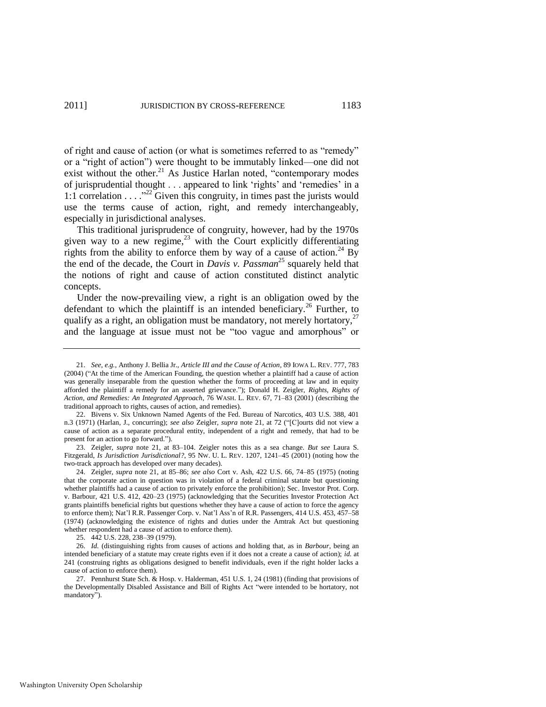<span id="page-7-0"></span>of right and cause of action (or what is sometimes referred to as "remedy" or a "right of action") were thought to be immutably linked—one did not exist without the other.<sup>21</sup> As Justice Harlan noted, "contemporary modes of jurisprudential thought . . . appeared to link 'rights' and 'remedies' in a 1:1 correlation  $\dots$ <sup>22</sup> Given this congruity, in times past the jurists would use the terms cause of action, right, and remedy interchangeably, especially in jurisdictional analyses.

<span id="page-7-3"></span><span id="page-7-1"></span>This traditional jurisprudence of congruity, however, had by the 1970s given way to a new regime,  $2^3$  with the Court explicitly differentiating rights from the ability to enforce them by way of a cause of action.<sup>24</sup> By the end of the decade, the Court in *Davis v. Passman*<sup>25</sup> squarely held that the notions of right and cause of action constituted distinct analytic concepts.

<span id="page-7-2"></span>Under the now-prevailing view, a right is an obligation owed by the defendant to which the plaintiff is an intended beneficiary.<sup>26</sup> Further, to qualify as a right, an obligation must be mandatory, not merely hortatory, $27$ and the language at issue must not be "too vague and amorphous" or

22. Bivens v. Six Unknown Named Agents of the Fed. Bureau of Narcotics, 403 U.S. 388, 401 n.3 (1971) (Harlan, J., concurring); *see also* Zeigler, *supra* note 21, at 72 ("[C]ourts did not view a cause of action as a separate procedural entity, independent of a right and remedy, that had to be present for an action to go forward.").

23. Zeigler, *supra* note [21,](#page-7-0) at 83–104. Zeigler notes this as a sea change. *But see* Laura S. Fitzgerald, *Is Jurisdiction Jurisdictional?*, 95 NW. U. L. REV. 1207, 1241–45 (2001) (noting how the two-track approach has developed over many decades).

24. Zeigler, *supra* note 21, at 85–86; *see also* Cort v. Ash, 422 U.S. 66, 74–85 (1975) (noting that the corporate action in question was in violation of a federal criminal statute but questioning whether plaintiffs had a cause of action to privately enforce the prohibition); Sec. Investor Prot. Corp. v. Barbour, 421 U.S. 412, 420–23 (1975) (acknowledging that the Securities Investor Protection Act grants plaintiffs beneficial rights but questions whether they have a cause of action to force the agency to enforce them); Nat'l R.R. Passenger Corp. v. Nat'l Ass'n of R.R. Passengers, 414 U.S. 453, 457–58 (1974) (acknowledging the existence of rights and duties under the Amtrak Act but questioning whether respondent had a cause of action to enforce them).

25. 442 U.S. 228, 238–39 (1979).

26. *Id.* (distinguishing rights from causes of actions and holding that, as in *Barbour*, being an intended beneficiary of a statute may create rights even if it does not a create a cause of action); *id.* at 241 (construing rights as obligations designed to benefit individuals, even if the right holder lacks a cause of action to enforce them).

27. Pennhurst State Sch. & Hosp. v. Halderman, 451 U.S. 1, 24 (1981) (finding that provisions of the Developmentally Disabled Assistance and Bill of Rights Act "were intended to be hortatory, not mandatory").

<sup>21.</sup> *See*, *e.g.*, Anthony J. Bellia Jr., *Article III and the Cause of Action*, 89 IOWA L. REV. 777, 783 (2004) ("At the time of the American Founding, the question whether a plaintiff had a cause of action was generally inseparable from the question whether the forms of proceeding at law and in equity afforded the plaintiff a remedy for an asserted grievance.‖); Donald H. Zeigler, *Rights, Rights of Action, and Remedies: An Integrated Approach*, 76 WASH. L. REV. 67, 71–83 (2001) (describing the traditional approach to rights, causes of action, and remedies).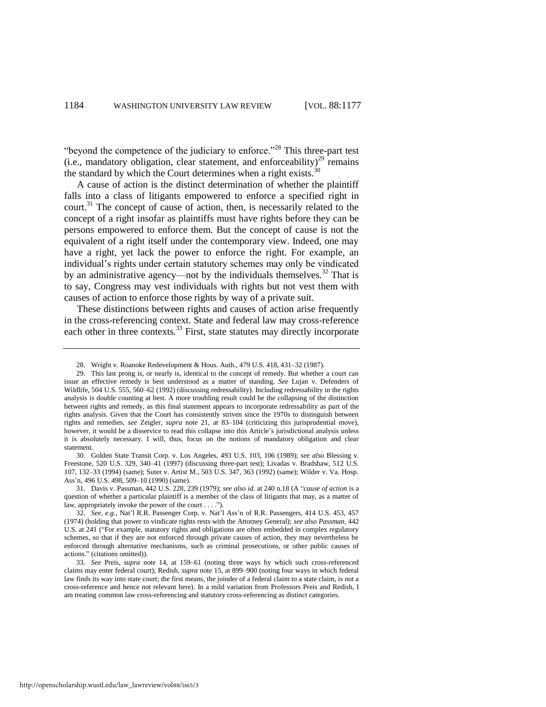"beyond the competence of the judiciary to enforce."<sup>28</sup> This three-part test (i.e., mandatory obligation, clear statement, and enforceability) $^{29}$  remains the standard by which the Court determines when a right exists. $30$ 

A cause of action is the distinct determination of whether the plaintiff falls into a class of litigants empowered to enforce a specified right in court.<sup>31</sup> The concept of cause of action, then, is necessarily related to the concept of a right insofar as plaintiffs must have rights before they can be persons empowered to enforce them. But the concept of cause is not the equivalent of a right itself under the contemporary view. Indeed, one may have a right, yet lack the power to enforce the right. For example, an individual's rights under certain statutory schemes may only be vindicated by an administrative agency—not by the individuals themselves. $32$  That is to say, Congress may vest individuals with rights but not vest them with causes of action to enforce those rights by way of a private suit.

These distinctions between rights and causes of action arise frequently in the cross-referencing context. State and federal law may cross-reference each other in three contexts.<sup>33</sup> First, state statutes may directly incorporate

30. Golden State Transit Corp. v. Los Angeles, 493 U.S. 103, 106 (1989); *see also* Blessing v. Freestone, 520 U.S. 329, 340–41 (1997) (discussing three-part test); Livadas v. Bradshaw, 512 U.S. 107, 132–33 (1994) (same); Suter v. Artist M., 503 U.S. 347, 363 (1992) (same); Wilder v. Va. Hosp. Ass'n, 496 U.S. 498, 509–10 (1990) (same).

31. Davis v. Passman, 442 U.S. 228, 239 (1979); *see also id.* at 240 n.18 (A ―*cause of action* is a question of whether a particular plaintiff is a member of the class of litigants that may, as a matter of law, appropriately invoke the power of the court  $\dots$ .").

<sup>28.</sup> Wright v. Roanoke Redevelopment & Hous. Auth., 479 U.S. 418, 431–32 (1987).

<sup>29.</sup> This last prong is, or nearly is, identical to the concept of remedy. But whether a court can issue an effective remedy is best understood as a matter of standing. *See* Lujan v. Defenders of Wildlife, 504 U.S. 555, 560–62 (1992) (discussing redressability). Including redressability in the rights analysis is double counting at best. A more troubling result could be the collapsing of the distinction between rights and remedy, as this final statement appears to incorporate redressability as part of the rights analysis. Given that the Court has consistently striven since the 1970s to distinguish between rights and remedies, *see* Zeigler, *supra* note [21,](#page-7-0) at 83–104 (criticizing this jurisprudential move), however, it would be a disservice to read this collapse into this Article's jurisdictional analysis unless it is absolutely necessary. I will, thus, focus on the notions of mandatory obligation and clear statement.

<sup>32.</sup> *See, e.g.*, Nat'l R.R. Passenger Corp. v. Nat'l Ass'n of R.R. Passengers, 414 U.S. 453, 457 (1974) (holding that power to vindicate rights rests with the Attorney General); *see also Passman*, 442 U.S. at 241 ("For example, statutory rights and obligations are often embedded in complex regulatory schemes, so that if they are not enforced through private causes of action, they may nevertheless be enforced through alternative mechanisms, such as criminal prosecutions, or other public causes of actions." (citations omitted)).

<sup>33.</sup> *See* Preis, *supra* note 14, at 159–61 (noting three ways by which such cross-referenced claims may enter federal court); Redish, *supra* note 15, at 899–900 (noting four ways in which federal law finds its way into state court; the first means, the joinder of a federal claim to a state claim, is not a cross-reference and hence not relevant here). In a mild variation from Professors Preis and Redish, I am treating common law cross-referencing and statutory cross-referencing as distinct categories.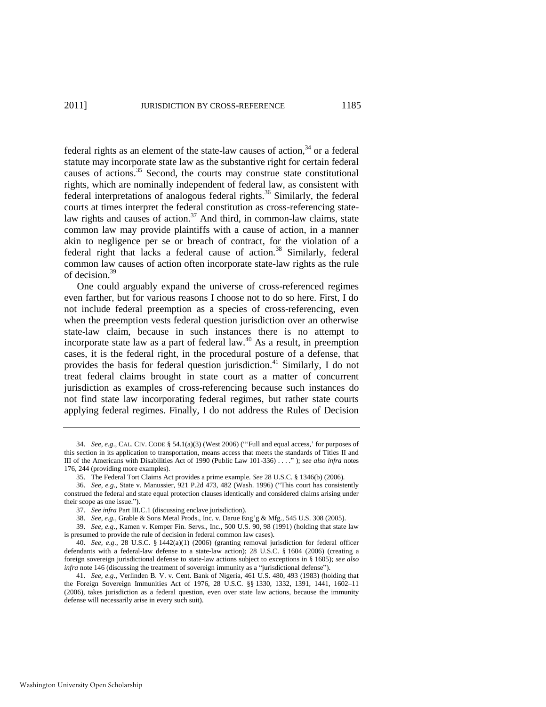federal rights as an element of the state-law causes of action,  $34$  or a federal statute may incorporate state law as the substantive right for certain federal causes of actions.<sup>35</sup> Second, the courts may construe state constitutional rights, which are nominally independent of federal law, as consistent with federal interpretations of analogous federal rights.<sup>36</sup> Similarly, the federal courts at times interpret the federal constitution as cross-referencing statelaw rights and causes of action.<sup>37</sup> And third, in common-law claims, state common law may provide plaintiffs with a cause of action, in a manner akin to negligence per se or breach of contract, for the violation of a federal right that lacks a federal cause of action.<sup>38</sup> Similarly, federal common law causes of action often incorporate state-law rights as the rule of decision.<sup>39</sup>

One could arguably expand the universe of cross-referenced regimes even farther, but for various reasons I choose not to do so here. First, I do not include federal preemption as a species of cross-referencing, even when the preemption vests federal question jurisdiction over an otherwise state-law claim, because in such instances there is no attempt to incorporate state law as a part of federal law.<sup>40</sup> As a result, in preemption cases, it is the federal right, in the procedural posture of a defense, that provides the basis for federal question jurisdiction.<sup>41</sup> Similarly, I do not treat federal claims brought in state court as a matter of concurrent jurisdiction as examples of cross-referencing because such instances do not find state law incorporating federal regimes, but rather state courts applying federal regimes. Finally, I do not address the Rules of Decision

36. *See, e.g.*, State v. Manussier, 921 P.2d 473, 482 (Wash. 1996) ("This court has consistently construed the federal and state equal protection clauses identically and considered claims arising under their scope as one issue.").

<sup>34.</sup> *See, e.g.*, CAL. CIV. CODE  $\S$  54.1(a)(3) (West 2006) ("Full and equal access,' for purposes of this section in its application to transportation, means access that meets the standards of Titles II and III of the Americans with Disabilities Act of 1990 (Public Law 101-336) . . . .‖ ); *see also infra* notes 176, 244 (providing more examples).

<sup>35.</sup> The Federal Tort Claims Act provides a prime example. *See* 28 U.S.C. § 1346(b) (2006).

<sup>37.</sup> *See infra* Part III.C.1 (discussing enclave jurisdiction).

<sup>38.</sup> *See, e.g.*, Grable & Sons Metal Prods., Inc. v. Darue Eng'g & Mfg., 545 U.S. 308 (2005).

<sup>39.</sup> *See, e.g*., Kamen v. Kemper Fin. Servs., Inc., 500 U.S. 90, 98 (1991) (holding that state law is presumed to provide the rule of decision in federal common law cases).

<sup>40.</sup> *See, e.g*., 28 U.S.C. § 1442(a)(1) (2006) (granting removal jurisdiction for federal officer defendants with a federal-law defense to a state-law action); 28 U.S.C. § 1604 (2006) (creating a foreign sovereign jurisdictional defense to state-law actions subject to exceptions in § 1605); *see also infra* note 146 (discussing the treatment of sovereign immunity as a "jurisdictional defense").

<sup>41.</sup> *See, e.g*., Verlinden B. V. v. Cent. Bank of Nigeria, 461 U.S. 480, 493 (1983) (holding that the Foreign Sovereign Immunities Act of 1976, 28 U.S.C. §§ 1330, 1332, 1391, 1441, 1602–11 (2006), takes jurisdiction as a federal question, even over state law actions, because the immunity defense will necessarily arise in every such suit).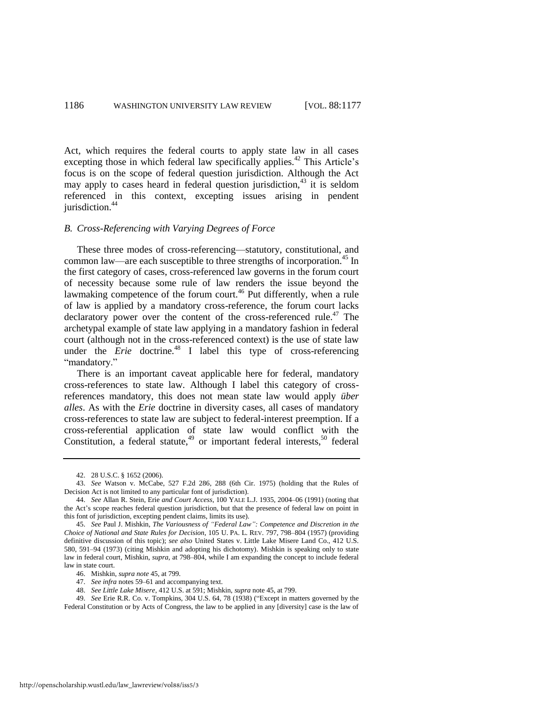Act, which requires the federal courts to apply state law in all cases excepting those in which federal law specifically applies.<sup>42</sup> This Article's focus is on the scope of federal question jurisdiction. Although the Act may apply to cases heard in federal question jurisdiction, $43$  it is seldom referenced in this context, excepting issues arising in pendent jurisdiction.<sup>44</sup>

# *B. Cross-Referencing with Varying Degrees of Force*

<span id="page-10-0"></span>These three modes of cross-referencing—statutory, constitutional, and common law—are each susceptible to three strengths of incorporation.<sup>45</sup> In the first category of cases, cross-referenced law governs in the forum court of necessity because some rule of law renders the issue beyond the lawmaking competence of the forum court.<sup>46</sup> Put differently, when a rule of law is applied by a mandatory cross-reference, the forum court lacks declaratory power over the content of the cross-referenced rule.<sup>47</sup> The archetypal example of state law applying in a mandatory fashion in federal court (although not in the cross-referenced context) is the use of state law under the *Erie* doctrine.<sup>48</sup> I label this type of cross-referencing "mandatory."

<span id="page-10-1"></span>There is an important caveat applicable here for federal, mandatory cross-references to state law. Although I label this category of crossreferences mandatory, this does not mean state law would apply *über alles*. As with the *Erie* doctrine in diversity cases, all cases of mandatory cross-references to state law are subject to federal-interest preemption. If a cross-referential application of state law would conflict with the Constitution, a federal statute, $49$  or important federal interests, $50$  federal

<span id="page-10-2"></span><sup>42. 28</sup> U.S.C. § 1652 (2006).

<sup>43.</sup> *See* Watson v. McCabe, 527 F.2d 286, 288 (6th Cir. 1975) (holding that the Rules of Decision Act is not limited to any particular font of jurisdiction).

<sup>44.</sup> *See* Allan R. Stein, Erie *and Court Access*, 100 YALE L.J. 1935, 2004–06 (1991) (noting that the Act's scope reaches federal question jurisdiction, but that the presence of federal law on point in this font of jurisdiction, excepting pendent claims, limits its use).

<sup>45.</sup> *See* Paul J. Mishkin, *The Variousness of "Federal Law": Competence and Discretion in the Choice of National and State Rules for Decision*, 105 U. PA. L. REV. 797, 798–804 (1957) (providing definitive discussion of this topic); *see also* United States v. Little Lake Misere Land Co., 412 U.S. 580, 591–94 (1973) (citing Mishkin and adopting his dichotomy). Mishkin is speaking only to state law in federal court, Mishkin, *supra*, at 798–804, while I am expanding the concept to include federal law in state court.

<sup>46.</sup> Mishkin, *supra note* 45, at 799.

<sup>47.</sup> *See infra* notes [59–](#page-12-0)[61 a](#page-12-1)nd accompanying text.

<sup>48.</sup> *See Little Lake Misere*, 412 U.S. at 591; Mishkin, *supra* note 45, at 799.

<sup>49.</sup> *See* Erie R.R. Co. v. Tompkins, 304 U.S. 64, 78 (1938) ("Except in matters governed by the Federal Constitution or by Acts of Congress, the law to be applied in any [diversity] case is the law of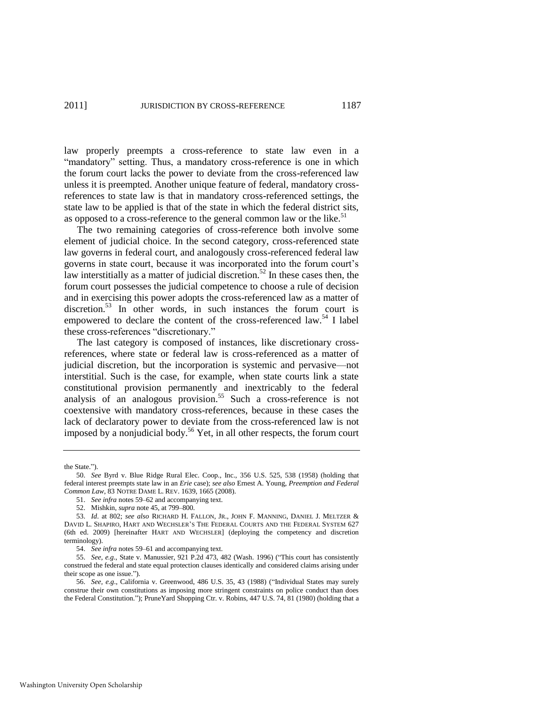law properly preempts a cross-reference to state law even in a "mandatory" setting. Thus, a mandatory cross-reference is one in which the forum court lacks the power to deviate from the cross-referenced law unless it is preempted. Another unique feature of federal, mandatory crossreferences to state law is that in mandatory cross-referenced settings, the state law to be applied is that of the state in which the federal district sits, as opposed to a cross-reference to the general common law or the like.<sup>51</sup>

<span id="page-11-0"></span>The two remaining categories of cross-reference both involve some element of judicial choice. In the second category, cross-referenced state law governs in federal court, and analogously cross-referenced federal law governs in state court, because it was incorporated into the forum court's law interstitially as a matter of judicial discretion.<sup>52</sup> In these cases then, the forum court possesses the judicial competence to choose a rule of decision and in exercising this power adopts the cross-referenced law as a matter of discretion.<sup>53</sup> In other words, in such instances the forum court is empowered to declare the content of the cross-referenced law.<sup>54</sup> I label these cross-references "discretionary."

<span id="page-11-1"></span>The last category is composed of instances, like discretionary crossreferences, where state or federal law is cross-referenced as a matter of judicial discretion, but the incorporation is systemic and pervasive—not interstitial. Such is the case, for example, when state courts link a state constitutional provision permanently and inextricably to the federal analysis of an analogous provision.<sup>55</sup> Such a cross-reference is not coextensive with mandatory cross-references, because in these cases the lack of declaratory power to deviate from the cross-referenced law is not imposed by a nonjudicial body.<sup>56</sup> Yet, in all other respects, the forum court

the State.").

<sup>50.</sup> *See* Byrd v. Blue Ridge Rural Elec. Coop., Inc., 356 U.S. 525, 538 (1958) (holding that federal interest preempts state law in an *Erie* case); *see also* Ernest A. Young, *Preemption and Federal Common Law*, 83 NOTRE DAME L. REV. 1639, 1665 (2008).

<sup>51.</sup> *See infra* notes 59[–62 a](#page-13-0)nd accompanying text.

<sup>52.</sup> Mishkin, *supra* note 45, at 799–800.

<sup>53.</sup> *Id*. at 802; *see also* RICHARD H. FALLON, JR., JOHN F. MANNING, DANIEL J. MELTZER & DAVID L. SHAPIRO, HART AND WECHSLER'S THE FEDERAL COURTS AND THE FEDERAL SYSTEM 627 (6th ed. 2009) [hereinafter HART AND WECHSLER] (deploying the competency and discretion terminology).

<sup>54.</sup> *See infra* notes [59–](#page-12-0)[61 a](#page-12-1)nd accompanying text.

<sup>55.</sup> *See, e.g.*, State v. Manussier, 921 P.2d 473, 482 (Wash. 1996) ("This court has consistently construed the federal and state equal protection clauses identically and considered claims arising under their scope as one issue.").

<sup>56.</sup> *See, e.g.*, California v. Greenwood, 486 U.S. 35, 43 (1988) ("Individual States may surely construe their own constitutions as imposing more stringent constraints on police conduct than does the Federal Constitution."); PruneYard Shopping Ctr. v. Robins, 447 U.S. 74, 81 (1980) (holding that a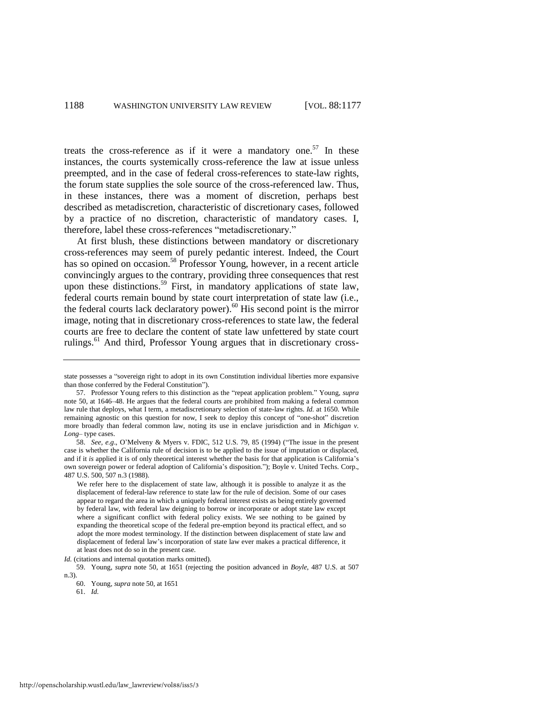treats the cross-reference as if it were a mandatory one.<sup>57</sup> In these instances, the courts systemically cross-reference the law at issue unless preempted, and in the case of federal cross-references to state-law rights, the forum state supplies the sole source of the cross-referenced law. Thus, in these instances, there was a moment of discretion, perhaps best described as metadiscretion, characteristic of discretionary cases, followed by a practice of no discretion, characteristic of mandatory cases. I, therefore, label these cross-references "metadiscretionary."

<span id="page-12-0"></span>At first blush, these distinctions between mandatory or discretionary cross-references may seem of purely pedantic interest. Indeed, the Court has so opined on occasion.<sup>58</sup> Professor Young, however, in a recent article convincingly argues to the contrary, providing three consequences that rest upon these distinctions.<sup>59</sup> First, in mandatory applications of state law, federal courts remain bound by state court interpretation of state law (i.e., the federal courts lack declaratory power). $60$  His second point is the mirror image, noting that in discretionary cross-references to state law, the federal courts are free to declare the content of state law unfettered by state court rulings.<sup>61</sup> And third, Professor Young argues that in discretionary cross-

*Id.* (citations and internal quotation marks omitted).

59. Young, *supra* note 50, at 1651 (rejecting the position advanced in *Boyle*, 487 U.S. at 507 n.3).

<span id="page-12-1"></span>state possesses a "sovereign right to adopt in its own Constitution individual liberties more expansive than those conferred by the Federal Constitution").

<sup>57.</sup> Professor Young refers to this distinction as the "repeat application problem." Young, *supra* note 50, at 1646–48. He argues that the federal courts are prohibited from making a federal common law rule that deploys, what I term, a metadiscretionary selection of state-law rights. *Id.* at 1650. While remaining agnostic on this question for now, I seek to deploy this concept of "one-shot" discretion more broadly than federal common law, noting its use in enclave jurisdiction and in *Michigan v. Long*– type cases.

<sup>58.</sup> *See, e.g.*, O'Melveny & Myers v. FDIC, 512 U.S. 79, 85 (1994) ("The issue in the present case is whether the California rule of decision is to be applied to the issue of imputation or displaced, and if it *is* applied it is of only theoretical interest whether the basis for that application is California's own sovereign power or federal adoption of California's disposition."); Boyle v. United Techs. Corp., 487 U.S. 500, 507 n.3 (1988).

We refer here to the displacement of state law, although it is possible to analyze it as the displacement of federal-law reference to state law for the rule of decision. Some of our cases appear to regard the area in which a uniquely federal interest exists as being entirely governed by federal law, with federal law deigning to borrow or incorporate or adopt state law except where a significant conflict with federal policy exists. We see nothing to be gained by expanding the theoretical scope of the federal pre-emption beyond its practical effect, and so adopt the more modest terminology. If the distinction between displacement of state law and displacement of federal law's incorporation of state law ever makes a practical difference, it at least does not do so in the present case.

<sup>60.</sup> Young, *supra* not[e 50,](#page-10-2) at 1651 61. *Id.*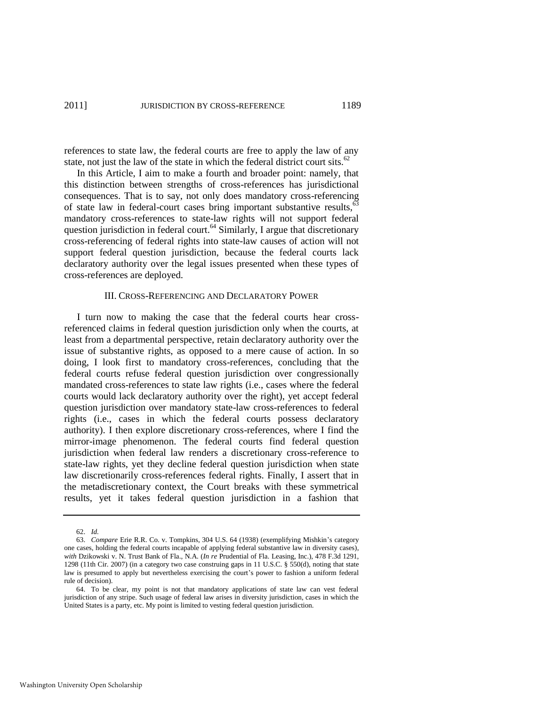references to state law, the federal courts are free to apply the law of any state, not just the law of the state in which the federal district court sits.<sup>62</sup>

In this Article, I aim to make a fourth and broader point: namely, that this distinction between strengths of cross-references has jurisdictional consequences. That is to say, not only does mandatory cross-referencing of state law in federal-court cases bring important substantive results,<sup>63</sup> mandatory cross-references to state-law rights will not support federal question jurisdiction in federal court.<sup>64</sup> Similarly, I argue that discretionary cross-referencing of federal rights into state-law causes of action will not support federal question jurisdiction, because the federal courts lack declaratory authority over the legal issues presented when these types of cross-references are deployed.

#### <span id="page-13-0"></span>III. CROSS-REFERENCING AND DECLARATORY POWER

I turn now to making the case that the federal courts hear crossreferenced claims in federal question jurisdiction only when the courts, at least from a departmental perspective, retain declaratory authority over the issue of substantive rights, as opposed to a mere cause of action. In so doing, I look first to mandatory cross-references, concluding that the federal courts refuse federal question jurisdiction over congressionally mandated cross-references to state law rights (i.e., cases where the federal courts would lack declaratory authority over the right), yet accept federal question jurisdiction over mandatory state-law cross-references to federal rights (i.e., cases in which the federal courts possess declaratory authority). I then explore discretionary cross-references, where I find the mirror-image phenomenon. The federal courts find federal question jurisdiction when federal law renders a discretionary cross-reference to state-law rights, yet they decline federal question jurisdiction when state law discretionarily cross-references federal rights. Finally, I assert that in the metadiscretionary context, the Court breaks with these symmetrical results, yet it takes federal question jurisdiction in a fashion that

Washington University Open Scholarship

<sup>62.</sup> *Id.* 

<sup>63.</sup> *Compare* Erie R.R. Co. v. Tompkins, 304 U.S. 64 (1938) (exemplifying Mishkin's category one cases, holding the federal courts incapable of applying federal substantive law in diversity cases), *with* Dzikowski v. N. Trust Bank of Fla., N.A. (*In re* Prudential of Fla. Leasing, Inc.), 478 F.3d 1291, 1298 (11th Cir. 2007) (in a category two case construing gaps in 11 U.S.C. § 550(d), noting that state law is presumed to apply but nevertheless exercising the court's power to fashion a uniform federal rule of decision).

<sup>64.</sup> To be clear, my point is not that mandatory applications of state law can vest federal jurisdiction of any stripe. Such usage of federal law arises in diversity jurisdiction, cases in which the United States is a party, etc. My point is limited to vesting federal question jurisdiction.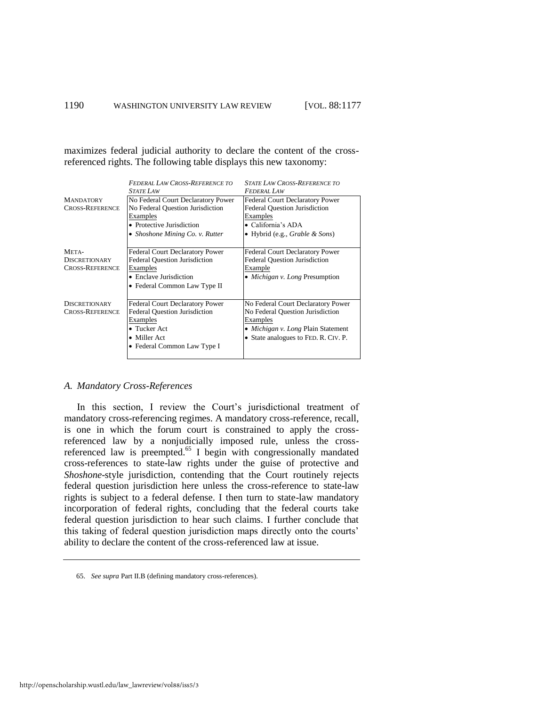maximizes federal judicial authority to declare the content of the crossreferenced rights. The following table displays this new taxonomy:

|                        | <b>FEDERAL LAW CROSS-REFERENCE TO</b>  | <b>STATE LAW CROSS-REFERENCE TO</b>        |
|------------------------|----------------------------------------|--------------------------------------------|
|                        | <i><b>STATE LAW</b></i>                | <b>FEDERAL LAW</b>                         |
| <b>MANDATORY</b>       | No Federal Court Declaratory Power     | Federal Court Declaratory Power            |
| <b>CROSS-REFERENCE</b> | No Federal Question Jurisdiction       | <b>Federal Question Jurisdiction</b>       |
|                        | Examples                               | Examples                                   |
|                        | • Protective Jurisdiction              | • California's ADA                         |
|                        | • Shoshone Mining Co. v. Rutter        | • Hybrid (e.g., <i>Grable &amp; Sons</i> ) |
|                        |                                        |                                            |
| META-                  | <b>Federal Court Declaratory Power</b> | Federal Court Declaratory Power            |
| <b>DISCRETIONARY</b>   | <b>Federal Question Jurisdiction</b>   | <b>Federal Ouestion Jurisdiction</b>       |
| <b>CROSS-REFERENCE</b> | Examples                               | <b>Example</b>                             |
|                        | • Enclave Jurisdiction                 | • <i>Michigan v. Long</i> Presumption      |
|                        | • Federal Common Law Type II           |                                            |
|                        |                                        |                                            |
| <b>DISCRETIONARY</b>   | <b>Federal Court Declaratory Power</b> | No Federal Court Declaratory Power         |
| <b>CROSS-REFERENCE</b> | <b>Federal Question Jurisdiction</b>   | No Federal Question Jurisdiction           |
|                        | <b>Examples</b>                        | <b>Examples</b>                            |
|                        | • Tucker Act                           | • <i>Michigan v. Long</i> Plain Statement  |
|                        | • Miller Act                           | • State analogues to FED. R. CIV. P.       |
|                        | • Federal Common Law Type I            |                                            |
|                        |                                        |                                            |

## *A. Mandatory Cross-References*

In this section, I review the Court's jurisdictional treatment of mandatory cross-referencing regimes. A mandatory cross-reference, recall, is one in which the forum court is constrained to apply the crossreferenced law by a nonjudicially imposed rule, unless the crossreferenced law is preempted.<sup>65</sup> I begin with congressionally mandated cross-references to state-law rights under the guise of protective and *Shoshone*-style jurisdiction, contending that the Court routinely rejects federal question jurisdiction here unless the cross-reference to state-law rights is subject to a federal defense. I then turn to state-law mandatory incorporation of federal rights, concluding that the federal courts take federal question jurisdiction to hear such claims. I further conclude that this taking of federal question jurisdiction maps directly onto the courts' ability to declare the content of the cross-referenced law at issue.

<sup>65.</sup> *See supra* Part II.B (defining mandatory cross-references).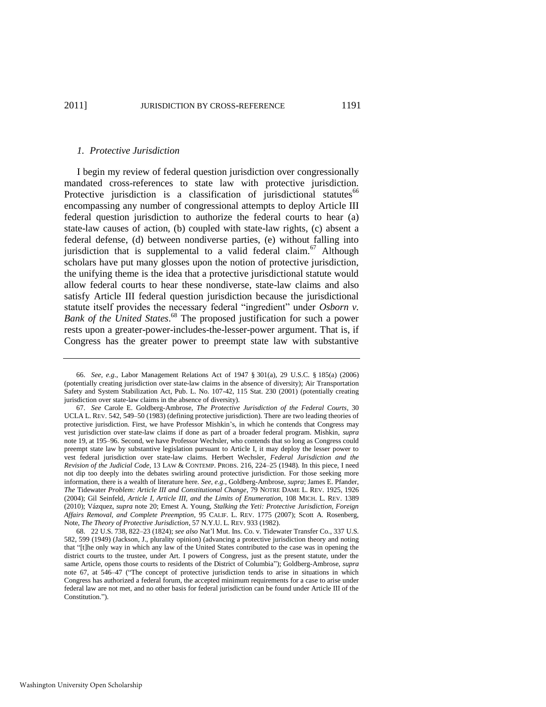#### <span id="page-15-0"></span>*1. Protective Jurisdiction*

I begin my review of federal question jurisdiction over congressionally mandated cross-references to state law with protective jurisdiction. Protective jurisdiction is a classification of jurisdictional statutes<sup>66</sup> encompassing any number of congressional attempts to deploy Article III federal question jurisdiction to authorize the federal courts to hear (a) state-law causes of action, (b) coupled with state-law rights, (c) absent a federal defense, (d) between nondiverse parties, (e) without falling into jurisdiction that is supplemental to a valid federal claim.<sup>67</sup> Although scholars have put many glosses upon the notion of protective jurisdiction, the unifying theme is the idea that a protective jurisdictional statute would allow federal courts to hear these nondiverse, state-law claims and also satisfy Article III federal question jurisdiction because the jurisdictional statute itself provides the necessary federal "ingredient" under Osborn v. *Bank of the United States*. <sup>68</sup> The proposed justification for such a power rests upon a greater-power-includes-the-lesser-power argument. That is, if Congress has the greater power to preempt state law with substantive

<sup>66.</sup> *See, e.g*., Labor Management Relations Act of 1947 § 301(a), 29 U.S.C. § 185(a) (2006) (potentially creating jurisdiction over state-law claims in the absence of diversity); Air Transportation Safety and System Stabilization Act, Pub. L. No. 107-42, 115 Stat. 230 (2001) (potentially creating jurisdiction over state-law claims in the absence of diversity).

<sup>67.</sup> *See* Carole E. Goldberg-Ambrose, *The Protective Jurisdiction of the Federal Courts*, 30 UCLA L. REV. 542, 549–50 (1983) (defining protective jurisdiction). There are two leading theories of protective jurisdiction. First, we have Professor Mishkin's, in which he contends that Congress may vest jurisdiction over state-law claims if done as part of a broader federal program. Mishkin, *supra* note 19, at 195–96. Second, we have Professor Wechsler, who contends that so long as Congress could preempt state law by substantive legislation pursuant to Article I, it may deploy the lesser power to vest federal jurisdiction over state-law claims. Herbert Wechsler, *Federal Jurisdiction and the Revision of the Judicial Code*, 13 LAW & CONTEMP. PROBS. 216, 224–25 (1948). In this piece, I need not dip too deeply into the debates swirling around protective jurisdiction. For those seeking more information, there is a wealth of literature here. *See, e.g.*, Goldberg-Ambrose, *supra*; James E. Pfander, *The* Tidewater *Problem: Article III and Constitutional Change*, 79 NOTRE DAME L. REV. 1925, 1926 (2004); Gil Seinfeld, *Article I, Article III, and the Limits of Enumeration*, 108 MICH. L. REV. 1389 (2010); Vázquez, *supra* note 20; Ernest A. Young, *Stalking the Yeti: Protective Jurisdiction, Foreign Affairs Removal, and Complete Preemption*, 95 CALIF. L. REV. 1775 (2007); Scott A. Rosenberg, Note, *The Theory of Protective Jurisdiction*, 57 N.Y.U. L. REV. 933 (1982).

<sup>68. 22</sup> U.S. 738, 822–23 (1824); *see also* Nat'l Mut. Ins. Co. v. Tidewater Transfer Co., 337 U.S. 582, 599 (1949) (Jackson, J., plurality opinion) (advancing a protective jurisdiction theory and noting that "[t]he only way in which any law of the United States contributed to the case was in opening the district courts to the trustee, under Art. I powers of Congress, just as the present statute, under the same Article, opens those courts to residents of the District of Columbia"); Goldberg-Ambrose, *supra* note 67, at 546–47 ("The concept of protective jurisdiction tends to arise in situations in which Congress has authorized a federal forum, the accepted minimum requirements for a case to arise under federal law are not met, and no other basis for federal jurisdiction can be found under Article III of the Constitution.").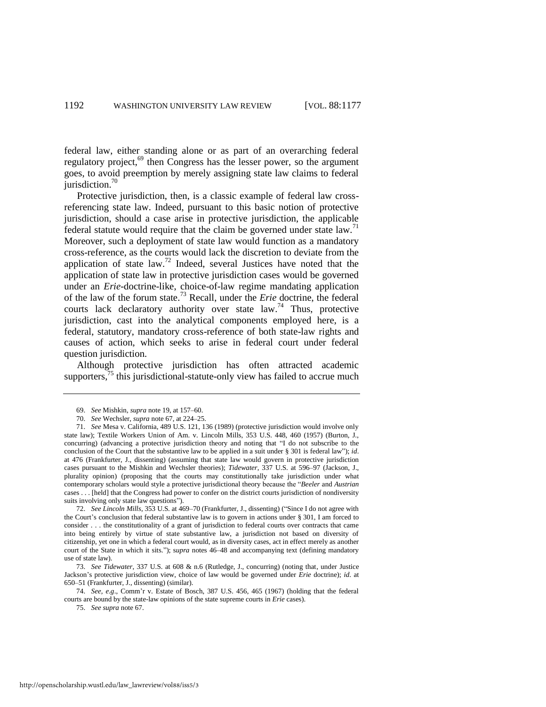federal law, either standing alone or as part of an overarching federal regulatory project,<sup>69</sup> then Congress has the lesser power, so the argument goes, to avoid preemption by merely assigning state law claims to federal jurisdiction. $70$ 

Protective jurisdiction, then, is a classic example of federal law crossreferencing state law. Indeed, pursuant to this basic notion of protective jurisdiction, should a case arise in protective jurisdiction, the applicable federal statute would require that the claim be governed under state law.<sup>71</sup> Moreover, such a deployment of state law would function as a mandatory cross-reference, as the courts would lack the discretion to deviate from the application of state law.<sup>72</sup> Indeed, several Justices have noted that the application of state law in protective jurisdiction cases would be governed under an *Erie-*doctrine-like, choice-of-law regime mandating application of the law of the forum state.<sup>73</sup> Recall, under the *Erie* doctrine, the federal courts lack declaratory authority over state law.<sup>74</sup> Thus, protective jurisdiction, cast into the analytical components employed here, is a federal, statutory, mandatory cross-reference of both state-law rights and causes of action, which seeks to arise in federal court under federal question jurisdiction.

Although protective jurisdiction has often attracted academic supporters,  $^{75}$  this jurisdictional-statute-only view has failed to accrue much

72. *See Lincoln Mills*, 353 U.S. at 469–70 (Frankfurter, J., dissenting) ("Since I do not agree with the Court's conclusion that federal substantive law is to govern in actions under § 301, I am forced to consider . . . the constitutionality of a grant of jurisdiction to federal courts over contracts that came into being entirely by virtue of state substantive law, a jurisdiction not based on diversity of citizenship, yet one in which a federal court would, as in diversity cases, act in effect merely as another court of the State in which it sits."); supra notes 46-48 and accompanying text (defining mandatory use of state law).

73. *See Tidewater*, 337 U.S. at 608 & n.6 (Rutledge, J., concurring) (noting that, under Justice Jackson's protective jurisdiction view, choice of law would be governed under *Erie* doctrine); *id*. at 650–51 (Frankfurter, J., dissenting) (similar).

74. *See, e.g*., Comm'r v. Estate of Bosch, 387 U.S. 456, 465 (1967) (holding that the federal courts are bound by the state-law opinions of the state supreme courts in *Erie* cases).

75. *See supra* not[e 67.](#page-15-0) 

<sup>69.</sup> *See* Mishkin, *supra* note 19, at 157–60.

<sup>70.</sup> *See* Wechsler, *supra* note 67, at 224–25.

<sup>71.</sup> *See* Mesa v. California, 489 U.S. 121, 136 (1989) (protective jurisdiction would involve only state law); Textile Workers Union of Am. v. Lincoln Mills, 353 U.S. 448, 460 (1957) (Burton, J., concurring) (advancing a protective jurisdiction theory and noting that "I do not subscribe to the conclusion of the Court that the substantive law to be applied in a suit under § 301 is federal law"); *id*. at 476 (Frankfurter, J., dissenting) (assuming that state law would govern in protective jurisdiction cases pursuant to the Mishkin and Wechsler theories); *Tidewater*, 337 U.S. at 596–97 (Jackson, J., plurality opinion) (proposing that the courts may constitutionally take jurisdiction under what contemporary scholars would style a protective jurisdictional theory because the "Beeler and Austrian cases . . . [held] that the Congress had power to confer on the district courts jurisdiction of nondiversity suits involving only state law questions").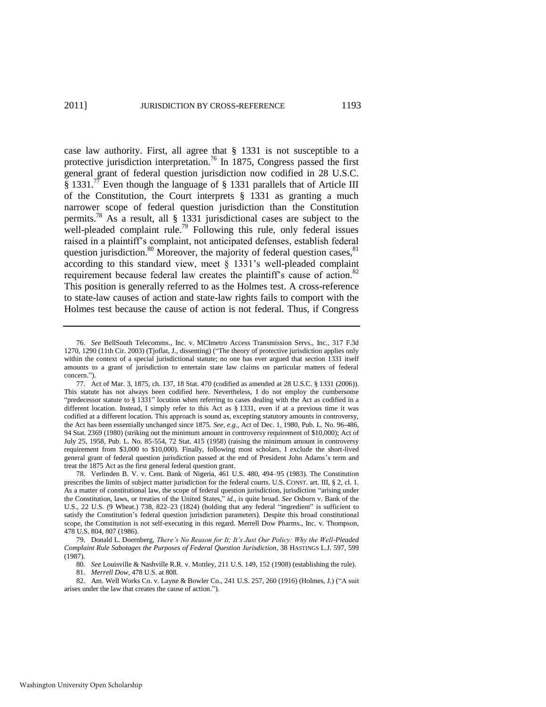case law authority. First, all agree that § 1331 is not susceptible to a protective jurisdiction interpretation.<sup>76</sup> In 1875, Congress passed the first general grant of federal question jurisdiction now codified in 28 U.S.C. § 1331.<sup>77</sup> Even though the language of § 1331 parallels that of Article III of the Constitution, the Court interprets § 1331 as granting a much narrower scope of federal question jurisdiction than the Constitution permits.<sup>78</sup> As a result, all  $\S$  1331 jurisdictional cases are subject to the well-pleaded complaint rule.<sup>79</sup> Following this rule, only federal issues raised in a plaintiff's complaint, not anticipated defenses, establish federal question jurisdiction.<sup>80</sup> Moreover, the majority of federal question cases,  $81$ according to this standard view, meet § 1331's well-pleaded complaint requirement because federal law creates the plaintiff's cause of action.<sup>82</sup> This position is generally referred to as the Holmes test. A cross-reference to state-law causes of action and state-law rights fails to comport with the Holmes test because the cause of action is not federal. Thus, if Congress

<sup>76.</sup> *See* BellSouth Telecomms., Inc. v. MCImetro Access Transmission Servs., Inc., 317 F.3d 1270, 1290 (11th Cir. 2003) (Tjoflat, J., dissenting) ("The theory of protective jurisdiction applies only within the context of a special jurisdictional statute; no one has ever argued that section 1331 itself amounts to a grant of jurisdiction to entertain state law claims on particular matters of federal concern.").

<sup>77.</sup> Act of Mar. 3, 1875, ch. 137, 18 Stat. 470 (codified as amended at 28 U.S.C. § 1331 (2006)). This statute has not always been codified here. Nevertheless, I do not employ the cumbersome "predecessor statute to § 1331" locution when referring to cases dealing with the Act as codified in a different location. Instead, I simply refer to this Act as § 1331, even if at a previous time it was codified at a different location. This approach is sound as, excepting statutory amounts in controversy, the Act has been essentially unchanged since 1875. *See, e.g.*, Act of Dec. 1, 1980, Pub. L. No. 96-486, 94 Stat. 2369 (1980) (striking out the minimum amount in controversy requirement of \$10,000); Act of July 25, 1958, Pub. L. No. 85-554, 72 Stat. 415 (1958) (raising the minimum amount in controversy requirement from \$3,000 to \$10,000). Finally, following most scholars, I exclude the short-lived general grant of federal question jurisdiction passed at the end of President John Adams's term and treat the 1875 Act as the first general federal question grant.

<sup>78.</sup> Verlinden B. V. v. Cent. Bank of Nigeria, 461 U.S. 480, 494–95 (1983). The Constitution prescribes the limits of subject matter jurisdiction for the federal courts. U.S. CONST. art. III, § 2, cl. 1. As a matter of constitutional law, the scope of federal question jurisdiction, jurisdiction "arising under the Constitution, laws, or treaties of the United States," *id.*, is quite broad. See Osborn v. Bank of the U.S.,  $22$  U.S. (9 Wheat.) 738, 822–23 (1824) (holding that any federal "ingredient" is sufficient to satisfy the Constitution's federal question jurisdiction parameters). Despite this broad constitutional scope, the Constitution is not self-executing in this regard. Merrell Dow Pharms., Inc. v. Thompson, 478 U.S. 804, 807 (1986).

<sup>79.</sup> Donald L. Doernberg, *There's No Reason for It; It's Just Our Policy: Why the Well-Pleaded Complaint Rule Sabotages the Purposes of Federal Question Jurisdiction*, 38 HASTINGS L.J. 597, 599 (1987).

<sup>80</sup>*. See* Louisville & Nashville R.R. v. Mottley, 211 U.S. 149, 152 (1908) (establishing the rule). 81. *Merrell Dow*, 478 U.S. at 808.

<sup>82.</sup> Am. Well Works Co. v. Layne & Bowler Co., 241 U.S. 257, 260 (1916) (Holmes, J.) ("A suit arises under the law that creates the cause of action.").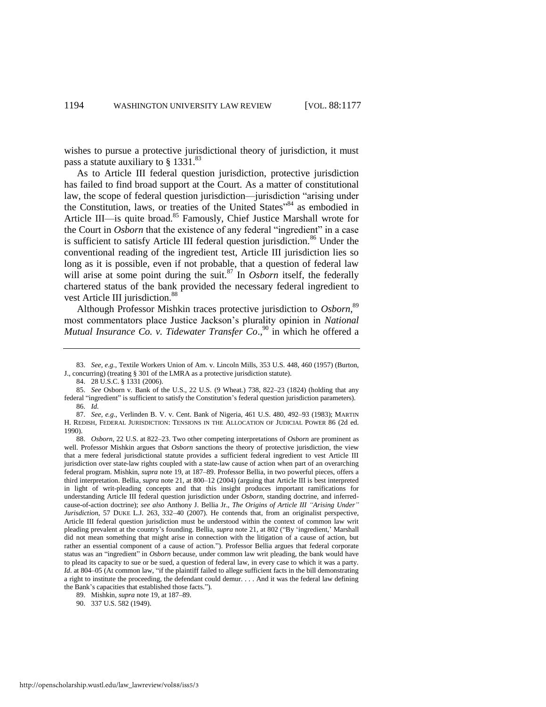wishes to pursue a protective jurisdictional theory of jurisdiction, it must pass a statute auxiliary to § 1331.<sup>83</sup>

As to Article III federal question jurisdiction, protective jurisdiction has failed to find broad support at the Court. As a matter of constitutional law, the scope of federal question jurisdiction—jurisdiction "arising under the Constitution, laws, or treaties of the United States<sup>384</sup> as embodied in Article III—is quite broad.<sup>85</sup> Famously, Chief Justice Marshall wrote for the Court in *Osborn* that the existence of any federal "ingredient" in a case is sufficient to satisfy Article III federal question jurisdiction.<sup>86</sup> Under the conventional reading of the ingredient test, Article III jurisdiction lies so long as it is possible, even if not probable, that a question of federal law will arise at some point during the suit.<sup>87</sup> In *Osborn* itself, the federally chartered status of the bank provided the necessary federal ingredient to vest Article III jurisdiction.<sup>88</sup>

Although Professor Mishkin traces protective jurisdiction to *Osborn*, 89 most commentators place Justice Jackson's plurality opinion in *National Mutual Insurance Co. v. Tidewater Transfer Co.*,<sup>90</sup> in which he offered a

<sup>83.</sup> *See, e.g.*, Textile Workers Union of Am. v. Lincoln Mills, 353 U.S. 448, 460 (1957) (Burton, J., concurring) (treating § 301 of the LMRA as a protective jurisdiction statute).

<sup>84. 28</sup> U.S.C. § 1331 (2006).

<sup>85.</sup> *See* Osborn v. Bank of the U.S., 22 U.S. (9 Wheat.) 738, 822–23 (1824) (holding that any federal "ingredient" is sufficient to satisfy the Constitution's federal question jurisdiction parameters). 86. *Id.* 

<sup>87.</sup> *See, e.g*., Verlinden B. V. v. Cent. Bank of Nigeria, 461 U.S. 480, 492–93 (1983); MARTIN H. REDISH, FEDERAL JURISDICTION: TENSIONS IN THE ALLOCATION OF JUDICIAL POWER 86 (2d ed. 1990).

<sup>88.</sup> *Osborn*, 22 U.S. at 822–23. Two other competing interpretations of *Osborn* are prominent as well. Professor Mishkin argues that *Osborn* sanctions the theory of protective jurisdiction, the view that a mere federal jurisdictional statute provides a sufficient federal ingredient to vest Article III jurisdiction over state-law rights coupled with a state-law cause of action when part of an overarching federal program. Mishkin, *supra* note 19, at 187–89. Professor Bellia, in two powerful pieces, offers a third interpretation. Bellia, *supra* note 21, at 800–12 (2004) (arguing that Article III is best interpreted in light of writ-pleading concepts and that this insight produces important ramifications for understanding Article III federal question jurisdiction under *Osborn*, standing doctrine, and inferredcause-of-action doctrine); *see also* Anthony J. Bellia Jr., *The Origins of Article III "Arising Under" Jurisdiction*, 57 DUKE L.J. 263, 332–40 (2007). He contends that, from an originalist perspective, Article III federal question jurisdiction must be understood within the context of common law writ pleading prevalent at the country's founding. Bellia, *supra* note 21, at 802 ("By 'ingredient,' Marshall did not mean something that might arise in connection with the litigation of a cause of action, but rather an essential component of a cause of action."). Professor Bellia argues that federal corporate status was an "ingredient" in *Osborn* because, under common law writ pleading, the bank would have to plead its capacity to sue or be sued, a question of federal law, in every case to which it was a party. *Id.* at 804–05 (At common law, "if the plaintiff failed to allege sufficient facts in the bill demonstrating a right to institute the proceeding, the defendant could demur. . . . And it was the federal law defining the Bank's capacities that established those facts.").

<sup>89.</sup> Mishkin, *supra* note 19, at 187–89.

<sup>90. 337</sup> U.S. 582 (1949).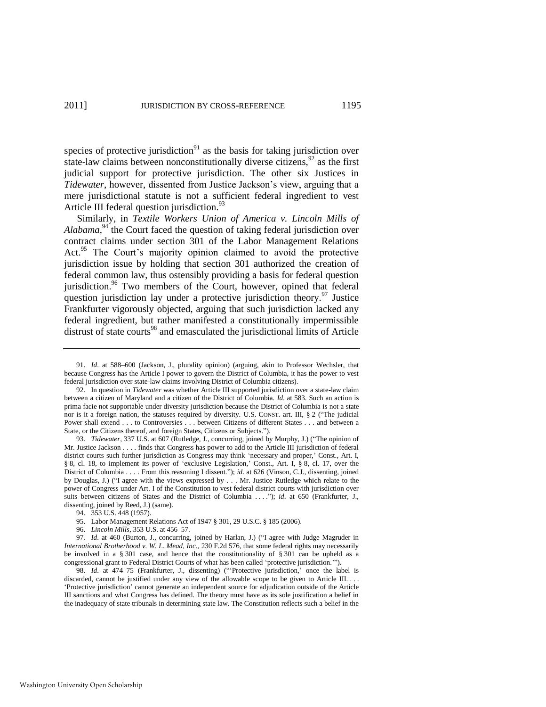species of protective jurisdiction $91$  as the basis for taking jurisdiction over state-law claims between nonconstitutionally diverse citizens,  $92$  as the first judicial support for protective jurisdiction. The other six Justices in *Tidewater*, however, dissented from Justice Jackson's view, arguing that a mere jurisdictional statute is not a sufficient federal ingredient to vest Article III federal question jurisdiction.<sup>93</sup>

Similarly, in *Textile Workers Union of America v. Lincoln Mills of*  Alabama,<sup>94</sup> the Court faced the question of taking federal jurisdiction over contract claims under section 301 of the Labor Management Relations Act.<sup>95</sup> The Court's majority opinion claimed to avoid the protective jurisdiction issue by holding that section 301 authorized the creation of federal common law, thus ostensibly providing a basis for federal question jurisdiction.<sup>96</sup> Two members of the Court, however, opined that federal question jurisdiction lay under a protective jurisdiction theory.<sup>97</sup> Justice Frankfurter vigorously objected, arguing that such jurisdiction lacked any federal ingredient, but rather manifested a constitutionally impermissible distrust of state courts<sup>98</sup> and emasculated the jurisdictional limits of Article

93. *Tidewater*, 337 U.S. at 607 (Rutledge, J., concurring, joined by Murphy, J.) ("The opinion of Mr. Justice Jackson . . . . finds that Congress has power to add to the Article III jurisdiction of federal district courts such further jurisdiction as Congress may think 'necessary and proper,' Const., Art. I, § 8, cl. 18, to implement its power of 'exclusive Legislation,' Const., Art. I, § 8, cl. 17, over the District of Columbia . . . . From this reasoning I dissent."); *id.* at 626 (Vinson, C.J., dissenting, joined by Douglas, J.) ("I agree with the views expressed by . . . Mr. Justice Rutledge which relate to the power of Congress under Art. I of the Constitution to vest federal district courts with jurisdiction over suits between citizens of States and the District of Columbia . . . ."); *id.* at 650 (Frankfurter, J., dissenting, joined by Reed, J.) (same).

- 95. Labor Management Relations Act of 1947 § 301, 29 U.S.C. § 185 (2006).
- 96. *Lincoln Mills*, 353 U.S. at 456–57.

97. Id. at 460 (Burton, J., concurring, joined by Harlan, J.) ("I agree with Judge Magruder in *International Brotherhood v. W. L. Mead, Inc*., 230 F.2d 576, that some federal rights may necessarily be involved in a § 301 case, and hence that the constitutionality of § 301 can be upheld as a congressional grant to Federal District Courts of what has been called 'protective jurisdiction.'").

98. *Id.* at 474–75 (Frankfurter, J., dissenting) ("Protective jurisdiction,' once the label is discarded, cannot be justified under any view of the allowable scope to be given to Article III.... ‗Protective jurisdiction' cannot generate an independent source for adjudication outside of the Article III sanctions and what Congress has defined. The theory must have as its sole justification a belief in the inadequacy of state tribunals in determining state law. The Constitution reflects such a belief in the

<sup>91.</sup> *Id*. at 588–600 (Jackson, J., plurality opinion) (arguing, akin to Professor Wechsler, that because Congress has the Article I power to govern the District of Columbia, it has the power to vest federal jurisdiction over state-law claims involving District of Columbia citizens).

<sup>92.</sup> In question in *Tidewater* was whether Article III supported jurisdiction over a state-law claim between a citizen of Maryland and a citizen of the District of Columbia. *Id*. at 583. Such an action is prima facie not supportable under diversity jurisdiction because the District of Columbia is not a state nor is it a foreign nation, the statuses required by diversity. U.S. CONST. art. III,  $\S$  2 ("The judicial Power shall extend . . . to Controversies . . . between Citizens of different States . . . and between a State, or the Citizens thereof, and foreign States, Citizens or Subjects.").

<sup>94. 353</sup> U.S. 448 (1957).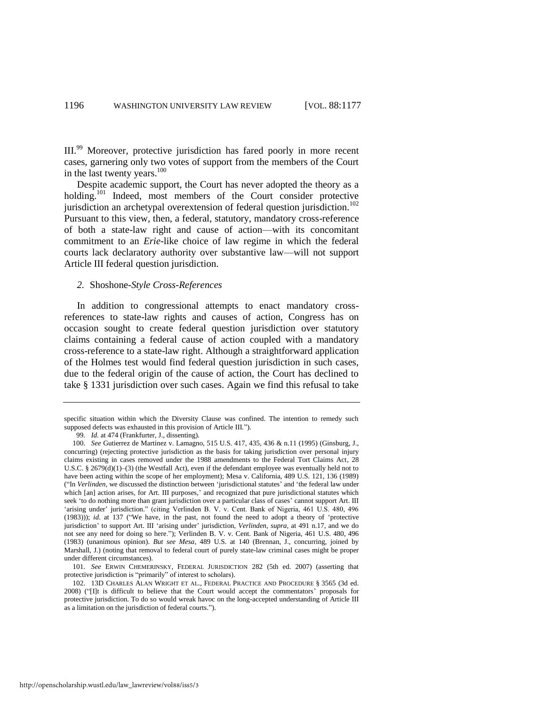III.<sup>99</sup> Moreover, protective jurisdiction has fared poorly in more recent cases, garnering only two votes of support from the members of the Court in the last twenty years.<sup>100</sup>

Despite academic support, the Court has never adopted the theory as a holding.<sup>101</sup> Indeed, most members of the Court consider protective jurisdiction an archetypal overextension of federal question jurisdiction.<sup>102</sup> Pursuant to this view, then, a federal, statutory, mandatory cross-reference of both a state-law right and cause of action—with its concomitant commitment to an *Erie*-like choice of law regime in which the federal courts lack declaratory authority over substantive law—will not support Article III federal question jurisdiction.

# <span id="page-20-0"></span>*2.* Shoshone*-Style Cross-References*

In addition to congressional attempts to enact mandatory crossreferences to state-law rights and causes of action, Congress has on occasion sought to create federal question jurisdiction over statutory claims containing a federal cause of action coupled with a mandatory cross-reference to a state-law right. Although a straightforward application of the Holmes test would find federal question jurisdiction in such cases, due to the federal origin of the cause of action, the Court has declined to take § 1331 jurisdiction over such cases. Again we find this refusal to take

specific situation within which the Diversity Clause was confined. The intention to remedy such supposed defects was exhausted in this provision of Article III.").

<sup>99.</sup> *Id.* at 474 (Frankfurter, J., dissenting).

<sup>100.</sup> *See* Gutierrez de Martinez v. Lamagno, 515 U.S. 417, 435, 436 & n.11 (1995) (Ginsburg, J., concurring) (rejecting protective jurisdiction as the basis for taking jurisdiction over personal injury claims existing in cases removed under the 1988 amendments to the Federal Tort Claims Act, 28 U.S.C. § 2679(d)(1)–(3) (the Westfall Act), even if the defendant employee was eventually held not to have been acting within the scope of her employment); Mesa v. California, 489 U.S. 121, 136 (1989) (―In *Verlinden*, we discussed the distinction between ‗jurisdictional statutes' and ‗the federal law under which [an] action arises, for Art. III purposes,' and recognized that pure jurisdictional statutes which seek 'to do nothing more than grant jurisdiction over a particular class of cases' cannot support Art. III 'arising under' jurisdiction." (citing Verlinden B. V. v. Cent. Bank of Nigeria, 461 U.S. 480, 496 (1983))); *id.* at 137 ("We have, in the past, not found the need to adopt a theory of 'protective jurisdiction' to support Art. III ‗arising under' jurisdiction, *Verlinden*, *supra*, at 491 n.17, and we do not see any need for doing so here.‖); Verlinden B. V. v. Cent. Bank of Nigeria, 461 U.S. 480, 496 (1983) (unanimous opinion). *But see Mesa*, 489 U.S. at 140 (Brennan, J., concurring, joined by Marshall, J.) (noting that removal to federal court of purely state-law criminal cases might be proper under different circumstances).

<sup>101.</sup> *See* ERWIN CHEMERINSKY, FEDERAL JURISDICTION 282 (5th ed. 2007) (asserting that protective jurisdiction is "primarily" of interest to scholars).

<sup>102. 13</sup>D CHARLES ALAN WRIGHT ET AL., FEDERAL PRACTICE AND PROCEDURE § 3565 (3d ed. 2008) ("[I]t is difficult to believe that the Court would accept the commentators' proposals for protective jurisdiction. To do so would wreak havoc on the long-accepted understanding of Article III as a limitation on the jurisdiction of federal courts.").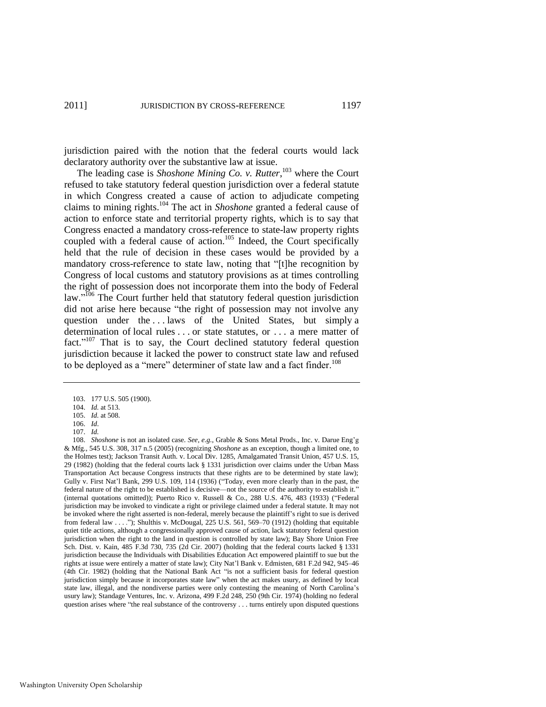jurisdiction paired with the notion that the federal courts would lack declaratory authority over the substantive law at issue.

<span id="page-21-2"></span><span id="page-21-1"></span>The leading case is *Shoshone Mining Co. v. Rutter*, <sup>103</sup> where the Court refused to take statutory federal question jurisdiction over a federal statute in which Congress created a cause of action to adjudicate competing claims to mining rights.<sup>104</sup> The act in *Shoshone* granted a federal cause of action to enforce state and territorial property rights, which is to say that Congress enacted a mandatory cross-reference to state-law property rights coupled with a federal cause of action.<sup>105</sup> Indeed, the Court specifically held that the rule of decision in these cases would be provided by a mandatory cross-reference to state law, noting that "[t]he recognition by Congress of local customs and statutory provisions as at times controlling the right of possession does not incorporate them into the body of Federal law."<sup>106</sup> The Court further held that statutory federal question jurisdiction did not arise here because "the right of possession may not involve any question under the ... laws of the United States, but simply a determination of local rules . . . or state statutes, or . . . a mere matter of fact."<sup>107</sup> That is to say, the Court declined statutory federal question jurisdiction because it lacked the power to construct state law and refused to be deployed as a "mere" determiner of state law and a fact finder.<sup>108</sup>

108. *Shoshone* is not an isolated case. *See, e.g.*, Grable & Sons Metal Prods., Inc. v. Darue Eng'g & Mfg., 545 U.S. 308, 317 n.5 (2005) (recognizing *Shoshone* as an exception, though a limited one, to the Holmes test); Jackson Transit Auth. v. Local Div. 1285, Amalgamated Transit Union, 457 U.S. 15, 29 (1982) (holding that the federal courts lack § 1331 jurisdiction over claims under the Urban Mass Transportation Act because Congress instructs that these rights are to be determined by state law); Gully v. First Nat'l Bank, 299 U.S. 109, 114 (1936) ("Today, even more clearly than in the past, the federal nature of the right to be established is decisive—not the source of the authority to establish it.' (internal quotations omitted)); Puerto Rico v. Russell & Co., 288 U.S. 476, 483 (1933) ("Federal jurisdiction may be invoked to vindicate a right or privilege claimed under a federal statute. It may not be invoked where the right asserted is non-federal, merely because the plaintiff's right to sue is derived from federal law  $\dots$ ); Shulthis v. McDougal, 225 U.S. 561, 569–70 (1912) (holding that equitable quiet title actions, although a congressionally approved cause of action, lack statutory federal question jurisdiction when the right to the land in question is controlled by state law); Bay Shore Union Free Sch. Dist. v. Kain, 485 F.3d 730, 735 (2d Cir. 2007) (holding that the federal courts lacked § 1331 jurisdiction because the Individuals with Disabilities Education Act empowered plaintiff to sue but the rights at issue were entirely a matter of state law); City Nat'l Bank v. Edmisten, 681 F.2d 942, 945–46 (4th Cir. 1982) (holding that the National Bank Act "is not a sufficient basis for federal question jurisdiction simply because it incorporates state law" when the act makes usury, as defined by local state law, illegal, and the nondiverse parties were only contesting the meaning of North Carolina's usury law); Standage Ventures, Inc. v. Arizona, 499 F.2d 248, 250 (9th Cir. 1974) (holding no federal question arises where "the real substance of the controversy . . . turns entirely upon disputed questions

<span id="page-21-0"></span><sup>103. 177</sup> U.S. 505 (1900).

<sup>104.</sup> *Id.* at 513.

<sup>105.</sup> *Id.* at 508.

<sup>106.</sup> *Id*. 107. *Id.*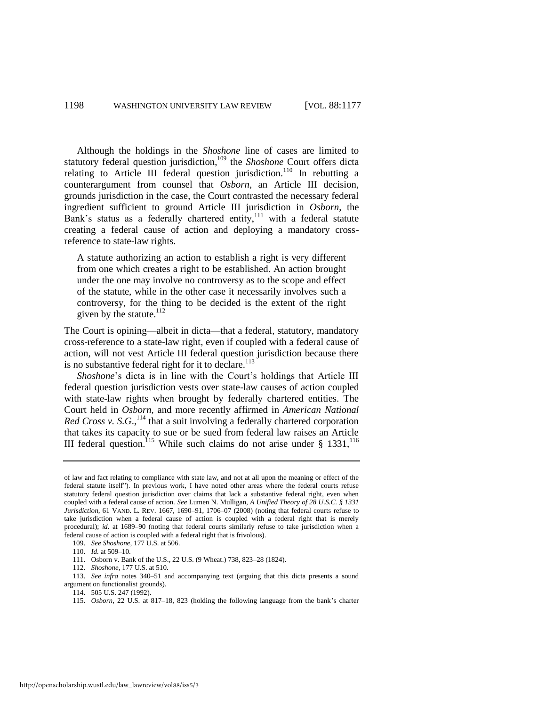Although the holdings in the *Shoshone* line of cases are limited to statutory federal question jurisdiction,<sup>109</sup> the *Shoshone* Court offers dicta relating to Article III federal question jurisdiction.<sup>110</sup> In rebutting a counterargument from counsel that *Osborn*, an Article III decision, grounds jurisdiction in the case, the Court contrasted the necessary federal ingredient sufficient to ground Article III jurisdiction in *Osborn*, the Bank's status as a federally chartered entity, $111$  with a federal statute creating a federal cause of action and deploying a mandatory crossreference to state-law rights.

A statute authorizing an action to establish a right is very different from one which creates a right to be established. An action brought under the one may involve no controversy as to the scope and effect of the statute, while in the other case it necessarily involves such a controversy, for the thing to be decided is the extent of the right given by the statute.<sup>112</sup>

<span id="page-22-1"></span>The Court is opining—albeit in dicta—that a federal, statutory, mandatory cross-reference to a state-law right, even if coupled with a federal cause of action, will not vest Article III federal question jurisdiction because there is no substantive federal right for it to declare.<sup>113</sup>

*Shoshone*'s dicta is in line with the Court's holdings that Article III federal question jurisdiction vests over state-law causes of action coupled with state-law rights when brought by federally chartered entities. The Court held in *Osborn*, and more recently affirmed in *American National Red Cross v. S.G.*,  $^{114}$  that a suit involving a federally chartered corporation that takes its capacity to sue or be sued from federal law raises an Article III federal question.<sup>115</sup> While such claims do not arise under  $\S$  1331,<sup>116</sup>

112. *Shoshone*, 177 U.S. at 510.

<span id="page-22-0"></span>of law and fact relating to compliance with state law, and not at all upon the meaning or effect of the federal statute itself"). In previous work, I have noted other areas where the federal courts refuse statutory federal question jurisdiction over claims that lack a substantive federal right, even when coupled with a federal cause of action. *See* Lumen N. Mulligan, *A Unified Theory of 28 U.S.C. § 1331 Jurisdiction*, 61 VAND. L. REV. 1667, 1690–91, 1706–07 (2008) (noting that federal courts refuse to take jurisdiction when a federal cause of action is coupled with a federal right that is merely procedural); *id*. at 1689–90 (noting that federal courts similarly refuse to take jurisdiction when a federal cause of action is coupled with a federal right that is frivolous).

<sup>109.</sup> *See Shoshone*, 177 U.S. at 506.

<sup>110.</sup> *Id.* at 509–10.

<sup>111.</sup> Osborn v. Bank of the U.S., 22 U.S. (9 Wheat.) 738, 823–28 (1824).

<sup>113.</sup> *See infra* notes 340–51 and accompanying text (arguing that this dicta presents a sound argument on functionalist grounds).

<sup>114. 505</sup> U.S. 247 (1992).

<sup>115.</sup> *Osborn*, 22 U.S. at 817–18, 823 (holding the following language from the bank's charter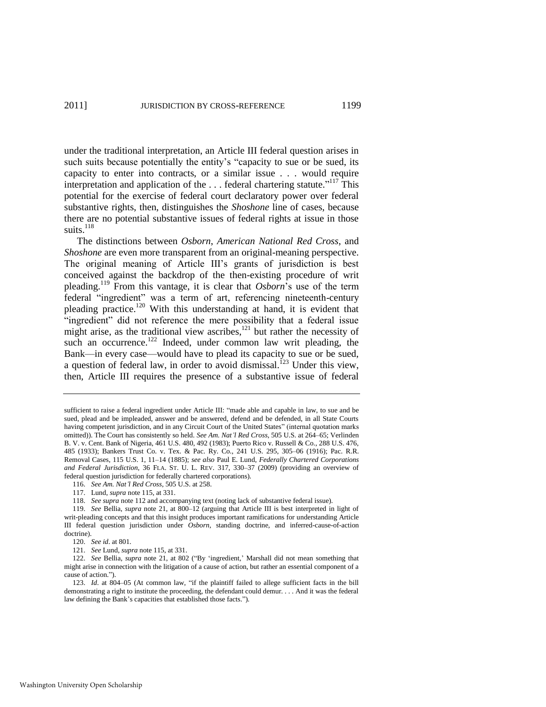under the traditional interpretation, an Article III federal question arises in such suits because potentially the entity's "capacity to sue or be sued, its capacity to enter into contracts, or a similar issue . . . would require interpretation and application of the  $\dots$  federal chartering statute."<sup>117</sup> This potential for the exercise of federal court declaratory power over federal substantive rights, then, distinguishes the *Shoshone* line of cases, because there are no potential substantive issues of federal rights at issue in those suits. $^{118}$ 

<span id="page-23-0"></span>The distinctions between *Osborn*, *American National Red Cross*, and *Shoshone* are even more transparent from an original-meaning perspective. The original meaning of Article III's grants of jurisdiction is best conceived against the backdrop of the then-existing procedure of writ pleading.<sup>119</sup> From this vantage, it is clear that *Osborn*'s use of the term federal "ingredient" was a term of art, referencing nineteenth-century pleading practice.<sup>120</sup> With this understanding at hand, it is evident that "ingredient" did not reference the mere possibility that a federal issue might arise, as the traditional view ascribes, $121$  but rather the necessity of such an occurrence.<sup>122</sup> Indeed, under common law writ pleading, the Bank—in every case—would have to plead its capacity to sue or be sued, a question of federal law, in order to avoid dismissal.<sup>123</sup> Under this view. then, Article III requires the presence of a substantive issue of federal

116. *See Am. Nat'l Red Cross*, 505 U.S. at 258.

sufficient to raise a federal ingredient under Article III: "made able and capable in law, to sue and be sued, plead and be impleaded, answer and be answered, defend and be defended, in all State Courts having competent jurisdiction, and in any Circuit Court of the United States" (internal quotation marks omitted)). The Court has consistently so held. *See Am. Nat'l Red Cross*, 505 U.S. at 264–65; Verlinden B. V. v. Cent. Bank of Nigeria, 461 U.S. 480, 492 (1983); Puerto Rico v. Russell & Co., 288 U.S. 476, 485 (1933); Bankers Trust Co. v. Tex. & Pac. Ry. Co., 241 U.S. 295, 305–06 (1916); Pac. R.R. Removal Cases, 115 U.S. 1, 11–14 (1885); *see also* Paul E. Lund, *Federally Chartered Corporations and Federal Jurisdiction*, 36 FLA. ST. U. L. REV. 317, 330–37 (2009) (providing an overview of federal question jurisdiction for federally chartered corporations).

<sup>117.</sup> Lund, *supra* not[e 115,](#page-22-0) at 331.

<sup>118.</sup> *See supra* not[e 112 a](#page-22-1)nd accompanying text (noting lack of substantive federal issue).

<sup>119.</sup> *See* Bellia, *supra* note [21,](#page-7-0) at 800–12 (arguing that Article III is best interpreted in light of writ-pleading concepts and that this insight produces important ramifications for understanding Article III federal question jurisdiction under *Osborn*, standing doctrine, and inferred-cause-of-action doctrine).

<sup>120.</sup> *See id*. at 801.

<sup>121.</sup> *See* Lund, *supra* not[e 115,](#page-22-0) at 331.

<sup>122.</sup> *See* Bellia, *supra* note [21,](#page-7-0) at 802 ("By 'ingredient,' Marshall did not mean something that might arise in connection with the litigation of a cause of action, but rather an essential component of a cause of action.").

<sup>123.</sup> *Id.* at 804–05 (At common law, "if the plaintiff failed to allege sufficient facts in the bill demonstrating a right to institute the proceeding, the defendant could demur. . . . And it was the federal law defining the Bank's capacities that established those facts.").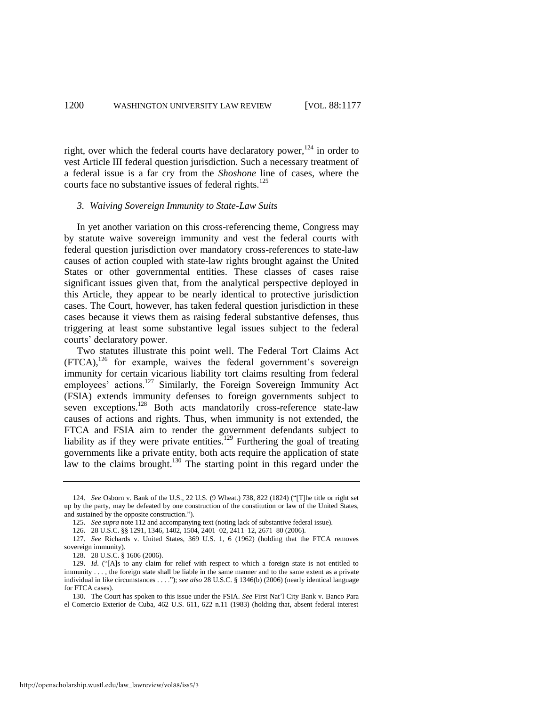right, over which the federal courts have declaratory power,  $124$  in order to vest Article III federal question jurisdiction. Such a necessary treatment of a federal issue is a far cry from the *Shoshone* line of cases, where the courts face no substantive issues of federal rights. $125$ 

# *3. Waiving Sovereign Immunity to State-Law Suits*

In yet another variation on this cross-referencing theme, Congress may by statute waive sovereign immunity and vest the federal courts with federal question jurisdiction over mandatory cross-references to state-law causes of action coupled with state-law rights brought against the United States or other governmental entities. These classes of cases raise significant issues given that, from the analytical perspective deployed in this Article, they appear to be nearly identical to protective jurisdiction cases. The Court, however, has taken federal question jurisdiction in these cases because it views them as raising federal substantive defenses, thus triggering at least some substantive legal issues subject to the federal courts' declaratory power.

Two statutes illustrate this point well. The Federal Tort Claims Act  $(FTCA)$ ,<sup>126</sup> for example, waives the federal government's sovereign immunity for certain vicarious liability tort claims resulting from federal employees' actions.<sup>127</sup> Similarly, the Foreign Sovereign Immunity Act (FSIA) extends immunity defenses to foreign governments subject to seven exceptions.<sup>128</sup> Both acts mandatorily cross-reference state-law causes of actions and rights. Thus, when immunity is not extended, the FTCA and FSIA aim to render the government defendants subject to liability as if they were private entities.<sup>129</sup> Furthering the goal of treating governments like a private entity, both acts require the application of state law to the claims brought.<sup>130</sup> The starting point in this regard under the

<sup>124.</sup> *See* Osborn v. Bank of the U.S., 22 U.S. (9 Wheat.) 738, 822 (1824) ("The title or right set up by the party, may be defeated by one construction of the constitution or law of the United States, and sustained by the opposite construction.").

<sup>125.</sup> *See supra* not[e 112 a](#page-22-1)nd accompanying text (noting lack of substantive federal issue).

<sup>126. 28</sup> U.S.C. §§ 1291, 1346, 1402, 1504, 2401–02, 2411–12, 2671–80 (2006).

<sup>127.</sup> *See* Richards v. United States, 369 U.S. 1, 6 (1962) (holding that the FTCA removes sovereign immunity).

<sup>128. 28</sup> U.S.C. § 1606 (2006).

<sup>129.</sup> *Id.* ("[A]s to any claim for relief with respect to which a foreign state is not entitled to immunity . . . , the foreign state shall be liable in the same manner and to the same extent as a private individual in like circumstances . . . ."); *see also* 28 U.S.C. § 1346(b) (2006) (nearly identical language for FTCA cases).

<sup>130.</sup> The Court has spoken to this issue under the FSIA. *See* First Nat'l City Bank v. Banco Para el Comercio Exterior de Cuba, 462 U.S. 611, 622 n.11 (1983) (holding that, absent federal interest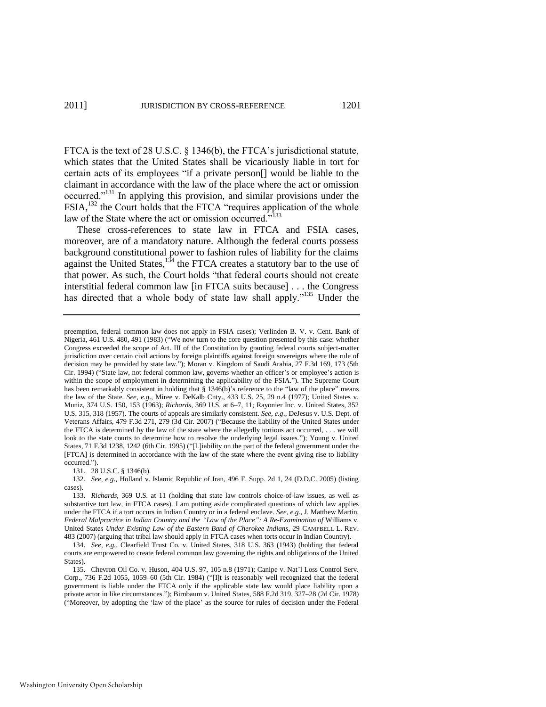FTCA is the text of 28 U.S.C. § 1346(b), the FTCA's jurisdictional statute, which states that the United States shall be vicariously liable in tort for certain acts of its employees "if a private person<sup>[]</sup> would be liable to the claimant in accordance with the law of the place where the act or omission occurred."<sup>131</sup> In applying this provision, and similar provisions under the FSIA,<sup>132</sup> the Court holds that the FTCA "requires application of the whole law of the State where the act or omission occurred."<sup>133</sup>

These cross-references to state law in FTCA and FSIA cases, moreover, are of a mandatory nature. Although the federal courts possess background constitutional power to fashion rules of liability for the claims against the United States, $134$  the FTCA creates a statutory bar to the use of that power. As such, the Court holds "that federal courts should not create interstitial federal common law [in FTCA suits because] . . . the Congress has directed that a whole body of state law shall apply."<sup>135</sup> Under the

131. 28 U.S.C. § 1346(b).

preemption, federal common law does not apply in FSIA cases); Verlinden B. V. v. Cent. Bank of Nigeria, 461 U.S. 480, 491 (1983) ("We now turn to the core question presented by this case: whether Congress exceeded the scope of Art. III of the Constitution by granting federal courts subject-matter jurisdiction over certain civil actions by foreign plaintiffs against foreign sovereigns where the rule of decision may be provided by state law."); Moran v. Kingdom of Saudi Arabia, 27 F.3d 169, 173 (5th Cir. 1994) ("State law, not federal common law, governs whether an officer's or employee's action is within the scope of employment in determining the applicability of the FSIA."). The Supreme Court has been remarkably consistent in holding that  $\S 1346(b)$ 's reference to the "law of the place" means the law of the State. *See, e.g*., Miree v. DeKalb Cnty., 433 U.S. 25, 29 n.4 (1977); United States v. Muniz, 374 U.S. 150, 153 (1963); *Richards*, 369 U.S. at 6–7, 11; Rayonier Inc. v. United States, 352 U.S. 315, 318 (1957). The courts of appeals are similarly consistent. *See, e.g*., DeJesus v. U.S. Dept. of Veterans Affairs, 479 F.3d 271, 279 (3d Cir. 2007) ("Because the liability of the United States under the FTCA is determined by the law of the state where the allegedly tortious act occurred, . . . we will look to the state courts to determine how to resolve the underlying legal issues."); Young v. United States, 71 F.3d 1238, 1242 (6th Cir. 1995) ("[L]iability on the part of the federal government under the [FTCA] is determined in accordance with the law of the state where the event giving rise to liability occurred.").

<sup>132.</sup> *See, e.g*., Holland v. Islamic Republic of Iran, 496 F. Supp. 2d 1, 24 (D.D.C. 2005) (listing cases).

<sup>133.</sup> *Richards*, 369 U.S. at 11 (holding that state law controls choice-of-law issues, as well as substantive tort law, in FTCA cases). I am putting aside complicated questions of which law applies under the FTCA if a tort occurs in Indian Country or in a federal enclave. *See, e.g*., J. Matthew Martin, *Federal Malpractice in Indian Country and the "Law of the Place": A Re-Examination of Williams v.* United States *Under Existing Law of the Eastern Band of Cherokee Indians*, 29 CAMPBELL L. REV. 483 (2007) (arguing that tribal law should apply in FTCA cases when torts occur in Indian Country).

<sup>134.</sup> *See, e.g.*, Clearfield Trust Co. v. United States, 318 U.S. 363 (1943) (holding that federal courts are empowered to create federal common law governing the rights and obligations of the United States).

<sup>135.</sup> Chevron Oil Co. v. Huson, 404 U.S. 97, 105 n.8 (1971); Canipe v. Nat'l Loss Control Serv. Corp., 736 F.2d 1055, 1059–60 (5th Cir. 1984) ("[I]t is reasonably well recognized that the federal government is liable under the FTCA only if the applicable state law would place liability upon a private actor in like circumstances."); Birnbaum v. United States, 588 F.2d 319, 327-28 (2d Cir. 1978) (―Moreover, by adopting the ‗law of the place' as the source for rules of decision under the Federal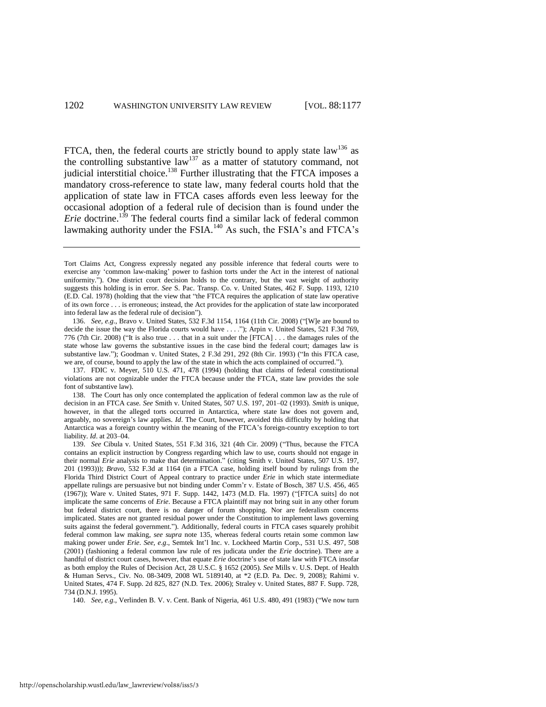FTCA, then, the federal courts are strictly bound to apply state law<sup>136</sup> as the controlling substantive law<sup>137</sup> as a matter of statutory command, not judicial interstitial choice.<sup>138</sup> Further illustrating that the FTCA imposes a mandatory cross-reference to state law, many federal courts hold that the application of state law in FTCA cases affords even less leeway for the occasional adoption of a federal rule of decision than is found under the *Erie* doctrine.<sup>139</sup> The federal courts find a similar lack of federal common lawmaking authority under the FSIA.<sup>140</sup> As such, the FSIA's and FTCA's

137. FDIC v. Meyer, 510 U.S. 471, 478 (1994) (holding that claims of federal constitutional violations are not cognizable under the FTCA because under the FTCA, state law provides the sole font of substantive law).

138. The Court has only once contemplated the application of federal common law as the rule of decision in an FTCA case. *See* Smith v. United States, 507 U.S. 197, 201–02 (1993). *Smith* is unique, however, in that the alleged torts occurred in Antarctica, where state law does not govern and, arguably, no sovereign's law applies. *Id*. The Court, however, avoided this difficulty by holding that Antarctica was a foreign country within the meaning of the FTCA's foreign-country exception to tort liability. *Id*. at 203–04.

139. *See* Cibula v. United States, 551 F.3d 316, 321 (4th Cir. 2009) ("Thus, because the FTCA contains an explicit instruction by Congress regarding which law to use, courts should not engage in their normal *Erie* analysis to make that determination." (citing Smith v. United States, 507 U.S. 197, 201 (1993))); *Bravo*, 532 F.3d at 1164 (in a FTCA case, holding itself bound by rulings from the Florida Third District Court of Appeal contrary to practice under *Erie* in which state intermediate appellate rulings are persuasive but not binding under Comm'r v. Estate of Bosch, 387 U.S. 456, 465 (1967)); Ware v. United States, 971 F. Supp. 1442, 1473 (M.D. Fla. 1997) ("[FTCA suits] do not implicate the same concerns of *Erie*. Because a FTCA plaintiff may not bring suit in any other forum but federal district court, there is no danger of forum shopping. Nor are federalism concerns implicated. States are not granted residual power under the Constitution to implement laws governing suits against the federal government."). Additionally, federal courts in FTCA cases squarely prohibit federal common law making, *see supra* note 135, whereas federal courts retain some common law making power under *Erie*. *See, e.g*., Semtek Int'l Inc. v. Lockheed Martin Corp., 531 U.S. 497, 508 (2001) (fashioning a federal common law rule of res judicata under the *Erie* doctrine). There are a handful of district court cases, however, that equate *Erie* doctrine's use of state law with FTCA insofar as both employ the Rules of Decision Act, 28 U.S.C. § 1652 (2005). *See* Mills v. U.S. Dept. of Health & Human Servs., Civ. No. 08-3409, 2008 WL 5189140, at \*2 (E.D. Pa. Dec. 9, 2008); Rahimi v. United States, 474 F. Supp. 2d 825, 827 (N.D. Tex. 2006); Straley v. United States, 887 F. Supp. 728, 734 (D.N.J. 1995).

140. *See, e.g.*, Verlinden B. V. v. Cent. Bank of Nigeria, 461 U.S. 480, 491 (1983) ("We now turn

Tort Claims Act, Congress expressly negated any possible inference that federal courts were to exercise any 'common law-making' power to fashion torts under the Act in the interest of national uniformity."). One district court decision holds to the contrary, but the vast weight of authority suggests this holding is in error. *See* S. Pac. Transp. Co. v. United States, 462 F. Supp. 1193, 1210 (E.D. Cal. 1978) (holding that the view that "the FTCA requires the application of state law operative of its own force . . . is erroneous; instead, the Act provides for the application of state law incorporated into federal law as the federal rule of decision").

<sup>136.</sup> *See, e.g.*, Bravo v. United States, 532 F.3d 1154, 1164 (11th Cir. 2008) ("[W]e are bound to decide the issue the way the Florida courts would have . . . ."); Arpin v. United States, 521 F.3d 769, 776 (7th Cir. 2008) ("It is also true . . . that in a suit under the [FTCA] . . . the damages rules of the state whose law governs the substantive issues in the case bind the federal court; damages law is substantive law."); Goodman v. United States, 2 F.3d 291, 292 (8th Cir. 1993) ("In this FTCA case, we are, of course, bound to apply the law of the state in which the acts complained of occurred.").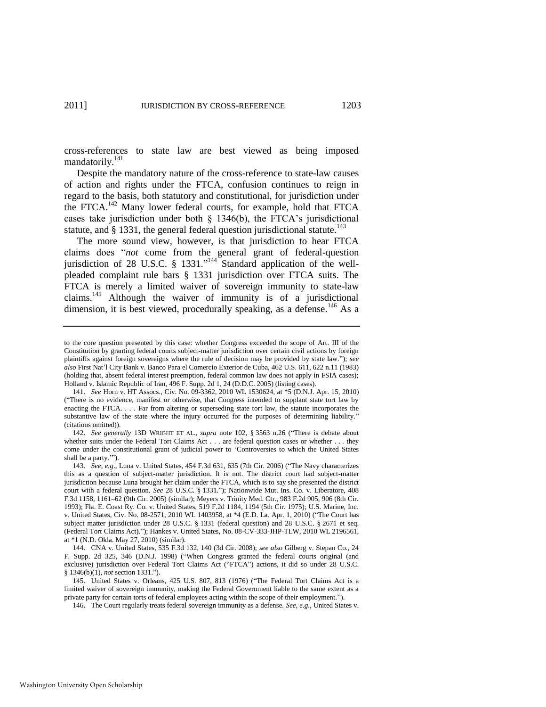cross-references to state law are best viewed as being imposed mandatorily.<sup>141</sup>

Despite the mandatory nature of the cross-reference to state-law causes of action and rights under the FTCA, confusion continues to reign in regard to the basis, both statutory and constitutional, for jurisdiction under the FTCA.<sup>142</sup> Many lower federal courts, for example, hold that FTCA cases take jurisdiction under both  $\S$  1346(b), the FTCA's jurisdictional statute, and  $\S$  1331, the general federal question jurisdictional statute.<sup>143</sup>

The more sound view, however, is that jurisdiction to hear FTCA claims does "not come from the general grant of federal-question jurisdiction of 28 U.S.C. § 1331."<sup>144</sup> Standard application of the wellpleaded complaint rule bars § 1331 jurisdiction over FTCA suits. The FTCA is merely a limited waiver of sovereign immunity to state-law claims.<sup>145</sup> Although the waiver of immunity is of a jurisdictional dimension, it is best viewed, procedurally speaking, as a defense.<sup>146</sup> As a

to the core question presented by this case: whether Congress exceeded the scope of Art. III of the Constitution by granting federal courts subject-matter jurisdiction over certain civil actions by foreign plaintiffs against foreign sovereigns where the rule of decision may be provided by state law."); see *also* First Nat'l City Bank v. Banco Para el Comercio Exterior de Cuba, 462 U.S. 611, 622 n.11 (1983) (holding that, absent federal interest preemption, federal common law does not apply in FSIA cases); Holland v. Islamic Republic of Iran, 496 F. Supp. 2d 1, 24 (D.D.C. 2005) (listing cases).

<sup>141.</sup> *See* Horn v. HT Assocs., Civ. No. 09-3362, 2010 WL 1530624, at \*5 (D.N.J. Apr. 15, 2010) (―There is no evidence, manifest or otherwise, that Congress intended to supplant state tort law by enacting the FTCA. . . . Far from altering or superseding state tort law, the statute incorporates the substantive law of the state where the injury occurred for the purposes of determining liability.' (citations omitted)).

<sup>142.</sup> *See generally* 13D WRIGHT ET AL., *supra* note [102,](#page-20-0) § 3563 n.26 ("There is debate about whether suits under the Federal Tort Claims Act . . . are federal question cases or whether . . . they come under the constitutional grant of judicial power to 'Controversies to which the United States shall be a party."").

<sup>143.</sup> *See, e.g.*, Luna v. United States, 454 F.3d 631, 635 (7th Cir. 2006) ("The Navy characterizes this as a question of subject-matter jurisdiction. It is not. The district court had subject-matter jurisdiction because Luna brought her claim under the FTCA, which is to say she presented the district court with a federal question. *See* 28 U.S.C. § 1331."); Nationwide Mut. Ins. Co. v. Liberatore, 408 F.3d 1158, 1161–62 (9th Cir. 2005) (similar); Meyers v. Trinity Med. Ctr., 983 F.2d 905, 906 (8th Cir. 1993); Fla. E. Coast Ry. Co. v. United States, 519 F.2d 1184, 1194 (5th Cir. 1975); U.S. Marine, Inc. v. United States, Civ. No. 08-2571, 2010 WL 1403958, at \*4 (E.D. La. Apr. 1, 2010) ("The Court has subject matter jurisdiction under 28 U.S.C. § 1331 (federal question) and 28 U.S.C. § 2671 et seq. (Federal Tort Claims Act).‖); Hankes v. United States, No. 08-CV-333-JHP-TLW, 2010 WL 2196561, at \*1 (N.D. Okla. May 27, 2010) (similar).

<sup>144.</sup> CNA v. United States, 535 F.3d 132, 140 (3d Cir. 2008); *see also* Gilberg v. Stepan Co., 24 F. Supp. 2d 325, 346 (D.N.J. 1998) ("When Congress granted the federal courts original (and exclusive) jurisdiction over Federal Tort Claims Act ("FTCA") actions, it did so under 28 U.S.C. § 1346(b)(1), *not* section 1331.").

<sup>145.</sup> United States v. Orleans, 425 U.S. 807, 813 (1976) ("The Federal Tort Claims Act is a limited waiver of sovereign immunity, making the Federal Government liable to the same extent as a private party for certain torts of federal employees acting within the scope of their employment.").

<sup>146.</sup> The Court regularly treats federal sovereign immunity as a defense. *See, e.g*., United States v.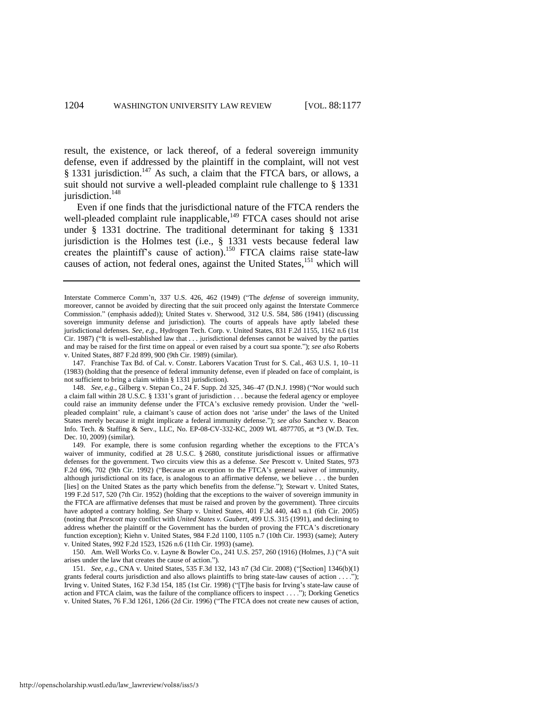result, the existence, or lack thereof, of a federal sovereign immunity defense, even if addressed by the plaintiff in the complaint, will not vest  $§$  1331 jurisdiction.<sup>147</sup> As such, a claim that the FTCA bars, or allows, a suit should not survive a well-pleaded complaint rule challenge to § 1331 jurisdiction.<sup>148</sup>

Even if one finds that the jurisdictional nature of the FTCA renders the well-pleaded complaint rule inapplicable,<sup>149</sup> FTCA cases should not arise under § 1331 doctrine. The traditional determinant for taking § 1331 jurisdiction is the Holmes test (i.e., § 1331 vests because federal law creates the plaintiff's cause of action).<sup>150</sup> FTCA claims raise state-law causes of action, not federal ones, against the United States,<sup>151</sup> which will

147. Franchise Tax Bd. of Cal. v. Constr. Laborers Vacation Trust for S. Cal., 463 U.S. 1, 10–11 (1983) (holding that the presence of federal immunity defense, even if pleaded on face of complaint, is not sufficient to bring a claim within § 1331 jurisdiction).

148. *See, e.g.*, Gilberg v. Stepan Co., 24 F. Supp. 2d 325, 346-47 (D.N.J. 1998) ("Nor would such a claim fall within 28 U.S.C. § 1331's grant of jurisdiction . . . because the federal agency or employee could raise an immunity defense under the FTCA's exclusive remedy provision. Under the 'wellpleaded complaint' rule, a claimant's cause of action does not 'arise under' the laws of the United States merely because it might implicate a federal immunity defense.‖); *see also* Sanchez v. Beacon Info. Tech. & Staffing & Serv., LLC, No. EP-08-CV-332-KC, 2009 WL 4877705, at \*3 (W.D. Tex. Dec. 10, 2009) (similar).

149. For example, there is some confusion regarding whether the exceptions to the FTCA's waiver of immunity, codified at 28 U.S.C. § 2680, constitute jurisdictional issues or affirmative defenses for the government. Two circuits view this as a defense. *See* Prescott v. United States, 973 F.2d 696, 702 (9th Cir. 1992) ("Because an exception to the FTCA's general waiver of immunity, although jurisdictional on its face, is analogous to an affirmative defense, we believe . . . the burden [lies] on the United States as the party which benefits from the defense."); Stewart v. United States, 199 F.2d 517, 520 (7th Cir. 1952) (holding that the exceptions to the waiver of sovereign immunity in the FTCA are affirmative defenses that must be raised and proven by the government). Three circuits have adopted a contrary holding. *See* Sharp v. United States, 401 F.3d 440, 443 n.1 (6th Cir. 2005) (noting that *Prescott* may conflict with *United States v. Gaubert*, 499 U.S. 315 (1991), and declining to address whether the plaintiff or the Government has the burden of proving the FTCA's discretionary function exception); Kiehn v. United States, 984 F.2d 1100, 1105 n.7 (10th Cir. 1993) (same); Autery v. United States, 992 F.2d 1523, 1526 n.6 (11th Cir. 1993) (same).

150. Am. Well Works Co. v. Layne & Bowler Co., 241 U.S. 257, 260 (1916) (Holmes, J.) ("A suit arises under the law that creates the cause of action.").

151. *See, e.g.*, CNA v. United States, 535 F.3d 132, 143 n7 (3d Cir. 2008) ("[Section] 1346(b)(1) grants federal courts jurisdiction and also allows plaintiffs to bring state-law causes of action . . . ."); Irving v. United States, 162 F.3d 154, 185 (1st Cir. 1998) ("[T]he basis for Irving's state-law cause of action and FTCA claim, was the failure of the compliance officers to inspect . . . ."); Dorking Genetics v. United States, 76 F.3d 1261, 1266 (2d Cir. 1996) ("The FTCA does not create new causes of action,

Interstate Commerce Comm'n, 337 U.S. 426, 462 (1949) ("The *defense* of sovereign immunity, moreover, cannot be avoided by directing that the suit proceed only against the Interstate Commerce Commission." (emphasis added)); United States v. Sherwood, 312 U.S. 584, 586 (1941) (discussing sovereign immunity defense and jurisdiction). The courts of appeals have aptly labeled these jurisdictional defenses. *See, e.g*., Hydrogen Tech. Corp. v. United States, 831 F.2d 1155, 1162 n.6 (1st Cir. 1987) ("It is well-established law that  $\dots$  jurisdictional defenses cannot be waived by the parties and may be raised for the first time on appeal or even raised by a court sua sponte."); see also Roberts v. United States, 887 F.2d 899, 900 (9th Cir. 1989) (similar).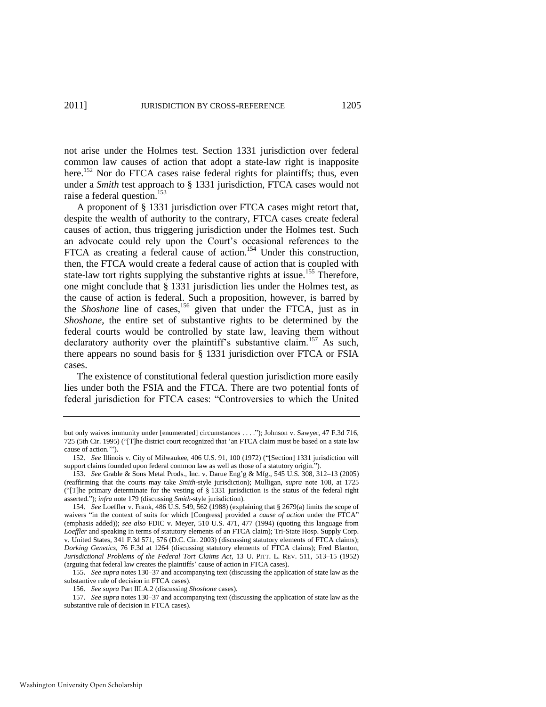not arise under the Holmes test. Section 1331 jurisdiction over federal common law causes of action that adopt a state-law right is inapposite here.<sup>152</sup> Nor do FTCA cases raise federal rights for plaintiffs; thus, even under a *Smith* test approach to § 1331 jurisdiction, FTCA cases would not raise a federal question.<sup>153</sup>

A proponent of § 1331 jurisdiction over FTCA cases might retort that, despite the wealth of authority to the contrary, FTCA cases create federal causes of action, thus triggering jurisdiction under the Holmes test. Such an advocate could rely upon the Court's occasional references to the FTCA as creating a federal cause of action.<sup>154</sup> Under this construction, then, the FTCA would create a federal cause of action that is coupled with state-law tort rights supplying the substantive rights at issue.<sup>155</sup> Therefore, one might conclude that § 1331 jurisdiction lies under the Holmes test, as the cause of action is federal. Such a proposition, however, is barred by the *Shoshone* line of cases,<sup>156</sup> given that under the FTCA, just as in *Shoshone*, the entire set of substantive rights to be determined by the federal courts would be controlled by state law, leaving them without declaratory authority over the plaintiff's substantive claim.<sup>157</sup> As such, there appears no sound basis for § 1331 jurisdiction over FTCA or FSIA cases.

The existence of constitutional federal question jurisdiction more easily lies under both the FSIA and the FTCA. There are two potential fonts of federal jurisdiction for FTCA cases: "Controversies to which the United

but only waives immunity under [enumerated] circumstances . . . ."); Johnson v. Sawyer, 47 F.3d 716, 725 (5th Cir. 1995) ("[T]he district court recognized that 'an FTCA claim must be based on a state law cause of action."").

<sup>152.</sup> See Illinois v. City of Milwaukee, 406 U.S. 91, 100 (1972) ("[Section] 1331 jurisdiction will support claims founded upon federal common law as well as those of a statutory origin.").

<sup>153.</sup> *See* Grable & Sons Metal Prods., Inc. v. Darue Eng'g & Mfg., 545 U.S. 308, 312–13 (2005) (reaffirming that the courts may take *Smith*-style jurisdiction); Mulligan, *supra* note [108,](#page-21-0) at 1725 ("T]he primary determinate for the vesting of  $\S$  1331 jurisdiction is the status of the federal right asserted.‖); *infra* not[e 179 \(](#page-33-0)discussing *Smith*-style jurisdiction).

<sup>154.</sup> *See* Loeffler v. Frank, 486 U.S. 549, 562 (1988) (explaining that § 2679(a) limits the scope of waivers "in the context of suits for which [Congress] provided a *cause of action* under the FTCA" (emphasis added)); *see also* FDIC v. Meyer, 510 U.S. 471, 477 (1994) (quoting this language from *Loeffler* and speaking in terms of statutory elements of an FTCA claim); Tri-State Hosp. Supply Corp. v. United States, 341 F.3d 571, 576 (D.C. Cir. 2003) (discussing statutory elements of FTCA claims); *Dorking Genetics*, 76 F.3d at 1264 (discussing statutory elements of FTCA claims); Fred Blanton, *Jurisdictional Problems of the Federal Tort Claims Act*, 13 U. PITT. L. REV. 511, 513–15 (1952) (arguing that federal law creates the plaintiffs' cause of action in FTCA cases).

<sup>155.</sup> *See supra* notes 130–37 and accompanying text (discussing the application of state law as the substantive rule of decision in FTCA cases).

<sup>156.</sup> *See supra* Part III.A.2 (discussing *Shoshone* cases).

<sup>157.</sup> *See supra* notes 130–37 and accompanying text (discussing the application of state law as the substantive rule of decision in FTCA cases).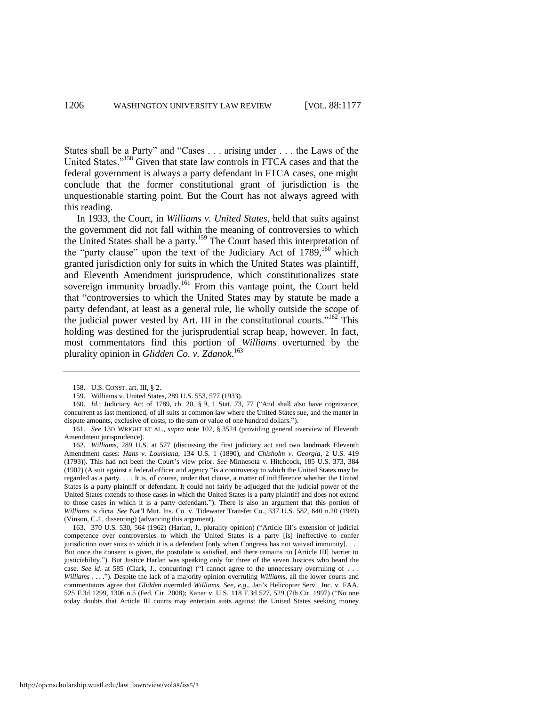States shall be a Party" and "Cases . . . arising under . . . the Laws of the United States."<sup>158</sup> Given that state law controls in FTCA cases and that the federal government is always a party defendant in FTCA cases, one might conclude that the former constitutional grant of jurisdiction is the unquestionable starting point. But the Court has not always agreed with this reading.

In 1933, the Court, in *Williams v. United States*, held that suits against the government did not fall within the meaning of controversies to which the United States shall be a party.<sup>159</sup> The Court based this interpretation of the "party clause" upon the text of the Judiciary Act of 1789,<sup>160</sup> which granted jurisdiction only for suits in which the United States was plaintiff, and Eleventh Amendment jurisprudence, which constitutionalizes state sovereign immunity broadly.<sup>161</sup> From this vantage point, the Court held that "controversies to which the United States may by statute be made a party defendant, at least as a general rule, lie wholly outside the scope of the judicial power vested by Art. III in the constitutional courts."<sup>162</sup> This holding was destined for the jurisprudential scrap heap, however. In fact, most commentators find this portion of *Williams* overturned by the plurality opinion in *Glidden Co. v. Zdanok*. 163

<sup>158.</sup> U.S. CONST. art. III, § 2.

<sup>159.</sup> Williams v. United States, 289 U.S. 553, 577 (1933).

<sup>160.</sup> *Id.*; Judiciary Act of 1789, ch. 20, § 9, 1 Stat. 73, 77 ("And shall also have cognizance, concurrent as last mentioned, of all suits at common law where the United States sue, and the matter in dispute amounts, exclusive of costs, to the sum or value of one hundred dollars.").

<sup>161.</sup> *See* 13D WRIGHT ET AL., *supra* note [102,](#page-20-0) § 3524 (providing general overview of Eleventh Amendment jurisprudence).

<sup>162.</sup> *Williams*, 289 U.S. at 577 (discussing the first judiciary act and two landmark Eleventh Amendment cases: *Hans v. Louisiana*, 134 U.S. 1 (1890), and *Chisholm v. Georgia*, 2 U.S. 419 (1793)). This had not been the Court's view prior. *See* Minnesota v. Hitchcock, 185 U.S. 373, 384 (1902) (A suit against a federal officer and agency "is a controversy to which the United States may be regarded as a party. . . . It is, of course, under that clause, a matter of indifference whether the United States is a party plaintiff or defendant. It could not fairly be adjudged that the judicial power of the United States extends to those cases in which the United States is a party plaintiff and does not extend to those cases in which it is a party defendant."). There is also an argument that this portion of *Williams* is dicta. *See* Nat'l Mut. Ins. Co. v. Tidewater Transfer Co., 337 U.S. 582, 640 n.20 (1949) (Vinson, C.J., dissenting) (advancing this argument).

<sup>163. 370</sup> U.S. 530, 564 (1962) (Harlan, J., plurality opinion) ("Article III's extension of judicial competence over controversies to which the United States is a party [is] ineffective to confer jurisdiction over suits to which it is a defendant [only when Congress has not waived immunity]. . . . But once the consent is given, the postulate is satisfied, and there remains no [Article III] barrier to justiciability."). But Justice Harlan was speaking only for three of the seven Justices who heard the case. *See id.* at 585 (Clark, J., concurring) ("I cannot agree to the unnecessary overruling of . . . *Williams* . . . ."). Despite the lack of a majority opinion overruling *Williams*, all the lower courts and commentators agree that *Glidden* overruled *Williams*. *See, e.g*., Jan's Helicopter Serv., Inc. v. FAA, 525 F.3d 1299, 1306 n.5 (Fed. Cir. 2008); Kanar v. U.S. 118 F.3d 527, 529 (7th Cir. 1997) ("No one today doubts that Article III courts may entertain suits against the United States seeking money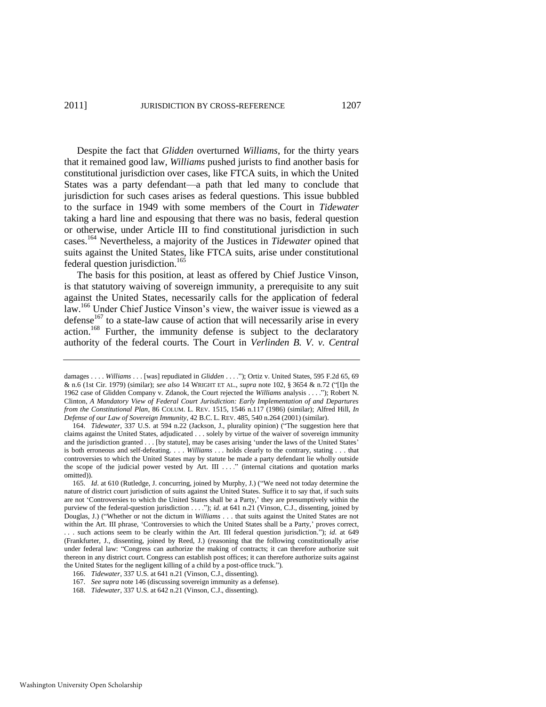Despite the fact that *Glidden* overturned *Williams*, for the thirty years that it remained good law, *Williams* pushed jurists to find another basis for constitutional jurisdiction over cases, like FTCA suits, in which the United States was a party defendant—a path that led many to conclude that jurisdiction for such cases arises as federal questions. This issue bubbled to the surface in 1949 with some members of the Court in *Tidewater*  taking a hard line and espousing that there was no basis, federal question or otherwise, under Article III to find constitutional jurisdiction in such cases.<sup>164</sup> Nevertheless, a majority of the Justices in *Tidewater* opined that suits against the United States, like FTCA suits, arise under constitutional federal question jurisdiction.<sup>165</sup>

The basis for this position, at least as offered by Chief Justice Vinson, is that statutory waiving of sovereign immunity, a prerequisite to any suit against the United States, necessarily calls for the application of federal law.<sup>166</sup> Under Chief Justice Vinson's view, the waiver issue is viewed as a defense $167$  to a state-law cause of action that will necessarily arise in every action.<sup>168</sup> Further, the immunity defense is subject to the declaratory authority of the federal courts. The Court in *Verlinden B. V. v. Central* 

168. *Tidewater*, 337 U.S. at 642 n.21 (Vinson, C.J., dissenting).

damages . . . . *Williams* . . . [was] repudiated in *Glidden . . .* ."); Ortiz v. United States, 595 F.2d 65, 69 & n.6 (1st Cir. 1979) (similar); *see also* 14 WRIGHT ET AL., *supra* note [102,](#page-20-0) § 3654 & n.72 (―[I]n the 1962 case of Glidden Company v. Zdanok, the Court rejected the *Williams* analysis . . . ."); Robert N. Clinton, *A Mandatory View of Federal Court Jurisdiction: Early Implementation of and Departures from the Constitutional Plan*, 86 COLUM. L. REV. 1515, 1546 n.117 (1986) (similar); Alfred Hill, *In Defense of our Law of Sovereign Immunity*, 42 B.C. L. REV. 485, 540 n.264 (2001) (similar).

<sup>164.</sup> *Tidewater*, 337 U.S. at 594 n.22 (Jackson, J., plurality opinion) ("The suggestion here that claims against the United States, adjudicated . . . solely by virtue of the waiver of sovereign immunity and the jurisdiction granted . . . [by statute], may be cases arising 'under the laws of the United States' is both erroneous and self-defeating. . . . *Williams* . . . holds clearly to the contrary, stating . . . that controversies to which the United States may by statute be made a party defendant lie wholly outside the scope of the judicial power vested by Art. III  $\dots$ ." (internal citations and quotation marks omitted)).

<sup>165.</sup> *Id.* at 610 (Rutledge, J. concurring, joined by Murphy, J.) ("We need not today determine the nature of district court jurisdiction of suits against the United States. Suffice it to say that, if such suits are not ‗Controversies to which the United States shall be a Party,' they are presumptively within the purview of the federal-question jurisdiction . . . ."); *id*. at 641 n.21 (Vinson, C.J., dissenting, joined by Douglas, J.) ("Whether or not the dictum in *Williams* . . . that suits against the United States are not within the Art. III phrase, 'Controversies to which the United States shall be a Party,' proves correct, ... such actions seem to be clearly within the Art. III federal question jurisdiction."); *id.* at 649 (Frankfurter, J., dissenting, joined by Reed, J.) (reasoning that the following constitutionally arise under federal law: "Congress can authorize the making of contracts; it can therefore authorize suit thereon in any district court. Congress can establish post offices; it can therefore authorize suits against the United States for the negligent killing of a child by a post-office truck.").

<sup>166.</sup> *Tidewater*, 337 U.S. at 641 n.21 (Vinson, C.J., dissenting).

<sup>167.</sup> *See supra* note 146 (discussing sovereign immunity as a defense).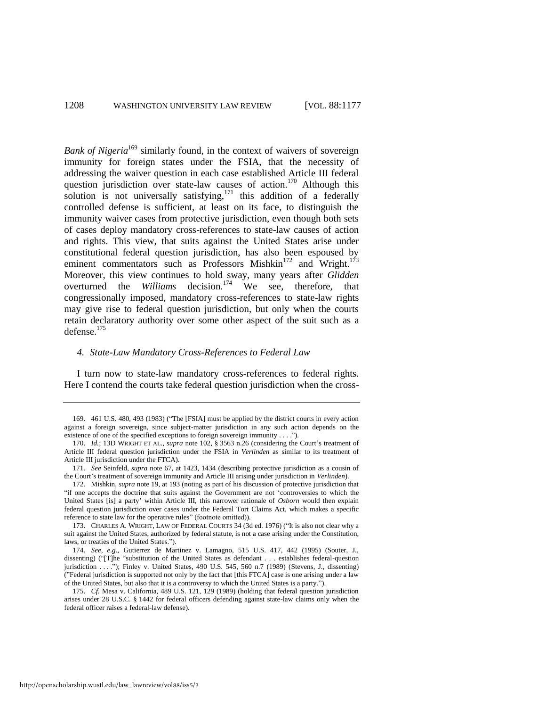*Bank of Nigeria*<sup>169</sup> similarly found, in the context of waivers of sovereign immunity for foreign states under the FSIA, that the necessity of addressing the waiver question in each case established Article III federal question jurisdiction over state-law causes of action.<sup>170</sup> Although this solution is not universally satisfying,  $171$  this addition of a federally controlled defense is sufficient, at least on its face, to distinguish the immunity waiver cases from protective jurisdiction, even though both sets of cases deploy mandatory cross-references to state-law causes of action and rights. This view, that suits against the United States arise under constitutional federal question jurisdiction, has also been espoused by eminent commentators such as Professors Mishkin<sup>172</sup> and Wright.<sup>173</sup> Moreover, this view continues to hold sway, many years after *Glidden* overturned the *Williams* decision.<sup>174</sup> We see, therefore, that congressionally imposed, mandatory cross-references to state-law rights may give rise to federal question jurisdiction, but only when the courts retain declaratory authority over some other aspect of the suit such as a defense.<sup>175</sup>

## *4. State-Law Mandatory Cross-References to Federal Law*

I turn now to state-law mandatory cross-references to federal rights. Here I contend the courts take federal question jurisdiction when the cross-

<sup>169. 461</sup> U.S. 480, 493 (1983) ("The [FSIA] must be applied by the district courts in every action against a foreign sovereign, since subject-matter jurisdiction in any such action depends on the existence of one of the specified exceptions to foreign sovereign immunity . . . .").

<sup>170.</sup> *Id.*; 13D WRIGHT ET AL., *supra* note [102,](#page-20-0) § 3563 n.26 (considering the Court's treatment of Article III federal question jurisdiction under the FSIA in *Verlinden* as similar to its treatment of Article III jurisdiction under the FTCA).

<sup>171.</sup> *See* Seinfeld, *supra* note 67, at 1423, 1434 (describing protective jurisdiction as a cousin of the Court's treatment of sovereign immunity and Article III arising under jurisdiction in *Verlinden*).

<sup>172.</sup> Mishkin, *supra* note 19, at 193 (noting as part of his discussion of protective jurisdiction that ―if one accepts the doctrine that suits against the Government are not ‗controversies to which the United States [is] a party' within Article III, this narrower rationale of *Osborn* would then explain federal question jurisdiction over cases under the Federal Tort Claims Act, which makes a specific reference to state law for the operative rules" (footnote omitted)).

<sup>173.</sup> CHARLES A. WRIGHT, LAW OF FEDERAL COURTS 34 (3d ed. 1976) ("It is also not clear why a suit against the United States, authorized by federal statute, is not a case arising under the Constitution, laws, or treaties of the United States.").

<sup>174.</sup> *See, e.g*., Gutierrez de Martinez v. Lamagno, 515 U.S. 417, 442 (1995) (Souter, J., dissenting) ("[T]he "substitution of the United States as defendant . . . establishes federal-question jurisdiction . . . ."); Finley v. United States, 490 U.S. 545, 560 n.7 (1989) (Stevens, J., dissenting) (‖Federal jurisdiction is supported not only by the fact that [this FTCA] case is one arising under a law of the United States, but also that it is a controversy to which the United States is a party.").

<sup>175.</sup> *Cf.* Mesa v. California, 489 U.S. 121, 129 (1989) (holding that federal question jurisdiction arises under 28 U.S.C. § 1442 for federal officers defending against state-law claims only when the federal officer raises a federal-law defense).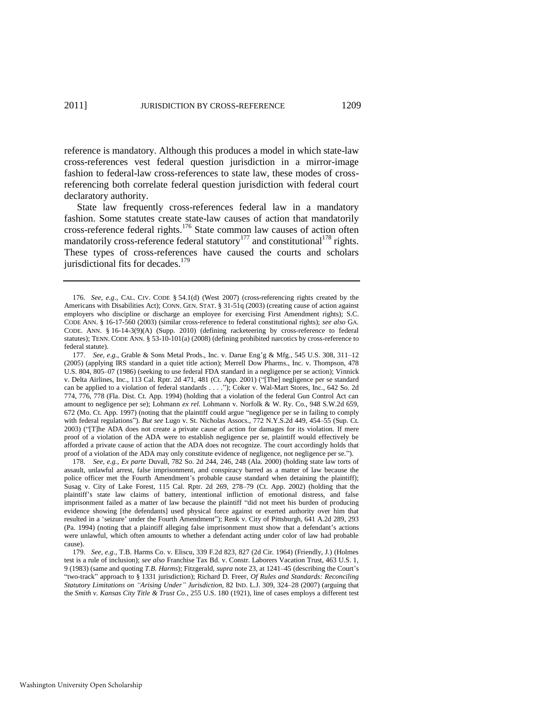reference is mandatory. Although this produces a model in which state-law cross-references vest federal question jurisdiction in a mirror-image fashion to federal-law cross-references to state law, these modes of crossreferencing both correlate federal question jurisdiction with federal court declaratory authority.

State law frequently cross-references federal law in a mandatory fashion. Some statutes create state-law causes of action that mandatorily cross-reference federal rights.<sup>176</sup> State common law causes of action often mandatorily cross-reference federal statutory<sup>177</sup> and constitutional<sup>178</sup> rights. These types of cross-references have caused the courts and scholars jurisdictional fits for decades.<sup>179</sup>

<span id="page-33-0"></span><sup>176.</sup> *See, e.g*., CAL. CIV. CODE § 54.1(d) (West 2007) (cross-referencing rights created by the Americans with Disabilities Act); CONN. GEN. STAT. § 31-51q (2003) (creating cause of action against employers who discipline or discharge an employee for exercising First Amendment rights); S.C. CODE ANN. § 16-17-560 (2003) (similar cross-reference to federal constitutional rights); *see also* GA. CODE. ANN. § 16-14-3(9)(A) (Supp. 2010) (defining racketeering by cross-reference to federal statutes); TENN. CODE ANN. § 53-10-101(a) (2008) (defining prohibited narcotics by cross-reference to federal statute).

<sup>177.</sup> *See, e.g.*, Grable & Sons Metal Prods., Inc. v. Darue Eng'g & Mfg., 545 U.S. 308, 311–12 (2005) (applying IRS standard in a quiet title action); Merrell Dow Pharms., Inc. v. Thompson, 478 U.S. 804, 805–07 (1986) (seeking to use federal FDA standard in a negligence per se action); Vinnick v. Delta Airlines, Inc., 113 Cal. Rptr. 2d 471, 481 (Ct. App. 2001) ("[The] negligence per se standard can be applied to a violation of federal standards . . . ."); Coker v. Wal-Mart Stores, Inc., 642 So. 2d 774, 776, 778 (Fla. Dist. Ct. App. 1994) (holding that a violation of the federal Gun Control Act can amount to negligence per se); Lohmann *ex rel.* Lohmann v. Norfolk & W. Ry. Co., 948 S.W.2d 659, 672 (Mo. Ct. App. 1997) (noting that the plaintiff could argue "negligence per se in failing to comply with federal regulations"). *But see* Lugo v. St. Nicholas Assocs., 772 N.Y.S.2d 449, 454–55 (Sup. Ct. 2003) ("The ADA does not create a private cause of action for damages for its violation. If mere proof of a violation of the ADA were to establish negligence per se, plaintiff would effectively be afforded a private cause of action that the ADA does not recognize. The court accordingly holds that proof of a violation of the ADA may only constitute evidence of negligence, not negligence per se.").

<sup>178.</sup> *See, e.g.*, *Ex parte* Duvall, 782 So. 2d 244, 246, 248 (Ala. 2000) (holding state law torts of assault, unlawful arrest, false imprisonment, and conspiracy barred as a matter of law because the police officer met the Fourth Amendment's probable cause standard when detaining the plaintiff); Susag v. City of Lake Forest, 115 Cal. Rptr. 2d 269, 278–79 (Ct. App. 2002) (holding that the plaintiff's state law claims of battery, intentional infliction of emotional distress, and false imprisonment failed as a matter of law because the plaintiff "did not meet his burden of producing evidence showing [the defendants] used physical force against or exerted authority over him that resulted in a 'seizure' under the Fourth Amendment"); Renk v. City of Pittsburgh, 641 A.2d 289, 293 (Pa. 1994) (noting that a plaintiff alleging false imprisonment must show that a defendant's actions were unlawful, which often amounts to whether a defendant acting under color of law had probable cause).

<sup>179.</sup> *See, e.g*., T.B. Harms Co. v. Eliscu, 339 F.2d 823, 827 (2d Cir. 1964) (Friendly, J.) (Holmes test is a rule of inclusion); *see also* Franchise Tax Bd. v. Constr. Laborers Vacation Trust, 463 U.S. 1, 9 (1983) (same and quoting *T.B. Harms*); Fitzgerald, *supra* not[e 23,](#page-7-1) at 1241–45 (describing the Court's ―two-track‖ approach to § 1331 jurisdiction); Richard D. Freer, *Of Rules and Standards: Reconciling Statutory Limitations on "Arising Under" Jurisdiction*, 82 IND. L.J. 309, 324–28 (2007) (arguing that the *Smith v. Kansas City Title & Trust Co.*, 255 U.S. 180 (1921), line of cases employs a different test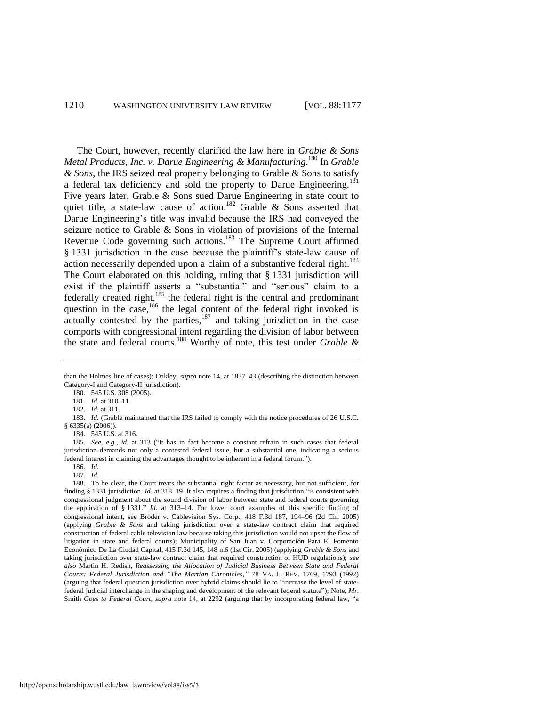The Court, however, recently clarified the law here in *Grable & Sons Metal Products, Inc. v. Darue Engineering & Manufacturing*. <sup>180</sup> In *Grable & Sons*, the IRS seized real property belonging to Grable & Sons to satisfy a federal tax deficiency and sold the property to Darue Engineering.<sup>181</sup> Five years later, Grable & Sons sued Darue Engineering in state court to quiet title, a state-law cause of action.<sup>182</sup> Grable & Sons asserted that Darue Engineering's title was invalid because the IRS had conveyed the seizure notice to Grable & Sons in violation of provisions of the Internal Revenue Code governing such actions.<sup>183</sup> The Supreme Court affirmed § 1331 jurisdiction in the case because the plaintiff's state-law cause of action necessarily depended upon a claim of a substantive federal right.<sup>184</sup> The Court elaborated on this holding, ruling that § 1331 jurisdiction will exist if the plaintiff asserts a "substantial" and "serious" claim to a federally created right,<sup>185</sup> the federal right is the central and predominant question in the case,<sup>186</sup> the legal content of the federal right invoked is actually contested by the parties, $187$  and taking jurisdiction in the case comports with congressional intent regarding the division of labor between the state and federal courts.<sup>188</sup> Worthy of note, this test under *Grable &* 

181. *Id.* at 310–11.

than the Holmes line of cases); Oakley, *supra* not[e 14,](#page-4-0) at 1837–43 (describing the distinction between Category-I and Category-II jurisdiction).

<sup>180. 545</sup> U.S. 308 (2005).

<sup>182.</sup> *Id.* at 311.

<sup>183.</sup> *Id.* (Grable maintained that the IRS failed to comply with the notice procedures of 26 U.S.C. § 6335(a) (2006)).

<sup>184. 545</sup> U.S. at 316.

<sup>185.</sup> See, e.g., id. at 313 ("It has in fact become a constant refrain in such cases that federal jurisdiction demands not only a contested federal issue, but a substantial one, indicating a serious federal interest in claiming the advantages thought to be inherent in a federal forum.").

<sup>186.</sup> *Id.*

<sup>187.</sup> *Id.*

<sup>188.</sup> To be clear, the Court treats the substantial right factor as necessary, but not sufficient, for finding § 1331 jurisdiction. *Id.* at 318–19. It also requires a finding that jurisdiction "is consistent with congressional judgment about the sound division of labor between state and federal courts governing the application of § 1331." *Id.* at 313–14. For lower court examples of this specific finding of congressional intent, see Broder v. Cablevision Sys. Corp., 418 F.3d 187, 19496 (2d Cir. 2005) (applying *Grable & Sons* and taking jurisdiction over a state-law contract claim that required construction of federal cable television law because taking this jurisdiction would not upset the flow of litigation in state and federal courts); Municipality of San Juan v. Corporación Para El Fomento Económico De La Ciudad Capital, 415 F.3d 145, 148 n.6 (1st Cir. 2005) (applying *Grable & Sons* and taking jurisdiction over state-law contract claim that required construction of HUD regulations); *see also* Martin H. Redish, *Reassessing the Allocation of Judicial Business Between State and Federal Courts: Federal Jurisdiction and "The Martian Chronicles*,*"* 78 VA. L. REV. 1769, 1793 (1992) (arguing that federal question jurisdiction over hybrid claims should lie to "increase the level of statefederal judicial interchange in the shaping and development of the relevant federal statute"); Note, *Mr.* Smith Goes to Federal Court, *supra* note [14,](#page-4-0) at 2292 (arguing that by incorporating federal law, "a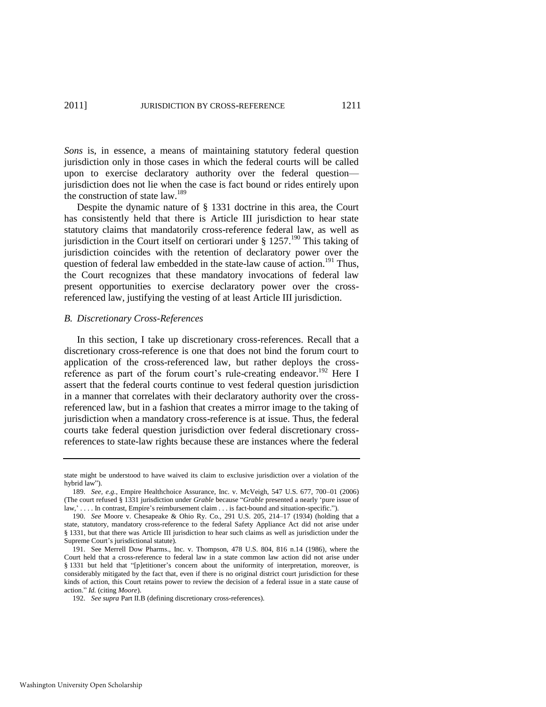*Sons* is, in essence, a means of maintaining statutory federal question jurisdiction only in those cases in which the federal courts will be called upon to exercise declaratory authority over the federal question jurisdiction does not lie when the case is fact bound or rides entirely upon the construction of state law.<sup>189</sup>

Despite the dynamic nature of § 1331 doctrine in this area, the Court has consistently held that there is Article III jurisdiction to hear state statutory claims that mandatorily cross-reference federal law, as well as jurisdiction in the Court itself on certiorari under  $\S 1257$ <sup>190</sup> This taking of jurisdiction coincides with the retention of declaratory power over the question of federal law embedded in the state-law cause of action.<sup>191</sup> Thus, the Court recognizes that these mandatory invocations of federal law present opportunities to exercise declaratory power over the crossreferenced law, justifying the vesting of at least Article III jurisdiction.

## *B. Discretionary Cross-References*

In this section, I take up discretionary cross-references. Recall that a discretionary cross-reference is one that does not bind the forum court to application of the cross-referenced law, but rather deploys the crossreference as part of the forum court's rule-creating endeavor.<sup>192</sup> Here I assert that the federal courts continue to vest federal question jurisdiction in a manner that correlates with their declaratory authority over the crossreferenced law, but in a fashion that creates a mirror image to the taking of jurisdiction when a mandatory cross-reference is at issue. Thus, the federal courts take federal question jurisdiction over federal discretionary crossreferences to state-law rights because these are instances where the federal

state might be understood to have waived its claim to exclusive jurisdiction over a violation of the hybrid law").

<sup>189.</sup> *See, e.g.*, Empire Healthchoice Assurance, Inc. v. McVeigh, 547 U.S. 677, 700–01 (2006) (The court refused § 1331 jurisdiction under *Grable* because "*Grable* presented a nearly 'pure issue of law,'.... In contrast, Empire's reimbursement claim ... is fact-bound and situation-specific.").

<sup>190.</sup> *See* Moore v. Chesapeake & Ohio Ry. Co., 291 U.S. 205, 214–17 (1934) (holding that a state, statutory, mandatory cross-reference to the federal Safety Appliance Act did not arise under § 1331, but that there was Article III jurisdiction to hear such claims as well as jurisdiction under the Supreme Court's jurisdictional statute).

<sup>191.</sup> See Merrell Dow Pharms., Inc. v. Thompson, 478 U.S. 804, 816 n.14 (1986), where the Court held that a cross-reference to federal law in a state common law action did not arise under § 1331 but held that "[p]etitioner's concern about the uniformity of interpretation, moreover, is considerably mitigated by the fact that, even if there is no original district court jurisdiction for these kinds of action, this Court retains power to review the decision of a federal issue in a state cause of action.‖ *Id.* (citing *Moore*).

<sup>192.</sup> *See supra* Part II.B (defining discretionary cross-references).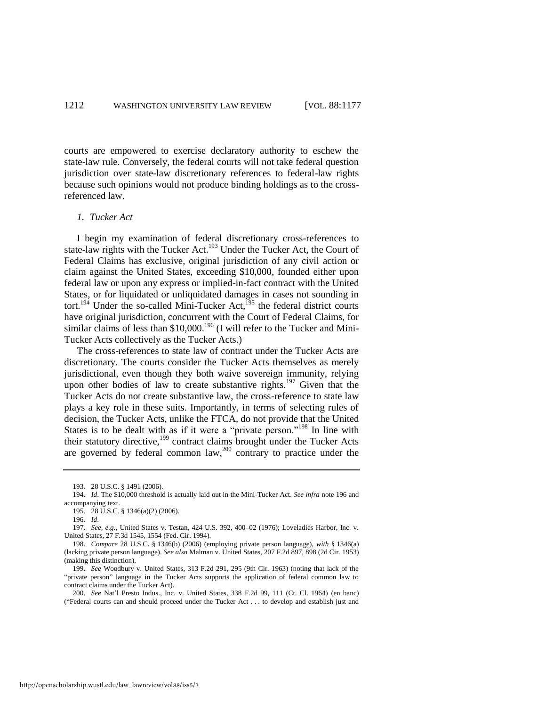courts are empowered to exercise declaratory authority to eschew the state-law rule. Conversely, the federal courts will not take federal question jurisdiction over state-law discretionary references to federal-law rights because such opinions would not produce binding holdings as to the crossreferenced law.

## *1. Tucker Act*

I begin my examination of federal discretionary cross-references to state-law rights with the Tucker Act.<sup>193</sup> Under the Tucker Act, the Court of Federal Claims has exclusive, original jurisdiction of any civil action or claim against the United States, exceeding \$10,000, founded either upon federal law or upon any express or implied-in-fact contract with the United States, or for liquidated or unliquidated damages in cases not sounding in tort.<sup>194</sup> Under the so-called Mini-Tucker Act,<sup>195</sup> the federal district courts have original jurisdiction, concurrent with the Court of Federal Claims, for similar claims of less than  $$10,000$ .<sup>196</sup> (I will refer to the Tucker and Mini-Tucker Acts collectively as the Tucker Acts.)

<span id="page-36-0"></span>The cross-references to state law of contract under the Tucker Acts are discretionary. The courts consider the Tucker Acts themselves as merely jurisdictional, even though they both waive sovereign immunity, relying upon other bodies of law to create substantive rights.<sup>197</sup> Given that the Tucker Acts do not create substantive law, the cross-reference to state law plays a key role in these suits. Importantly, in terms of selecting rules of decision, the Tucker Acts, unlike the FTCA, do not provide that the United States is to be dealt with as if it were a "private person."<sup>198</sup> In line with their statutory directive,<sup>199</sup> contract claims brought under the Tucker Acts are governed by federal common law,<sup>200</sup> contrary to practice under the

<sup>193. 28</sup> U.S.C. § 1491 (2006).

<sup>194.</sup> *Id*. The \$10,000 threshold is actually laid out in the Mini-Tucker Act. *See infra* not[e 196](#page-36-0) and accompanying text.

<sup>195. 28</sup> U.S.C. § 1346(a)(2) (2006).

<sup>196.</sup> *Id*.

<sup>197.</sup> *See, e.g.*, United States v. Testan, 424 U.S. 392, 400–02 (1976); Loveladies Harbor, Inc. v. United States, 27 F.3d 1545, 1554 (Fed. Cir. 1994).

<sup>198.</sup> *Compare* 28 U.S.C. § 1346(b) (2006) (employing private person language), *with* § 1346(a) (lacking private person language). *See also* Malman v. United States, 207 F.2d 897, 898 (2d Cir. 1953) (making this distinction).

<sup>199.</sup> *See* Woodbury v. United States, 313 F.2d 291, 295 (9th Cir. 1963) (noting that lack of the "private person" language in the Tucker Acts supports the application of federal common law to contract claims under the Tucker Act).

<sup>200.</sup> *See* Nat'l Presto Indus., Inc. v. United States, 338 F.2d 99, 111 (Ct. Cl. 1964) (en banc) (―Federal courts can and should proceed under the Tucker Act . . . to develop and establish just and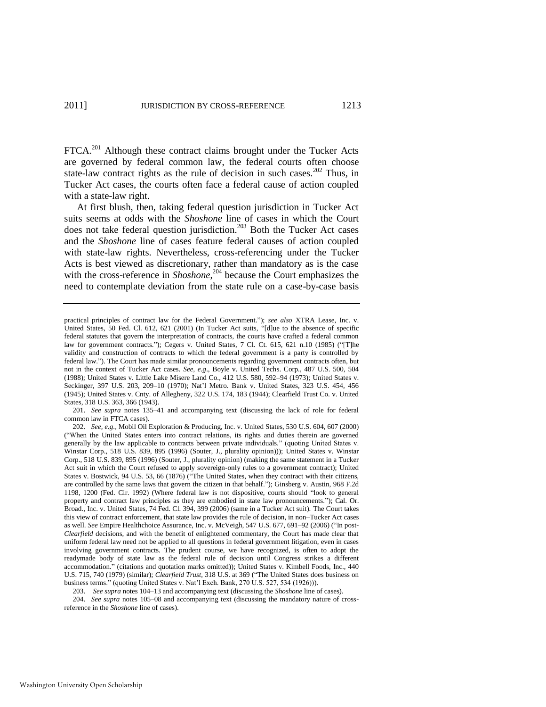FTCA.<sup>201</sup> Although these contract claims brought under the Tucker Acts are governed by federal common law, the federal courts often choose state-law contract rights as the rule of decision in such cases.<sup>202</sup> Thus, in Tucker Act cases, the courts often face a federal cause of action coupled with a state-law right.

At first blush, then, taking federal question jurisdiction in Tucker Act suits seems at odds with the *Shoshone* line of cases in which the Court does not take federal question jurisdiction.<sup>203</sup> Both the Tucker Act cases and the *Shoshone* line of cases feature federal causes of action coupled with state-law rights. Nevertheless, cross-referencing under the Tucker Acts is best viewed as discretionary, rather than mandatory as is the case with the cross-reference in *Shoshone*,<sup>204</sup> because the Court emphasizes the need to contemplate deviation from the state rule on a case-by-case basis

201. *See supra* notes 135–41 and accompanying text (discussing the lack of role for federal common law in FTCA cases).

204. *See supra* notes [105–](#page-21-2)08 and accompanying text (discussing the mandatory nature of crossreference in the *Shoshone* line of cases).

practical principles of contract law for the Federal Government.‖); *see also* XTRA Lease, Inc. v. United States,  $50$  Fed. Cl. 612, 621 (2001) (In Tucker Act suits, "[d]ue to the absence of specific federal statutes that govern the interpretation of contracts, the courts have crafted a federal common law for government contracts."); Cegers v. United States, 7 Cl. Ct. 615, 621 n.10 (1985) ("The validity and construction of contracts to which the federal government is a party is controlled by federal law.‖). The Court has made similar pronouncements regarding government contracts often, but not in the context of Tucker Act cases. *See, e.g*., Boyle v. United Techs. Corp., 487 U.S. 500, 504 (1988); United States v. Little Lake Misere Land Co., 412 U.S. 580, 592–94 (1973); United States v. Seckinger, 397 U.S. 203, 209–10 (1970); Nat'l Metro. Bank v. United States, 323 U.S. 454, 456 (1945); United States v. Cnty. of Allegheny, 322 U.S. 174, 183 (1944); Clearfield Trust Co. v. United States, 318 U.S. 363, 366 (1943).

<sup>202.</sup> *See, e.g*., Mobil Oil Exploration & Producing, Inc. v. United States, 530 U.S. 604, 607 (2000) (―When the United States enters into contract relations, its rights and duties therein are governed generally by the law applicable to contracts between private individuals." (quoting United States v. Winstar Corp., 518 U.S. 839, 895 (1996) (Souter, J., plurality opinion))); United States v. Winstar Corp., 518 U.S. 839, 895 (1996) (Souter, J., plurality opinion) (making the same statement in a Tucker Act suit in which the Court refused to apply sovereign-only rules to a government contract); United States v. Bostwick, 94 U.S. 53, 66 (1876) ("The United States, when they contract with their citizens, are controlled by the same laws that govern the citizen in that behalf."); Ginsberg v. Austin, 968 F.2d 1198, 1200 (Fed. Cir. 1992) (Where federal law is not dispositive, courts should "look to general property and contract law principles as they are embodied in state law pronouncements."); Cal. Or. Broad., Inc. v. United States, 74 Fed. Cl. 394, 399 (2006) (same in a Tucker Act suit). The Court takes this view of contract enforcement, that state law provides the rule of decision, in non–Tucker Act cases as well. *See* Empire Healthchoice Assurance, Inc. v. McVeigh, 547 U.S. 677, 691-92 (2006) ("In post-*Clearfield* decisions, and with the benefit of enlightened commentary, the Court has made clear that uniform federal law need not be applied to all questions in federal government litigation, even in cases involving government contracts. The prudent course, we have recognized, is often to adopt the readymade body of state law as the federal rule of decision until Congress strikes a different accommodation." (citations and quotation marks omitted)); United States v. Kimbell Foods, Inc., 440 U.S. 715, 740 (1979) (similar); *Clearfield Trust*, 318 U.S. at 369 ("The United States does business on business terms." (quoting United States v. Nat'l Exch. Bank, 270 U.S. 527, 534 (1926))).

<sup>203.</sup> *See supra* note[s 104–](#page-21-1)13 and accompanying text (discussing the *Shoshone* line of cases).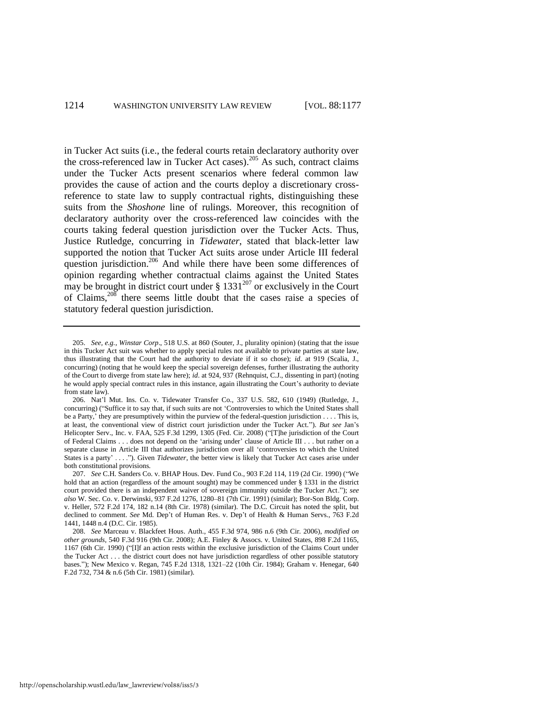in Tucker Act suits (i.e., the federal courts retain declaratory authority over the cross-referenced law in Tucker Act cases).<sup>205</sup> As such, contract claims under the Tucker Acts present scenarios where federal common law provides the cause of action and the courts deploy a discretionary crossreference to state law to supply contractual rights, distinguishing these suits from the *Shoshone* line of rulings. Moreover, this recognition of declaratory authority over the cross-referenced law coincides with the courts taking federal question jurisdiction over the Tucker Acts. Thus, Justice Rutledge, concurring in *Tidewater*, stated that black-letter law supported the notion that Tucker Act suits arose under Article III federal question jurisdiction.<sup>206</sup> And while there have been some differences of opinion regarding whether contractual claims against the United States may be brought in district court under  $\S 1331^{207}$  or exclusively in the Court of Claims,<sup>208</sup> there seems little doubt that the cases raise a species of statutory federal question jurisdiction.

<sup>205.</sup> *See, e.g.*, *Winstar Corp*., 518 U.S. at 860 (Souter, J., plurality opinion) (stating that the issue in this Tucker Act suit was whether to apply special rules not available to private parties at state law, thus illustrating that the Court had the authority to deviate if it so chose); *id*. at 919 (Scalia, J., concurring) (noting that he would keep the special sovereign defenses, further illustrating the authority of the Court to diverge from state law here); *id*. at 924, 937 (Rehnquist, C.J., dissenting in part) (noting he would apply special contract rules in this instance, again illustrating the Court's authority to deviate from state law).

<sup>206.</sup> Nat'l Mut. Ins. Co. v. Tidewater Transfer Co., 337 U.S. 582, 610 (1949) (Rutledge, J., concurring) ("Suffice it to say that, if such suits are not 'Controversies to which the United States shall be a Party,' they are presumptively within the purview of the federal-question jurisdiction . . . . This is, at least, the conventional view of district court jurisdiction under the Tucker Act.‖). *But see* Jan's Helicopter Serv., Inc. v. FAA, 525 F.3d 1299, 1305 (Fed. Cir. 2008) ("[T]he jurisdiction of the Court of Federal Claims . . . does not depend on the 'arising under' clause of Article III . . . but rather on a separate clause in Article III that authorizes jurisdiction over all ‗controversies to which the United States is a party' . . . ."). Given *Tidewater*, the better view is likely that Tucker Act cases arise under both constitutional provisions.

<sup>207.</sup> *See* C.H. Sanders Co. v. BHAP Hous. Dev. Fund Co., 903 F.2d 114, 119 (2d Cir. 1990) ("We hold that an action (regardless of the amount sought) may be commenced under § 1331 in the district court provided there is an independent waiver of sovereign immunity outside the Tucker Act."); see *also* W. Sec. Co. v. Derwinski, 937 F.2d 1276, 1280–81 (7th Cir. 1991) (similar); Bor-Son Bldg. Corp. v. Heller, 572 F.2d 174, 182 n.14 (8th Cir. 1978) (similar). The D.C. Circuit has noted the split, but declined to comment. *See* Md. Dep't of Human Res. v. Dep't of Health & Human Servs., 763 F.2d 1441, 1448 n.4 (D.C. Cir. 1985).

<sup>208.</sup> *See* Marceau v. Blackfeet Hous. Auth., 455 F.3d 974, 986 n.6 (9th Cir. 2006), *modified on other grounds*, 540 F.3d 916 (9th Cir. 2008); A.E. Finley & Assocs. v. United States, 898 F.2d 1165, 1167 (6th Cir. 1990) ("[I]f an action rests within the exclusive jurisdiction of the Claims Court under the Tucker Act . . . the district court does not have jurisdiction regardless of other possible statutory bases.‖); New Mexico v. Regan, 745 F.2d 1318, 1321–22 (10th Cir. 1984); Graham v. Henegar, 640 F.2d 732, 734 & n.6 (5th Cir. 1981) (similar).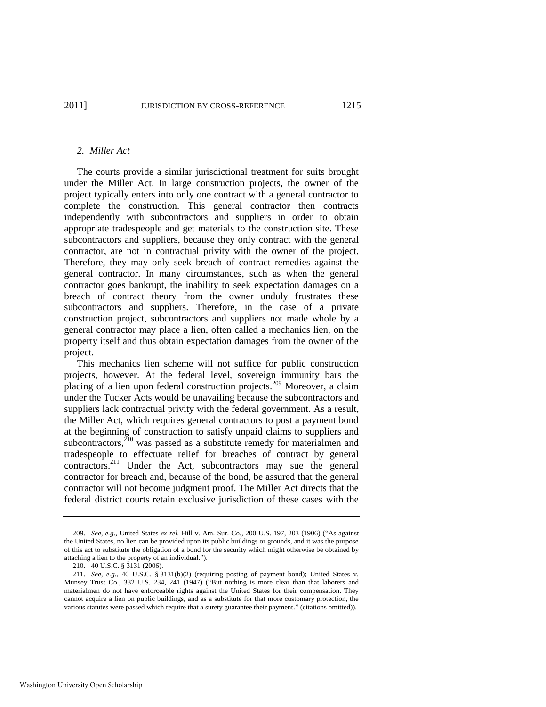# *2. Miller Act*

The courts provide a similar jurisdictional treatment for suits brought under the Miller Act. In large construction projects, the owner of the project typically enters into only one contract with a general contractor to complete the construction. This general contractor then contracts independently with subcontractors and suppliers in order to obtain appropriate tradespeople and get materials to the construction site. These subcontractors and suppliers, because they only contract with the general contractor, are not in contractual privity with the owner of the project. Therefore, they may only seek breach of contract remedies against the general contractor. In many circumstances, such as when the general contractor goes bankrupt, the inability to seek expectation damages on a breach of contract theory from the owner unduly frustrates these subcontractors and suppliers. Therefore, in the case of a private construction project, subcontractors and suppliers not made whole by a general contractor may place a lien, often called a mechanics lien, on the property itself and thus obtain expectation damages from the owner of the project.

This mechanics lien scheme will not suffice for public construction projects, however. At the federal level, sovereign immunity bars the placing of a lien upon federal construction projects.<sup>209</sup> Moreover, a claim under the Tucker Acts would be unavailing because the subcontractors and suppliers lack contractual privity with the federal government. As a result, the Miller Act, which requires general contractors to post a payment bond at the beginning of construction to satisfy unpaid claims to suppliers and subcontractors, $2^{10}$  was passed as a substitute remedy for materialmen and tradespeople to effectuate relief for breaches of contract by general contractors.<sup>211</sup> Under the Act, subcontractors may sue the general contractor for breach and, because of the bond, be assured that the general contractor will not become judgment proof. The Miller Act directs that the federal district courts retain exclusive jurisdiction of these cases with the

<sup>209.</sup> *See, e.g.*, United States *ex rel.* Hill v. Am. Sur. Co., 200 U.S. 197, 203 (1906) ("As against the United States, no lien can be provided upon its public buildings or grounds, and it was the purpose of this act to substitute the obligation of a bond for the security which might otherwise be obtained by attaching a lien to the property of an individual.").

<sup>210. 40</sup> U.S.C. § 3131 (2006).

<sup>211.</sup> *See, e.g*., 40 U.S.C. § 3131(b)(2) (requiring posting of payment bond); United States v. Munsey Trust Co., 332 U.S. 234, 241 (1947) ("But nothing is more clear than that laborers and materialmen do not have enforceable rights against the United States for their compensation. They cannot acquire a lien on public buildings, and as a substitute for that more customary protection, the various statutes were passed which require that a surety guarantee their payment." (citations omitted)).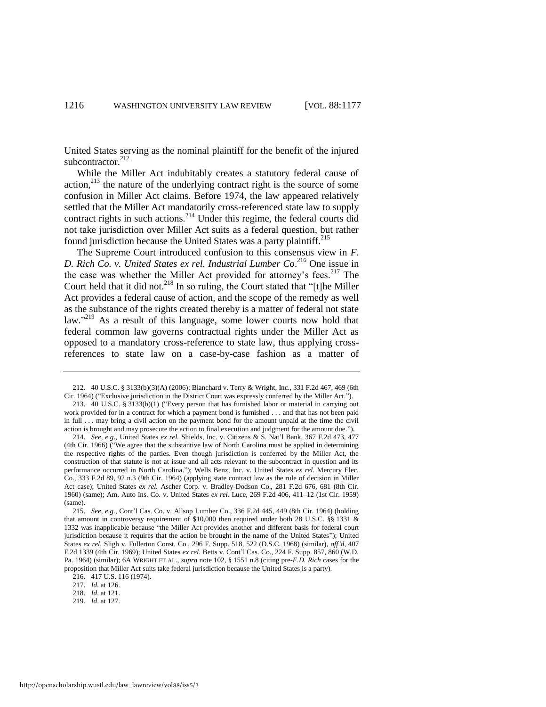United States serving as the nominal plaintiff for the benefit of the injured subcontractor.<sup>212</sup>

While the Miller Act indubitably creates a statutory federal cause of action,<sup>213</sup> the nature of the underlying contract right is the source of some confusion in Miller Act claims. Before 1974, the law appeared relatively settled that the Miller Act mandatorily cross-referenced state law to supply contract rights in such actions.<sup>214</sup> Under this regime, the federal courts did not take jurisdiction over Miller Act suits as a federal question, but rather found jurisdiction because the United States was a party plaintiff.<sup>215</sup>

The Supreme Court introduced confusion to this consensus view in *F. D. Rich Co. v. United States ex rel. Industrial Lumber Co*. <sup>216</sup> One issue in the case was whether the Miller Act provided for attorney's fees.<sup>217</sup> The Court held that it did not.<sup>218</sup> In so ruling, the Court stated that "[t]he Miller Act provides a federal cause of action, and the scope of the remedy as well as the substance of the rights created thereby is a matter of federal not state law."<sup>219</sup> As a result of this language, some lower courts now hold that federal common law governs contractual rights under the Miller Act as opposed to a mandatory cross-reference to state law, thus applying crossreferences to state law on a case-by-case fashion as a matter of

216. 417 U.S. 116 (1974).

<sup>212. 40</sup> U.S.C. § 3133(b)(3)(A) (2006); Blanchard v. Terry & Wright, Inc., 331 F.2d 467, 469 (6th Cir. 1964) ("Exclusive jurisdiction in the District Court was expressly conferred by the Miller Act.").

<sup>213. 40</sup> U.S.C. § 3133(b)(1) ("Every person that has furnished labor or material in carrying out work provided for in a contract for which a payment bond is furnished . . . and that has not been paid in full . . . may bring a civil action on the payment bond for the amount unpaid at the time the civil action is brought and may prosecute the action to final execution and judgment for the amount due.").

<sup>214.</sup> *See, e.g*., United States *ex rel.* Shields, Inc. v. Citizens & S. Nat'l Bank, 367 F.2d 473, 477 (4th Cir. 1966) ("We agree that the substantive law of North Carolina must be applied in determining the respective rights of the parties. Even though jurisdiction is conferred by the Miller Act, the construction of that statute is not at issue and all acts relevant to the subcontract in question and its performance occurred in North Carolina."); Wells Benz, Inc. v. United States ex rel. Mercury Elec. Co., 333 F.2d 89, 92 n.3 (9th Cir. 1964) (applying state contract law as the rule of decision in Miller Act case); United States *ex rel.* Ascher Corp. v. Bradley-Dodson Co., 281 F.2d 676, 681 (8th Cir. 1960) (same); Am. Auto Ins. Co. v. United States *ex rel.* Luce, 269 F.2d 406, 411–12 (1st Cir. 1959) (same).

<sup>215.</sup> *See, e.g*., Cont'l Cas. Co. v. Allsop Lumber Co., 336 F.2d 445, 449 (8th Cir. 1964) (holding that amount in controversy requirement of \$10,000 then required under both 28 U.S.C. §§ 1331 & 1332 was inapplicable because "the Miller Act provides another and different basis for federal court jurisdiction because it requires that the action be brought in the name of the United States"); United States *ex rel.* Sligh v. Fullerton Const. Co., 296 F. Supp. 518, 522 (D.S.C. 1968) (similar), *aff'd*, 407 F.2d 1339 (4th Cir. 1969); United States *ex rel.* Betts v. Cont'l Cas. Co., 224 F. Supp. 857, 860 (W.D. Pa. 1964) (similar); 6A WRIGHT ET AL., *supra* note 102, § 1551 n.8 (citing pre-*F.D. Rich* cases for the proposition that Miller Act suits take federal jurisdiction because the United States is a party).

<sup>217.</sup> *Id.* at 126.

<sup>218.</sup> *Id*. at 121.

<sup>219.</sup> *Id*. at 127.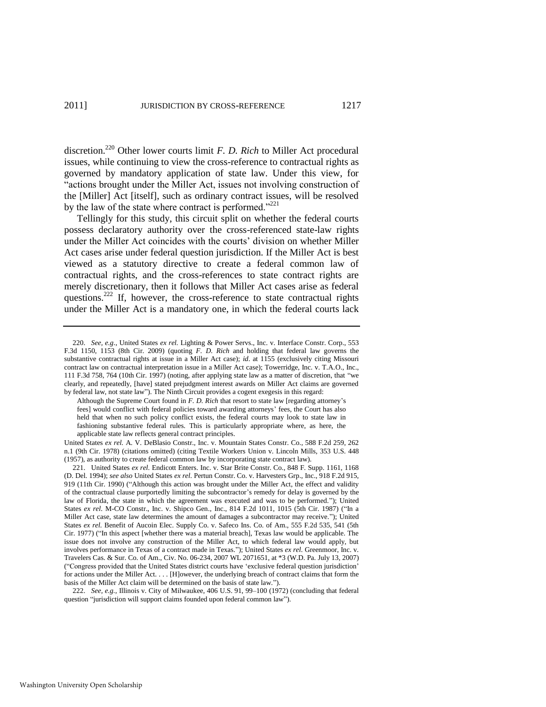discretion.<sup>220</sup> Other lower courts limit *F. D. Rich* to Miller Act procedural issues, while continuing to view the cross-reference to contractual rights as governed by mandatory application of state law. Under this view, for "actions brought under the Miller Act, issues not involving construction of the [Miller] Act [itself], such as ordinary contract issues, will be resolved by the law of the state where contract is performed. $2221$ 

Tellingly for this study, this circuit split on whether the federal courts possess declaratory authority over the cross-referenced state-law rights under the Miller Act coincides with the courts' division on whether Miller Act cases arise under federal question jurisdiction. If the Miller Act is best viewed as a statutory directive to create a federal common law of contractual rights, and the cross-references to state contract rights are merely discretionary, then it follows that Miller Act cases arise as federal questions.<sup>222</sup> If, however, the cross-reference to state contractual rights under the Miller Act is a mandatory one, in which the federal courts lack

United States *ex rel.* A. V. DeBlasio Constr., Inc. v. Mountain States Constr. Co., 588 F.2d 259, 262 n.1 (9th Cir. 1978) (citations omitted) (citing Textile Workers Union v. Lincoln Mills, 353 U.S. 448 (1957), as authority to create federal common law by incorporating state contract law).

221. United States *ex rel.* Endicott Enters. Inc. v. Star Brite Constr. Co., 848 F. Supp. 1161, 1168 (D. Del. 1994); *see also* United States *ex rel.* Pertun Constr. Co. v. Harvesters Grp., Inc., 918 F.2d 915, 919 (11th Cir. 1990) ("Although this action was brought under the Miller Act, the effect and validity of the contractual clause purportedly limiting the subcontractor's remedy for delay is governed by the law of Florida, the state in which the agreement was executed and was to be performed."); United States ex rel. M-CO Constr., Inc. v. Shipco Gen., Inc., 814 F.2d 1011, 1015 (5th Cir. 1987) ("In a Miller Act case, state law determines the amount of damages a subcontractor may receive."); United States *ex rel.* Benefit of Aucoin Elec. Supply Co. v. Safeco Ins. Co. of Am., 555 F.2d 535, 541 (5th Cir. 1977) ("In this aspect [whether there was a material breach], Texas law would be applicable. The issue does not involve any construction of the Miller Act, to which federal law would apply, but involves performance in Texas of a contract made in Texas."); United States *ex rel*. Greenmoor, Inc. v. Travelers Cas. & Sur. Co. of Am., Civ. No. 06-234, 2007 WL 2071651, at \*3 (W.D. Pa. July 13, 2007) (―Congress provided that the United States district courts have ‗exclusive federal question jurisdiction' for actions under the Miller Act. . . . [H]owever, the underlying breach of contract claims that form the basis of the Miller Act claim will be determined on the basis of state law.").

222. *See, e.g.*, Illinois v. City of Milwaukee, 406 U.S. 91, 99–100 (1972) (concluding that federal question "jurisdiction will support claims founded upon federal common law").

<sup>220.</sup> *See, e.g*., United States *ex rel.* Lighting & Power Servs., Inc. v. Interface Constr. Corp., 553 F.3d 1150, 1153 (8th Cir. 2009) (quoting *F. D. Rich* and holding that federal law governs the substantive contractual rights at issue in a Miller Act case); *id*. at 1155 (exclusively citing Missouri contract law on contractual interpretation issue in a Miller Act case); Towerridge, Inc. v. T.A.O., Inc., 111 F.3d 758, 764 (10th Cir. 1997) (noting, after applying state law as a matter of discretion, that "we clearly, and repeatedly, [have] stated prejudgment interest awards on Miller Act claims are governed by federal law, not state law"). The Ninth Circuit provides a cogent exegesis in this regard:

Although the Supreme Court found in *F. D. Rich* that resort to state law [regarding attorney's fees] would conflict with federal policies toward awarding attorneys' fees, the Court has also held that when no such policy conflict exists, the federal courts may look to state law in fashioning substantive federal rules. This is particularly appropriate where, as here, the applicable state law reflects general contract principles.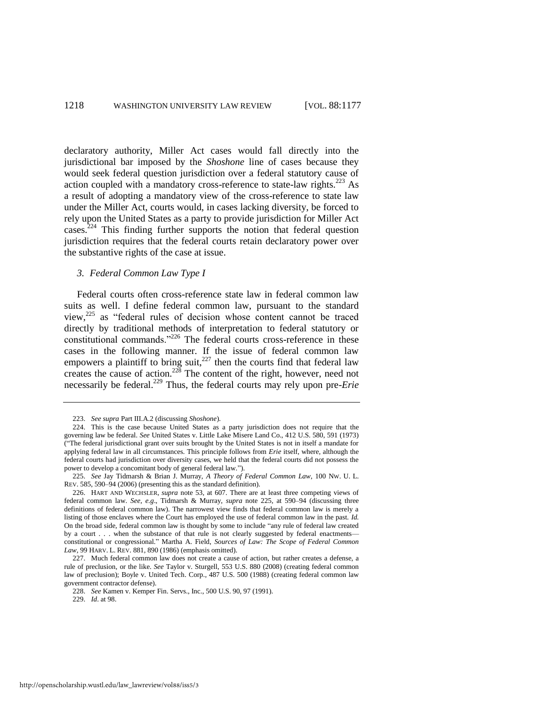declaratory authority, Miller Act cases would fall directly into the jurisdictional bar imposed by the *Shoshone* line of cases because they would seek federal question jurisdiction over a federal statutory cause of action coupled with a mandatory cross-reference to state-law rights.<sup>223</sup> As a result of adopting a mandatory view of the cross-reference to state law under the Miller Act, courts would, in cases lacking diversity, be forced to rely upon the United States as a party to provide jurisdiction for Miller Act cases.<sup>224</sup> This finding further supports the notion that federal question jurisdiction requires that the federal courts retain declaratory power over the substantive rights of the case at issue.

#### <span id="page-42-1"></span>*3. Federal Common Law Type I*

<span id="page-42-0"></span>Federal courts often cross-reference state law in federal common law suits as well. I define federal common law, pursuant to the standard view, $225$  as "federal rules of decision whose content cannot be traced directly by traditional methods of interpretation to federal statutory or constitutional commands."<sup>226</sup> The federal courts cross-reference in these cases in the following manner. If the issue of federal common law empowers a plaintiff to bring suit, $^{227}$  then the courts find that federal law creates the cause of action.<sup>228</sup> The content of the right, however, need not necessarily be federal.<sup>229</sup> Thus, the federal courts may rely upon pre-*Erie* 

<span id="page-42-2"></span><sup>223.</sup> *See supra* Part III.A.2 (discussing *Shoshone*).

<sup>224.</sup> This is the case because United States as a party jurisdiction does not require that the governing law be federal. *See* United States v. Little Lake Misere Land Co., 412 U.S. 580, 591 (1973) (―The federal jurisdictional grant over suits brought by the United States is not in itself a mandate for applying federal law in all circumstances. This principle follows from *Erie* itself, where, although the federal courts had jurisdiction over diversity cases, we held that the federal courts did not possess the power to develop a concomitant body of general federal law.").

<sup>225.</sup> *See* Jay Tidmarsh & Brian J. Murray, *A Theory of Federal Common Law*, 100 NW. U. L. REV. 585, 590–94 (2006) (presenting this as the standard definition).

<sup>226.</sup> HART AND WECHSLER, *supra* note [53,](#page-11-1) at 607. There are at least three competing views of federal common law. *See, e.g*., Tidmarsh & Murray, *supra* note 225, at 590–94 (discussing three definitions of federal common law). The narrowest view finds that federal common law is merely a listing of those enclaves where the Court has employed the use of federal common law in the past. *Id.* On the broad side, federal common law is thought by some to include "any rule of federal law created by a court . . . when the substance of that rule is not clearly suggested by federal enactments constitutional or congressional.‖ Martha A. Field, *Sources of Law: The Scope of Federal Common Law*, 99 HARV. L. REV. 881, 890 (1986) (emphasis omitted).

<sup>227.</sup> Much federal common law does not create a cause of action, but rather creates a defense, a rule of preclusion, or the like. *See* Taylor v. Sturgell, 553 U.S. 880 (2008) (creating federal common law of preclusion); Boyle v. United Tech. Corp., 487 U.S. 500 (1988) (creating federal common law government contractor defense).

<sup>228.</sup> *See* Kamen v. Kemper Fin. Servs., Inc., 500 U.S. 90, 97 (1991).

<sup>229.</sup> *Id*. at 98.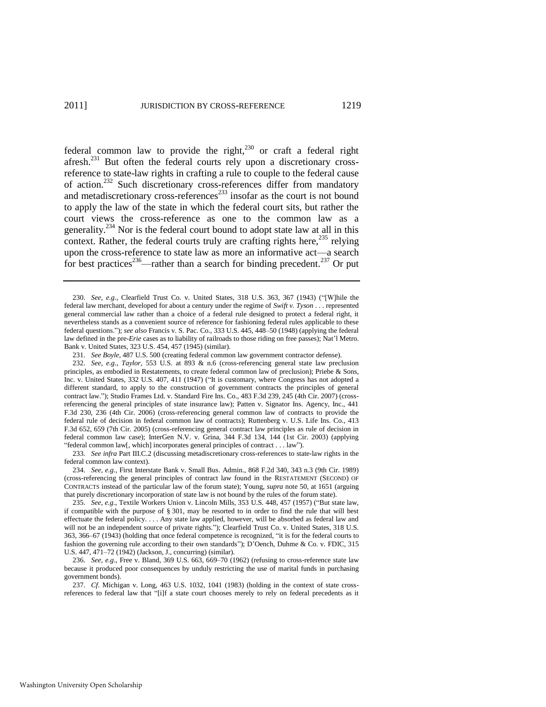federal common law to provide the right, $230$  or craft a federal right afresh.<sup>231</sup> But often the federal courts rely upon a discretionary crossreference to state-law rights in crafting a rule to couple to the federal cause of action.<sup>232</sup> Such discretionary cross-references differ from mandatory and metadiscretionary cross-references $^{233}$  insofar as the court is not bound to apply the law of the state in which the federal court sits, but rather the court views the cross-reference as one to the common law as a generality.<sup>234</sup> Nor is the federal court bound to adopt state law at all in this context. Rather, the federal courts truly are crafting rights here,  $^{235}$  relying upon the cross-reference to state law as more an informative act—a search for best practices<sup>236</sup>—rather than a search for binding precedent.<sup>237</sup> Or put

233. *See infra* Part III.C.2 (discussing metadiscretionary cross-references to state-law rights in the federal common law context).

234. *See, e.g.*, First Interstate Bank v. Small Bus. Admin., 868 F.2d 340, 343 n.3 (9th Cir. 1989) (cross-referencing the general principles of contract law found in the RESTATEMENT (SECOND) OF CONTRACTS instead of the particular law of the forum state); Young, *supra* note 50, at 1651 (arguing that purely discretionary incorporation of state law is not bound by the rules of the forum state).

235. *See, e.g.*, Textile Workers Union v. Lincoln Mills, 353 U.S. 448, 457 (1957) ("But state law, if compatible with the purpose of § 301, may be resorted to in order to find the rule that will best effectuate the federal policy. . . . Any state law applied, however, will be absorbed as federal law and will not be an independent source of private rights."); Clearfield Trust Co. v. United States, 318 U.S. 363, 366–67 (1943) (holding that once federal competence is recognized, "it is for the federal courts to fashion the governing rule according to their own standards"); D'Oench, Duhme & Co. v. FDIC, 315 U.S. 447, 471–72 (1942) (Jackson, J., concurring) (similar).

236. *See, e.g*., Free v. Bland, 369 U.S. 663, 669–70 (1962) (refusing to cross-reference state law because it produced poor consequences by unduly restricting the use of marital funds in purchasing government bonds).

237. *Cf*. Michigan v. Long, 463 U.S. 1032, 1041 (1983) (holding in the context of state crossreferences to federal law that "[i]f a state court chooses merely to rely on federal precedents as it

<sup>230.</sup> *See, e.g.*, Clearfield Trust Co. v. United States, 318 U.S. 363, 367 (1943) ("While the federal law merchant, developed for about a century under the regime of *Swift v. Tyson* . . . represented general commercial law rather than a choice of a federal rule designed to protect a federal right, it nevertheless stands as a convenient source of reference for fashioning federal rules applicable to these federal questions.‖); *see also* Francis v. S. Pac. Co., 333 U.S. 445, 448–50 (1948) (applying the federal law defined in the pre-*Erie* cases as to liability of railroads to those riding on free passes); Nat'l Metro. Bank v. United States, 323 U.S. 454, 457 (1945) (similar).

<sup>231.</sup> *See Boyle*, 487 U.S. 500 (creating federal common law government contractor defense).

<sup>232.</sup> *See, e.g*., *Taylor*, 553 U.S. at 893 & n.6 (cross-referencing general state law preclusion principles, as embodied in Restatements, to create federal common law of preclusion); Priebe & Sons, Inc. v. United States, 332 U.S. 407, 411 (1947) ("It is customary, where Congress has not adopted a different standard, to apply to the construction of government contracts the principles of general contract law.‖); Studio Frames Ltd. v. Standard Fire Ins. Co., 483 F.3d 239, 245 (4th Cir. 2007) (crossreferencing the general principles of state insurance law); Patten v. Signator Ins. Agency, Inc., 441 F.3d 230, 236 (4th Cir. 2006) (cross-referencing general common law of contracts to provide the federal rule of decision in federal common law of contracts); Ruttenberg v. U.S. Life Ins. Co., 413 F.3d 652, 659 (7th Cir. 2005) (cross-referencing general contract law principles as rule of decision in federal common law case); InterGen N.V. v. Grina, 344 F.3d 134, 144 (1st Cir. 2003) (applying "federal common law[, which] incorporates general principles of contract . . . law").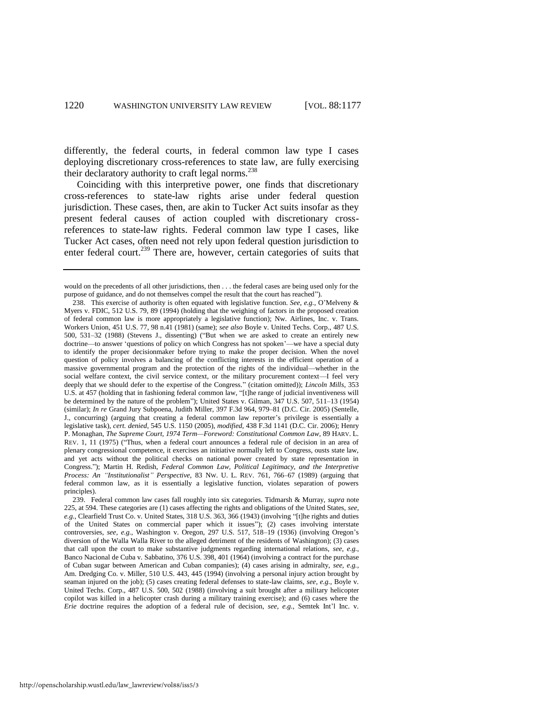differently, the federal courts, in federal common law type I cases deploying discretionary cross-references to state law, are fully exercising their declaratory authority to craft legal norms.<sup>238</sup>

<span id="page-44-0"></span>Coinciding with this interpretive power, one finds that discretionary cross-references to state-law rights arise under federal question jurisdiction. These cases, then, are akin to Tucker Act suits insofar as they present federal causes of action coupled with discretionary crossreferences to state-law rights. Federal common law type I cases, like Tucker Act cases, often need not rely upon federal question jurisdiction to enter federal court.<sup>239</sup> There are, however, certain categories of suits that

would on the precedents of all other jurisdictions, then . . . the federal cases are being used only for the purpose of guidance, and do not themselves compel the result that the court has reached").

<sup>238.</sup> This exercise of authority is often equated with legislative function. *See, e.g.*, O'Melveny & Myers v. FDIC, 512 U.S. 79, 89 (1994) (holding that the weighing of factors in the proposed creation of federal common law is more appropriately a legislative function); Nw. Airlines, Inc. v. Trans. Workers Union, 451 U.S. 77, 98 n.41 (1981) (same); *see also* Boyle v. United Techs. Corp., 487 U.S. 500, 531-32 (1988) (Stevens J., dissenting) ("But when we are asked to create an entirely new doctrine—to answer 'questions of policy on which Congress has not spoken'—we have a special duty to identify the proper decisionmaker before trying to make the proper decision. When the novel question of policy involves a balancing of the conflicting interests in the efficient operation of a massive governmental program and the protection of the rights of the individual—whether in the social welfare context, the civil service context, or the military procurement context—I feel very deeply that we should defer to the expertise of the Congress." (citation omitted)); *Lincoln Mills*, 353 U.S. at 457 (holding that in fashioning federal common law, "[t]he range of judicial inventiveness will be determined by the nature of the problem"); United States v. Gilman,  $347$  U.S.  $507$ ,  $511-13$  (1954) (similar); *In re* Grand Jury Subpoena, Judith Miller, 397 F.3d 964, 979–81 (D.C. Cir. 2005) (Sentelle, J., concurring) (arguing that creating a federal common law reporter's privilege is essentially a legislative task), *cert. denied*, 545 U.S. 1150 (2005), *modified*, 438 F.3d 1141 (D.C. Cir. 2006); Henry P. Monaghan, *The Supreme Court, 1974 Term—Foreword: Constitutional Common Law*, 89 HARV. L. REV. 1, 11 (1975) ("Thus, when a federal court announces a federal rule of decision in an area of plenary congressional competence, it exercises an initiative normally left to Congress, ousts state law, and yet acts without the political checks on national power created by state representation in Congress.‖); Martin H. Redish, *Federal Common Law, Political Legitimacy, and the Interpretive Process: An "Institutionalist" Perspective*, 83 NW. U. L. REV. 761, 766–67 (1989) (arguing that federal common law, as it is essentially a legislative function, violates separation of powers principles).

<sup>239.</sup> Federal common law cases fall roughly into six categories. Tidmarsh & Murray, *supra* note [225,](#page-42-0) at 594. These categories are (1) cases affecting the rights and obligations of the United States, *see,* e.g., Clearfield Trust Co. v. United States, 318 U.S. 363, 366 (1943) (involving "[t]he rights and duties of the United States on commercial paper which it issues"); (2) cases involving interstate controversies, *see, e.g.*, Washington v. Oregon, 297 U.S. 517, 518–19 (1936) (involving Oregon's diversion of the Walla Walla River to the alleged detriment of the residents of Washington); (3) cases that call upon the court to make substantive judgments regarding international relations, *see, e.g.*, Banco Nacional de Cuba v. Sabbatino, 376 U.S. 398, 401 (1964) (involving a contract for the purchase of Cuban sugar between American and Cuban companies); (4) cases arising in admiralty, *see, e.g.*, Am. Dredging Co. v. Miller, 510 U.S. 443, 445 (1994) (involving a personal injury action brought by seaman injured on the job); (5) cases creating federal defenses to state-law claims, *see, e.g.*, Boyle v. United Techs. Corp., 487 U.S. 500, 502 (1988) (involving a suit brought after a military helicopter copilot was killed in a helicopter crash during a military training exercise); and (6) cases where the *Erie* doctrine requires the adoption of a federal rule of decision, *see, e.g.*, Semtek Int'l Inc. v.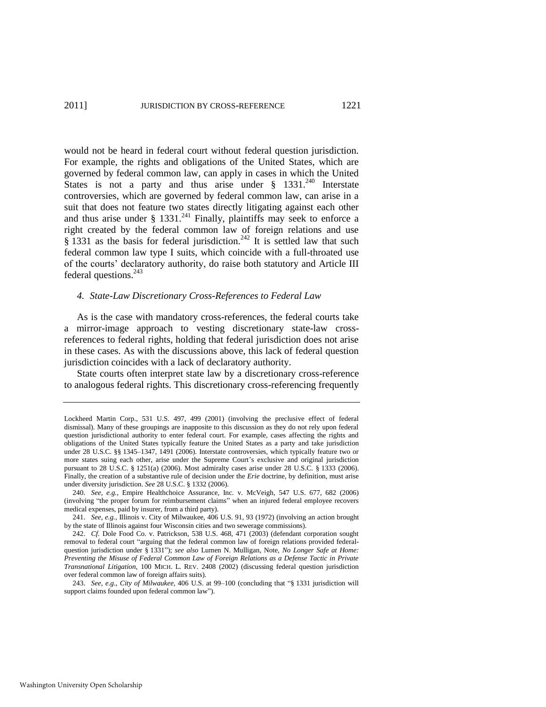would not be heard in federal court without federal question jurisdiction. For example, the rights and obligations of the United States, which are governed by federal common law, can apply in cases in which the United States is not a party and thus arise under  $\frac{8}{9}$  1331.<sup>240</sup> Interstate controversies, which are governed by federal common law, can arise in a suit that does not feature two states directly litigating against each other and thus arise under  $\S$  1331.<sup>241</sup> Finally, plaintiffs may seek to enforce a right created by the federal common law of foreign relations and use § 1331 as the basis for federal jurisdiction.<sup>242</sup> It is settled law that such federal common law type I suits, which coincide with a full-throated use of the courts' declaratory authority, do raise both statutory and Article III federal questions.<sup>243</sup>

#### *4. State-Law Discretionary Cross-References to Federal Law*

As is the case with mandatory cross-references, the federal courts take a mirror-image approach to vesting discretionary state-law crossreferences to federal rights, holding that federal jurisdiction does not arise in these cases. As with the discussions above, this lack of federal question jurisdiction coincides with a lack of declaratory authority.

State courts often interpret state law by a discretionary cross-reference to analogous federal rights. This discretionary cross-referencing frequently

Lockheed Martin Corp., 531 U.S. 497, 499 (2001) (involving the preclusive effect of federal dismissal). Many of these groupings are inapposite to this discussion as they do not rely upon federal question jurisdictional authority to enter federal court. For example, cases affecting the rights and obligations of the United States typically feature the United States as a party and take jurisdiction under 28 U.S.C. §§ 1345–1347, 1491 (2006). Interstate controversies, which typically feature two or more states suing each other, arise under the Supreme Court's exclusive and original jurisdiction pursuant to 28 U.S.C. § 1251(a) (2006). Most admiralty cases arise under 28 U.S.C. § 1333 (2006). Finally, the creation of a substantive rule of decision under the *Erie* doctrine, by definition, must arise under diversity jurisdiction. *See* 28 U.S.C. § 1332 (2006).

<sup>240.</sup> *See, e.g.*, Empire Healthchoice Assurance, Inc. v. McVeigh, 547 U.S. 677, 682 (2006) (involving "the proper forum for reimbursement claims" when an injured federal employee recovers medical expenses, paid by insurer, from a third party).

<sup>241.</sup> *See, e.g.*, Illinois v. City of Milwaukee, 406 U.S. 91, 93 (1972) (involving an action brought by the state of Illinois against four Wisconsin cities and two sewerage commissions).

<sup>242.</sup> *Cf.* Dole Food Co. v. Patrickson, 538 U.S. 468, 471 (2003) (defendant corporation sought removal to federal court "arguing that the federal common law of foreign relations provided federalquestion jurisdiction under § 1331"); *see also* Lumen N. Mulligan, Note, *No Longer Safe at Home: Preventing the Misuse of Federal Common Law of Foreign Relations as a Defense Tactic in Private Transnational Litigation*, 100 MICH. L. REV. 2408 (2002) (discussing federal question jurisdiction over federal common law of foreign affairs suits).

<sup>243.</sup> *See, e.g., City of Milwaukee*, 406 U.S. at 99-100 (concluding that "§ 1331 jurisdiction will support claims founded upon federal common law").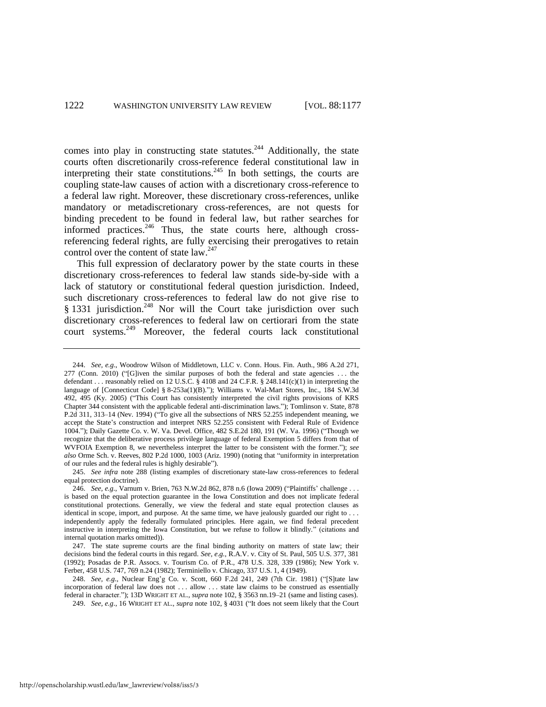comes into play in constructing state statutes.<sup>244</sup> Additionally, the state courts often discretionarily cross-reference federal constitutional law in interpreting their state constitutions.<sup>245</sup> In both settings, the courts are coupling state-law causes of action with a discretionary cross-reference to a federal law right. Moreover, these discretionary cross-references, unlike mandatory or metadiscretionary cross-references, are not quests for binding precedent to be found in federal law, but rather searches for informed practices. $246$  Thus, the state courts here, although crossreferencing federal rights, are fully exercising their prerogatives to retain control over the content of state law.<sup>247</sup>

This full expression of declaratory power by the state courts in these discretionary cross-references to federal law stands side-by-side with a lack of statutory or constitutional federal question jurisdiction. Indeed, such discretionary cross-references to federal law do not give rise to § 1331 jurisdiction.<sup>248</sup> Nor will the Court take jurisdiction over such discretionary cross-references to federal law on certiorari from the state court systems.<sup>249</sup> Moreover, the federal courts lack constitutional

<sup>244.</sup> *See, e.g*., Woodrow Wilson of Middletown, LLC v. Conn. Hous. Fin. Auth., 986 A.2d 271,  $277$  (Conn. 2010) ("[G]iven the similar purposes of both the federal and state agencies ... the defendant . . . reasonably relied on 12 U.S.C. § 4108 and 24 C.F.R. § 248.141(c)(1) in interpreting the language of [Connecticut Code] §  $8-253a(1)(B)$ ."); Williams v. Wal-Mart Stores, Inc., 184 S.W.3d 492, 495 (Ky. 2005) ("This Court has consistently interpreted the civil rights provisions of KRS Chapter 344 consistent with the applicable federal anti-discrimination laws.‖); Tomlinson v. State, 878 P.2d 311, 313–14 (Nev. 1994) ("To give all the subsections of NRS 52.255 independent meaning, we accept the State's construction and interpret NRS 52.255 consistent with Federal Rule of Evidence 1004."); Daily Gazette Co. v. W. Va. Devel. Office, 482 S.E.2d 180, 191 (W. Va. 1996) ("Though we recognize that the deliberative process privilege language of federal Exemption 5 differs from that of WVFOIA Exemption 8, we nevertheless interpret the latter to be consistent with the former."); see also Orme Sch. v. Reeves, 802 P.2d 1000, 1003 (Ariz. 1990) (noting that "uniformity in interpretation of our rules and the federal rules is highly desirable").

<sup>245.</sup> *See infra* note 288 (listing examples of discretionary state-law cross-references to federal equal protection doctrine).

<sup>246.</sup> *See, e.g.*, Varnum v. Brien, 763 N.W.2d 862, 878 n.6 (Iowa 2009) ("Plaintiffs' challenge . . . is based on the equal protection guarantee in the Iowa Constitution and does not implicate federal constitutional protections. Generally, we view the federal and state equal protection clauses as identical in scope, import, and purpose. At the same time, we have jealously guarded our right to . . . independently apply the federally formulated principles. Here again, we find federal precedent instructive in interpreting the Iowa Constitution, but we refuse to follow it blindly." (citations and internal quotation marks omitted)).

<sup>247.</sup> The state supreme courts are the final binding authority on matters of state law; their decisions bind the federal courts in this regard. *See, e.g.*, R.A.V. v. City of St. Paul, 505 U.S. 377, 381 (1992); Posadas de P.R. Assocs. v. Tourism Co. of P.R., 478 U.S. 328, 339 (1986); New York v. Ferber, 458 U.S. 747, 769 n.24 (1982); Terminiello v. Chicago, 337 U.S. 1, 4 (1949).

<sup>248.</sup> *See, e.g.*, Nuclear Eng'g Co. v. Scott, 660 F.2d 241, 249 (7th Cir. 1981) ("[S]tate law incorporation of federal law does not . . . allow . . . state law claims to be construed as essentially federal in character."); 13D WRIGHT ET AL., *supra* not[e 102,](#page-20-0) § 3563 nn.19–21 (same and listing cases). 249. *See, e.g.*, 16 WRIGHT ET AL., *supra* note [102,](#page-20-0) § 4031 ("It does not seem likely that the Court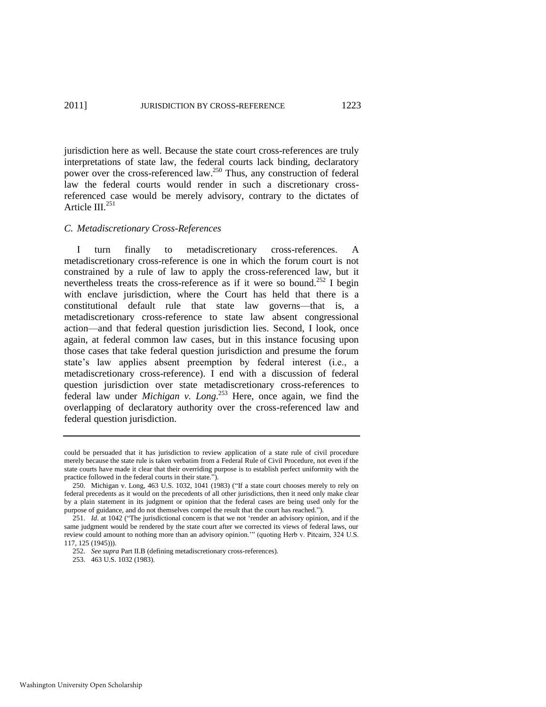jurisdiction here as well. Because the state court cross-references are truly interpretations of state law, the federal courts lack binding, declaratory power over the cross-referenced law.<sup>250</sup> Thus, any construction of federal law the federal courts would render in such a discretionary crossreferenced case would be merely advisory, contrary to the dictates of Article III. $^{251}$ 

## *C. Metadiscretionary Cross-References*

I turn finally to metadiscretionary cross-references. A metadiscretionary cross-reference is one in which the forum court is not constrained by a rule of law to apply the cross-referenced law, but it nevertheless treats the cross-reference as if it were so bound.<sup>252</sup> I begin with enclave jurisdiction, where the Court has held that there is a constitutional default rule that state law governs—that is, a metadiscretionary cross-reference to state law absent congressional action—and that federal question jurisdiction lies. Second, I look, once again, at federal common law cases, but in this instance focusing upon those cases that take federal question jurisdiction and presume the forum state's law applies absent preemption by federal interest (i.e., a metadiscretionary cross-reference). I end with a discussion of federal question jurisdiction over state metadiscretionary cross-references to federal law under *Michigan v. Long*. <sup>253</sup> Here, once again, we find the overlapping of declaratory authority over the cross-referenced law and federal question jurisdiction.

could be persuaded that it has jurisdiction to review application of a state rule of civil procedure merely because the state rule is taken verbatim from a Federal Rule of Civil Procedure, not even if the state courts have made it clear that their overriding purpose is to establish perfect uniformity with the practice followed in the federal courts in their state.").

<sup>250.</sup> Michigan v. Long, 463 U.S. 1032, 1041 (1983) ("If a state court chooses merely to rely on federal precedents as it would on the precedents of all other jurisdictions, then it need only make clear by a plain statement in its judgment or opinion that the federal cases are being used only for the purpose of guidance, and do not themselves compel the result that the court has reached.").

<sup>251.</sup> *Id.* at 1042 ("The jurisdictional concern is that we not 'render an advisory opinion, and if the same judgment would be rendered by the state court after we corrected its views of federal laws, our review could amount to nothing more than an advisory opinion."" (quoting Herb v. Pitcairn, 324 U.S. 117, 125 (1945))).

<sup>252.</sup> *See supra* Part II.B (defining metadiscretionary cross-references).

<sup>253. 463</sup> U.S. 1032 (1983).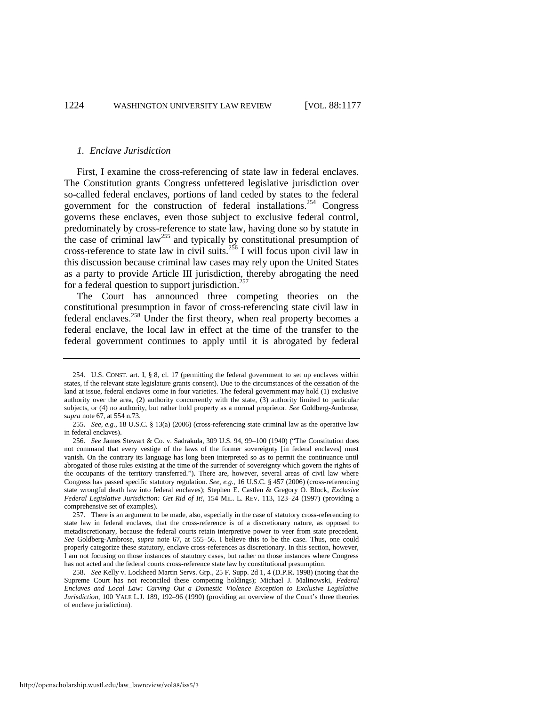#### *1. Enclave Jurisdiction*

First, I examine the cross-referencing of state law in federal enclaves. The Constitution grants Congress unfettered legislative jurisdiction over so-called federal enclaves, portions of land ceded by states to the federal government for the construction of federal installations.<sup>254</sup> Congress governs these enclaves, even those subject to exclusive federal control, predominately by cross-reference to state law, having done so by statute in the case of criminal law<sup>255</sup> and typically by constitutional presumption of cross-reference to state law in civil suits.<sup>256</sup> I will focus upon civil law in this discussion because criminal law cases may rely upon the United States as a party to provide Article III jurisdiction, thereby abrogating the need for a federal question to support jurisdiction. $257$ 

The Court has announced three competing theories on the constitutional presumption in favor of cross-referencing state civil law in federal enclaves.<sup>258</sup> Under the first theory, when real property becomes a federal enclave, the local law in effect at the time of the transfer to the federal government continues to apply until it is abrogated by federal

<sup>254.</sup> U.S. CONST. art. I, § 8, cl. 17 (permitting the federal government to set up enclaves within states, if the relevant state legislature grants consent). Due to the circumstances of the cessation of the land at issue, federal enclaves come in four varieties. The federal government may hold (1) exclusive authority over the area, (2) authority concurrently with the state, (3) authority limited to particular subjects, or (4) no authority, but rather hold property as a normal proprietor. *See* Goldberg-Ambrose, s*upra* note 67, at 554 n.73.

<sup>255.</sup> *See, e.g*., 18 U.S.C. § 13(a) (2006) (cross-referencing state criminal law as the operative law in federal enclaves).

<sup>256.</sup> *See* James Stewart & Co. v. Sadrakula, 309 U.S. 94, 99-100 (1940) ("The Constitution does not command that every vestige of the laws of the former sovereignty [in federal enclaves] must vanish. On the contrary its language has long been interpreted so as to permit the continuance until abrogated of those rules existing at the time of the surrender of sovereignty which govern the rights of the occupants of the territory transferred."). There are, however, several areas of civil law where Congress has passed specific statutory regulation. *See, e.g.*, 16 U.S.C. § 457 (2006) (cross-referencing state wrongful death law into federal enclaves); Stephen E. Castlen & Gregory O. Block, *Exclusive Federal Legislative Jurisdiction: Get Rid of It!*, 154 MIL. L. REV. 113, 123–24 (1997) (providing a comprehensive set of examples).

<sup>257.</sup> There is an argument to be made, also, especially in the case of statutory cross-referencing to state law in federal enclaves, that the cross-reference is of a discretionary nature, as opposed to metadiscretionary, because the federal courts retain interpretive power to veer from state precedent. *See* Goldberg-Ambrose, *supra* note 67, at 555–56. I believe this to be the case. Thus, one could properly categorize these statutory, enclave cross-references as discretionary. In this section, however, I am not focusing on those instances of statutory cases, but rather on those instances where Congress has not acted and the federal courts cross-reference state law by constitutional presumption.

<sup>258.</sup> *See* Kelly v. Lockheed Martin Servs. Grp., 25 F. Supp. 2d 1, 4 (D.P.R. 1998) (noting that the Supreme Court has not reconciled these competing holdings); Michael J. Malinowski, *Federal Enclaves and Local Law: Carving Out a Domestic Violence Exception to Exclusive Legislative Jurisdiction*, 100 YALE L.J. 189, 192–96 (1990) (providing an overview of the Court's three theories of enclave jurisdiction).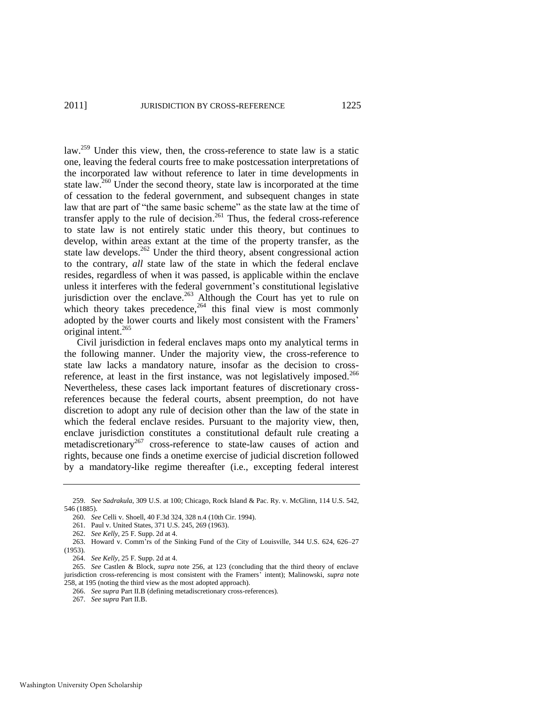law.<sup>259</sup> Under this view, then, the cross-reference to state law is a static one, leaving the federal courts free to make postcessation interpretations of the incorporated law without reference to later in time developments in state law.<sup>260</sup> Under the second theory, state law is incorporated at the time of cessation to the federal government, and subsequent changes in state law that are part of "the same basic scheme" as the state law at the time of transfer apply to the rule of decision.<sup>261</sup> Thus, the federal cross-reference to state law is not entirely static under this theory, but continues to develop, within areas extant at the time of the property transfer, as the state law develops.<sup>262</sup> Under the third theory, absent congressional action to the contrary, *all* state law of the state in which the federal enclave resides, regardless of when it was passed, is applicable within the enclave unless it interferes with the federal government's constitutional legislative jurisdiction over the enclave.<sup>263</sup> Although the Court has yet to rule on which theory takes precedence,  $264$  this final view is most commonly adopted by the lower courts and likely most consistent with the Framers' original intent.<sup>265</sup>

Civil jurisdiction in federal enclaves maps onto my analytical terms in the following manner. Under the majority view, the cross-reference to state law lacks a mandatory nature, insofar as the decision to crossreference, at least in the first instance, was not legislatively imposed.<sup>266</sup> Nevertheless, these cases lack important features of discretionary crossreferences because the federal courts, absent preemption, do not have discretion to adopt any rule of decision other than the law of the state in which the federal enclave resides. Pursuant to the majority view, then, enclave jurisdiction constitutes a constitutional default rule creating a metadiscretionary<sup>267</sup> cross-reference to state-law causes of action and rights, because one finds a onetime exercise of judicial discretion followed by a mandatory-like regime thereafter (i.e., excepting federal interest

<sup>259.</sup> *See Sadrakula*, 309 U.S. at 100; Chicago, Rock Island & Pac. Ry. v. McGlinn, 114 U.S. 542, 546 (1885).

<sup>260.</sup> *See* Celli v. Shoell, 40 F.3d 324, 328 n.4 (10th Cir. 1994).

<sup>261.</sup> Paul v. United States, 371 U.S. 245, 269 (1963).

<sup>262.</sup> *See Kelly*, 25 F. Supp. 2d at 4.

<sup>263.</sup> Howard v. Comm'rs of the Sinking Fund of the City of Louisville, 344 U.S. 624, 626–27 (1953).

<sup>264.</sup> *See Kelly*, 25 F. Supp. 2d at 4.

<sup>265.</sup> *See* Castlen & Block, *supra* note 256, at 123 (concluding that the third theory of enclave jurisdiction cross-referencing is most consistent with the Framers' intent); Malinowski, *supra* note 258, at 195 (noting the third view as the most adopted approach).

<sup>266.</sup> *See supra* Part II.B (defining metadiscretionary cross-references).

<sup>267.</sup> *See supra* Part II.B.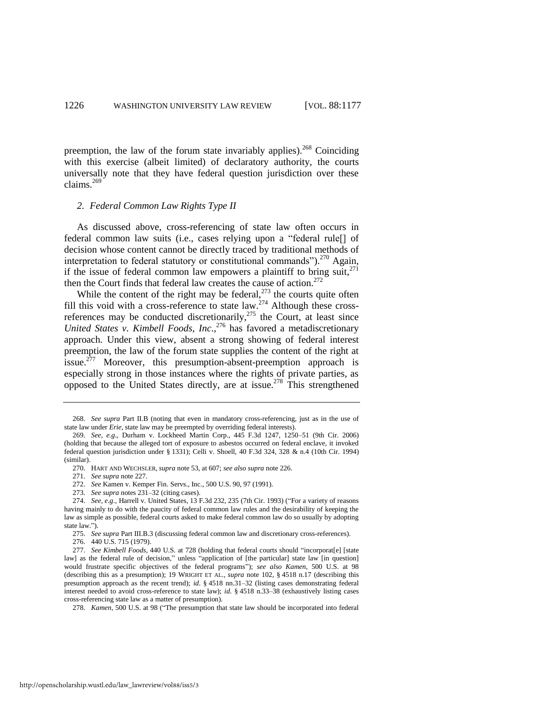preemption, the law of the forum state invariably applies). <sup>268</sup> Coinciding with this exercise (albeit limited) of declaratory authority, the courts universally note that they have federal question jurisdiction over these claims. $269$ 

#### *2. Federal Common Law Rights Type II*

As discussed above, cross-referencing of state law often occurs in federal common law suits (i.e., cases relying upon a "federal rule<sup>[]</sup> of decision whose content cannot be directly traced by traditional methods of interpretation to federal statutory or constitutional commands").<sup>270</sup> Again, if the issue of federal common law empowers a plaintiff to bring suit, $271$ then the Court finds that federal law creates the cause of action. $272$ 

While the content of the right may be federal, $^{273}$  the courts quite often fill this void with a cross-reference to state law.<sup>274</sup> Although these crossreferences may be conducted discretionarily, $275$  the Court, at least since *United States v. Kimbell Foods, Inc*., <sup>276</sup> has favored a metadiscretionary approach. Under this view, absent a strong showing of federal interest preemption, the law of the forum state supplies the content of the right at issue.<sup>277</sup> Moreover, this presumption-absent-preemption approach is especially strong in those instances where the rights of private parties, as opposed to the United States directly, are at issue.<sup>278</sup> This strengthened

- 269. *See, e.g*., Durham v. Lockheed Martin Corp., 445 F.3d 1247, 1250–51 (9th Cir. 2006) (holding that because the alleged tort of exposure to asbestos occurred on federal enclave, it invoked federal question jurisdiction under § 1331); Celli v. Shoell, 40 F.3d 324, 328 & n.4 (10th Cir. 1994) (similar).
	- 270. HART AND WECHSLER, *supra* not[e 53,](#page-11-1) at 607; *see also supra* not[e 226.](#page-42-1)
	- 271. *See supra* not[e 227.](#page-42-2)
	- 272. *See* Kamen v. Kemper Fin. Servs., Inc., 500 U.S. 90, 97 (1991).
	- 273. *See supra* notes 231–32 (citing cases).

276. 440 U.S. 715 (1979).

278. *Kamen*, 500 U.S. at 98 ("The presumption that state law should be incorporated into federal

<sup>268.</sup> *See supra* Part II.B (noting that even in mandatory cross-referencing, just as in the use of state law under *Erie*, state law may be preempted by overriding federal interests).

<sup>274.</sup> *See, e.g.*, Harrell v. United States, 13 F.3d 232, 235 (7th Cir. 1993) ("For a variety of reasons having mainly to do with the paucity of federal common law rules and the desirability of keeping the law as simple as possible, federal courts asked to make federal common law do so usually by adopting state law.").

<sup>275.</sup> *See supra* Part III.B.3 (discussing federal common law and discretionary cross-references).

<sup>277.</sup> *See Kimbell Foods*, 440 U.S. at 728 (holding that federal courts should "incorporat[e] [state law] as the federal rule of decision," unless "application of [the particular] state law [in question] would frustrate specific objectives of the federal programs"); see also Kamen, 500 U.S. at 98 (describing this as a presumption); 19 WRIGHT ET AL., *supra* note [102,](#page-20-0) § 4518 n.17 (describing this presumption approach as the recent trend); *id*. § 4518 nn.31–32 (listing cases demonstrating federal interest needed to avoid cross-reference to state law); *id*. § 4518 n.33–38 (exhaustively listing cases cross-referencing state law as a matter of presumption).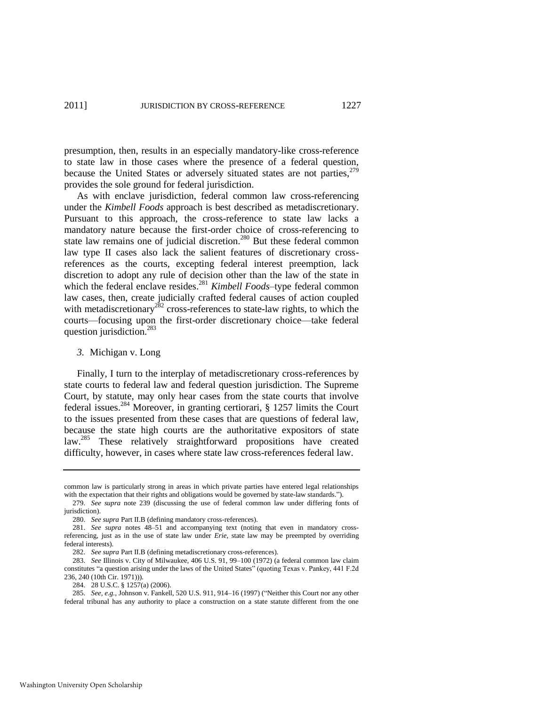presumption, then, results in an especially mandatory-like cross-reference to state law in those cases where the presence of a federal question, because the United States or adversely situated states are not parties,  $279$ provides the sole ground for federal jurisdiction.

As with enclave jurisdiction, federal common law cross-referencing under the *Kimbell Foods* approach is best described as metadiscretionary. Pursuant to this approach, the cross-reference to state law lacks a mandatory nature because the first-order choice of cross-referencing to state law remains one of judicial discretion.<sup>280</sup> But these federal common law type II cases also lack the salient features of discretionary crossreferences as the courts, excepting federal interest preemption, lack discretion to adopt any rule of decision other than the law of the state in which the federal enclave resides.<sup>281</sup> *Kimbell Foods*–type federal common law cases, then, create judicially crafted federal causes of action coupled with metadiscretionary<sup>282</sup> cross-references to state-law rights, to which the courts—focusing upon the first-order discretionary choice—take federal question jurisdiction.<sup>283</sup>

## *3.* Michigan v. Long

Finally, I turn to the interplay of metadiscretionary cross-references by state courts to federal law and federal question jurisdiction. The Supreme Court, by statute, may only hear cases from the state courts that involve federal issues.<sup>284</sup> Moreover, in granting certiorari,  $\S$  1257 limits the Court to the issues presented from these cases that are questions of federal law, because the state high courts are the authoritative expositors of state law.<sup>285</sup> These relatively straightforward propositions have created difficulty, however, in cases where state law cross-references federal law.

Washington University Open Scholarship

common law is particularly strong in areas in which private parties have entered legal relationships with the expectation that their rights and obligations would be governed by state-law standards.").

<sup>279.</sup> *See supra* note 239 (discussing the use of federal common law under differing fonts of jurisdiction).

<sup>280.</sup> *See supra* Part II.B (defining mandatory cross-references).

<sup>281.</sup> *See supra* notes 48–51 and accompanying text (noting that even in mandatory crossreferencing, just as in the use of state law under *Erie*, state law may be preempted by overriding federal interests).

<sup>282.</sup> *See supra* Part II.B (defining metadiscretionary cross-references).

<sup>283.</sup> *See* Illinois v. City of Milwaukee, 406 U.S. 91, 99–100 (1972) (a federal common law claim constitutes "a question arising under the laws of the United States" (quoting Texas v. Pankey, 441 F.2d 236, 240 (10th Cir. 1971))).

<sup>284. 28</sup> U.S.C. § 1257(a) (2006).

<sup>285.</sup> *See, e.g.*, Johnson v. Fankell, 520 U.S. 911, 914–16 (1997) ("Neither this Court nor any other federal tribunal has any authority to place a construction on a state statute different from the one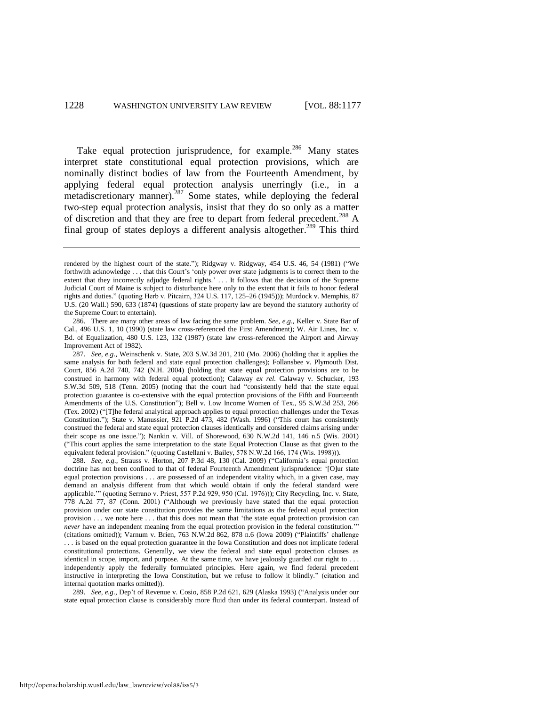Take equal protection jurisprudence, for example.<sup>286</sup> Many states interpret state constitutional equal protection provisions, which are nominally distinct bodies of law from the Fourteenth Amendment, by applying federal equal protection analysis unerringly (i.e., in a  $metadiscretionary manner$ .<sup>287</sup> Some states, while deploying the federal two-step equal protection analysis, insist that they do so only as a matter of discretion and that they are free to depart from federal precedent.<sup>288</sup> A final group of states deploys a different analysis altogether.<sup>289</sup> This third

288. *See, e.g.*, Strauss v. Horton, 207 P.3d 48, 130 (Cal. 2009) ("California's equal protection doctrine has not been confined to that of federal Fourteenth Amendment jurisprudence: '[O]ur state equal protection provisions . . . are possessed of an independent vitality which, in a given case, may demand an analysis different from that which would obtain if only the federal standard were applicable." (quoting Serrano v. Priest, 557 P.2d 929, 950 (Cal. 1976))); City Recycling, Inc. v. State, 778 A.2d 77, 87 (Conn. 2001) ("Although we previously have stated that the equal protection provision under our state constitution provides the same limitations as the federal equal protection provision . . . we note here . . . that this does not mean that ‗the state equal protection provision can *never* have an independent meaning from the equal protection provision in the federal constitution." (citations omitted)); Varnum v. Brien, 763 N.W.2d 862, 878 n.6 (Iowa 2009) ("Plaintiffs' challenge . . . is based on the equal protection guarantee in the Iowa Constitution and does not implicate federal constitutional protections. Generally, we view the federal and state equal protection clauses as identical in scope, import, and purpose. At the same time, we have jealously guarded our right to . . . independently apply the federally formulated principles. Here again, we find federal precedent instructive in interpreting the Iowa Constitution, but we refuse to follow it blindly." (citation and internal quotation marks omitted)).

289. *See, e.g.*, Dep't of Revenue v. Cosio, 858 P.2d 621, 629 (Alaska 1993) ("Analysis under our state equal protection clause is considerably more fluid than under its federal counterpart. Instead of

rendered by the highest court of the state."); Ridgway v. Ridgway, 454 U.S. 46, 54 (1981) ("We forthwith acknowledge . . . that this Court's 'only power over state judgments is to correct them to the extent that they incorrectly adjudge federal rights.' . . . It follows that the decision of the Supreme Judicial Court of Maine is subject to disturbance here only to the extent that it fails to honor federal rights and duties.‖ (quoting Herb v. Pitcairn, 324 U.S. 117, 125–26 (1945))); Murdock v. Memphis, 87 U.S. (20 Wall.) 590, 633 (1874) (questions of state property law are beyond the statutory authority of the Supreme Court to entertain).

<sup>286.</sup> There are many other areas of law facing the same problem. *See, e.g*., Keller v. State Bar of Cal., 496 U.S. 1, 10 (1990) (state law cross-referenced the First Amendment); W. Air Lines, Inc. v. Bd. of Equalization, 480 U.S. 123, 132 (1987) (state law cross-referenced the Airport and Airway Improvement Act of 1982).

<sup>287.</sup> *See, e.g*., Weinschenk v. State, 203 S.W.3d 201, 210 (Mo. 2006) (holding that it applies the same analysis for both federal and state equal protection challenges); Follansbee v. Plymouth Dist. Court, 856 A.2d 740, 742 (N.H. 2004) (holding that state equal protection provisions are to be construed in harmony with federal equal protection); Calaway *ex rel.* Calaway v. Schucker, 193 S.W.3d 509, 518 (Tenn. 2005) (noting that the court had "consistently held that the state equal protection guarantee is co-extensive with the equal protection provisions of the Fifth and Fourteenth Amendments of the U.S. Constitution"); Bell v. Low Income Women of Tex., 95 S.W.3d 253, 266 (Tex. 2002) ("[T]he federal analytical approach applies to equal protection challenges under the Texas Constitution."); State v. Manussier, 921 P.2d 473, 482 (Wash. 1996) ("This court has consistently construed the federal and state equal protection clauses identically and considered claims arising under their scope as one issue."); Nankin v. Vill. of Shorewood, 630 N.W.2d 141, 146 n.5 (Wis. 2001) (―This court applies the same interpretation to the state Equal Protection Clause as that given to the equivalent federal provision." (quoting Castellani v. Bailey, 578 N.W.2d 166, 174 (Wis. 1998))).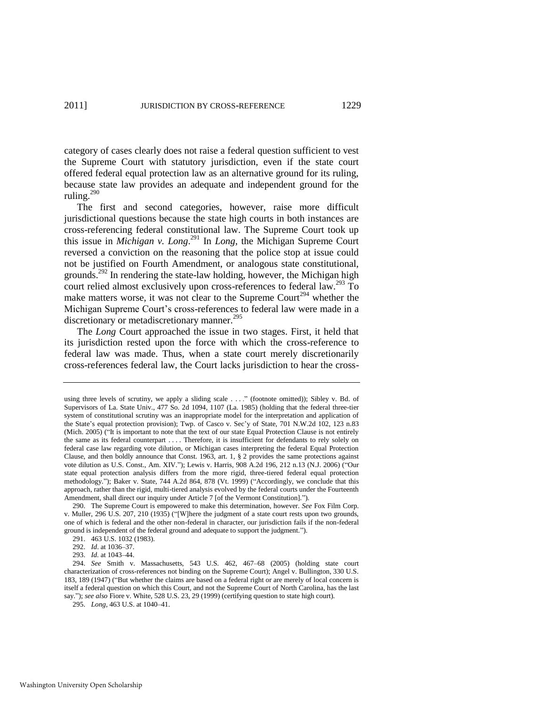category of cases clearly does not raise a federal question sufficient to vest the Supreme Court with statutory jurisdiction, even if the state court offered federal equal protection law as an alternative ground for its ruling, because state law provides an adequate and independent ground for the ruling. $290$ 

The first and second categories, however, raise more difficult jurisdictional questions because the state high courts in both instances are cross-referencing federal constitutional law. The Supreme Court took up this issue in *Michigan v. Long*. <sup>291</sup> In *Long*, the Michigan Supreme Court reversed a conviction on the reasoning that the police stop at issue could not be justified on Fourth Amendment, or analogous state constitutional, grounds.<sup>292</sup> In rendering the state-law holding, however, the Michigan high court relied almost exclusively upon cross-references to federal law.<sup>293</sup> To make matters worse, it was not clear to the Supreme Court<sup>294</sup> whether the Michigan Supreme Court's cross-references to federal law were made in a discretionary or metadiscretionary manner.<sup>295</sup>

The *Long* Court approached the issue in two stages. First, it held that its jurisdiction rested upon the force with which the cross-reference to federal law was made. Thus, when a state court merely discretionarily cross-references federal law, the Court lacks jurisdiction to hear the cross-

295. *Long*, 463 U.S. at 1040–41.

using three levels of scrutiny, we apply a sliding scale . . . ." (footnote omitted)); Sibley v. Bd. of Supervisors of La. State Univ., 477 So. 2d 1094, 1107 (La. 1985) (holding that the federal three-tier system of constitutional scrutiny was an inappropriate model for the interpretation and application of the State's equal protection provision); Twp. of Casco v. Sec'y of State, 701 N.W.2d 102, 123 n.83 (Mich. 2005) ("It is important to note that the text of our state Equal Protection Clause is not entirely the same as its federal counterpart . . . . Therefore, it is insufficient for defendants to rely solely on federal case law regarding vote dilution, or Michigan cases interpreting the federal Equal Protection Clause, and then boldly announce that Const. 1963, art. 1, § 2 provides the same protections against vote dilution as U.S. Const., Am. XIV."); Lewis v. Harris, 908 A.2d 196, 212 n.13 (N.J. 2006) ("Our state equal protection analysis differs from the more rigid, three-tiered federal equal protection methodology."); Baker v. State, 744 A.2d 864, 878 (Vt. 1999) ("Accordingly, we conclude that this approach, rather than the rigid, multi-tiered analysis evolved by the federal courts under the Fourteenth Amendment, shall direct our inquiry under Article 7 [of the Vermont Constitution].").

<sup>290.</sup> The Supreme Court is empowered to make this determination, however. *See* Fox Film Corp. v. Muller, 296 U.S. 207, 210 (1935) ("[W]here the judgment of a state court rests upon two grounds, one of which is federal and the other non-federal in character, our jurisdiction fails if the non-federal ground is independent of the federal ground and adequate to support the judgment.").

<sup>291. 463</sup> U.S. 1032 (1983).

<sup>292.</sup> *Id*. at 1036–37.

<sup>293.</sup> *Id.* at 1043–44.

<sup>294.</sup> *See* Smith v. Massachusetts, 543 U.S. 462, 467–68 (2005) (holding state court characterization of cross-references not binding on the Supreme Court); Angel v. Bullington, 330 U.S. 183, 189 (1947) ("But whether the claims are based on a federal right or are merely of local concern is itself a federal question on which this Court, and not the Supreme Court of North Carolina, has the last say.‖); *see also* Fiore v. White, 528 U.S. 23, 29 (1999) (certifying question to state high court).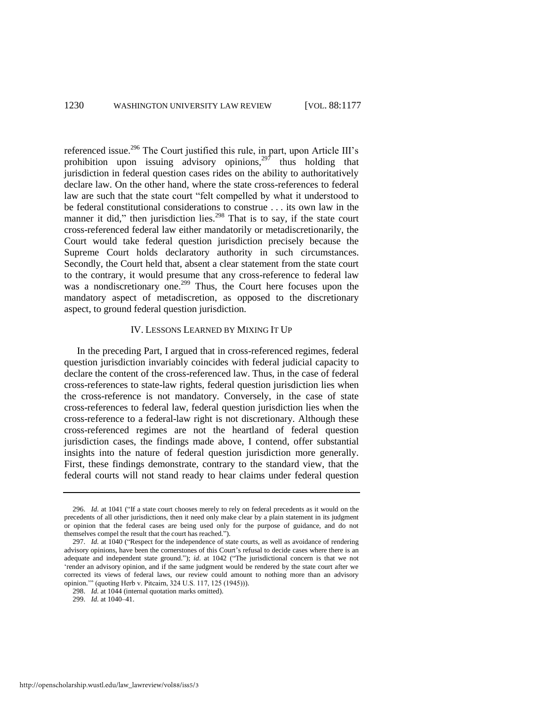referenced issue.<sup>296</sup> The Court justified this rule, in part, upon Article III's prohibition upon issuing advisory opinions, $297$  thus holding that jurisdiction in federal question cases rides on the ability to authoritatively declare law. On the other hand, where the state cross-references to federal law are such that the state court "felt compelled by what it understood to be federal constitutional considerations to construe . . . its own law in the manner it did," then jurisdiction lies.<sup>298</sup> That is to say, if the state court cross-referenced federal law either mandatorily or metadiscretionarily, the Court would take federal question jurisdiction precisely because the Supreme Court holds declaratory authority in such circumstances. Secondly, the Court held that, absent a clear statement from the state court to the contrary, it would presume that any cross-reference to federal law was a nondiscretionary one.<sup>299</sup> Thus, the Court here focuses upon the mandatory aspect of metadiscretion, as opposed to the discretionary aspect, to ground federal question jurisdiction.

## IV. LESSONS LEARNED BY MIXING IT UP

In the preceding Part, I argued that in cross-referenced regimes, federal question jurisdiction invariably coincides with federal judicial capacity to declare the content of the cross-referenced law. Thus, in the case of federal cross-references to state-law rights, federal question jurisdiction lies when the cross-reference is not mandatory. Conversely, in the case of state cross-references to federal law, federal question jurisdiction lies when the cross-reference to a federal-law right is not discretionary. Although these cross-referenced regimes are not the heartland of federal question jurisdiction cases, the findings made above, I contend, offer substantial insights into the nature of federal question jurisdiction more generally. First, these findings demonstrate, contrary to the standard view, that the federal courts will not stand ready to hear claims under federal question

<sup>296.</sup> *Id.* at 1041 ("If a state court chooses merely to rely on federal precedents as it would on the precedents of all other jurisdictions, then it need only make clear by a plain statement in its judgment or opinion that the federal cases are being used only for the purpose of guidance, and do not themselves compel the result that the court has reached.").

<sup>297.</sup> *Id.* at 1040 ("Respect for the independence of state courts, as well as avoidance of rendering advisory opinions, have been the cornerstones of this Court's refusal to decide cases where there is an adequate and independent state ground."); *id.* at 1042 ("The jurisdictional concern is that we not ‗render an advisory opinion, and if the same judgment would be rendered by the state court after we corrected its views of federal laws, our review could amount to nothing more than an advisory opinion."" (quoting Herb v. Pitcairn, 324 U.S. 117, 125 (1945))).

<sup>298.</sup> *Id.* at 1044 (internal quotation marks omitted).

<sup>299.</sup> *Id.* at 1040–41.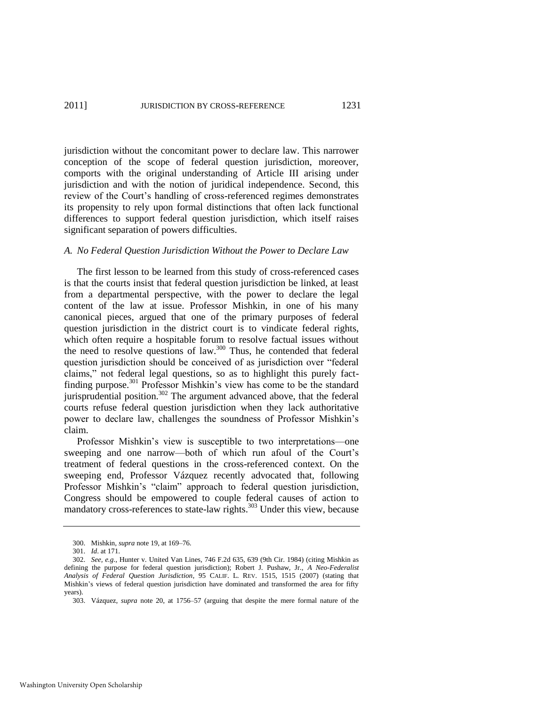jurisdiction without the concomitant power to declare law. This narrower conception of the scope of federal question jurisdiction, moreover, comports with the original understanding of Article III arising under jurisdiction and with the notion of juridical independence. Second, this review of the Court's handling of cross-referenced regimes demonstrates its propensity to rely upon formal distinctions that often lack functional differences to support federal question jurisdiction, which itself raises significant separation of powers difficulties.

## *A. No Federal Question Jurisdiction Without the Power to Declare Law*

The first lesson to be learned from this study of cross-referenced cases is that the courts insist that federal question jurisdiction be linked, at least from a departmental perspective, with the power to declare the legal content of the law at issue. Professor Mishkin, in one of his many canonical pieces, argued that one of the primary purposes of federal question jurisdiction in the district court is to vindicate federal rights, which often require a hospitable forum to resolve factual issues without the need to resolve questions of law.<sup>300</sup> Thus, he contended that federal question jurisdiction should be conceived of as jurisdiction over "federal claims," not federal legal questions, so as to highlight this purely factfinding purpose.<sup>301</sup> Professor Mishkin's view has come to be the standard jurisprudential position.<sup>302</sup> The argument advanced above, that the federal courts refuse federal question jurisdiction when they lack authoritative power to declare law, challenges the soundness of Professor Mishkin's claim.

Professor Mishkin's view is susceptible to two interpretations—one sweeping and one narrow—both of which run afoul of the Court's treatment of federal questions in the cross-referenced context. On the sweeping end, Professor Vázquez recently advocated that, following Professor Mishkin's "claim" approach to federal question jurisdiction, Congress should be empowered to couple federal causes of action to mandatory cross-references to state-law rights.<sup>303</sup> Under this view, because

<sup>300.</sup> Mishkin, *supra* note 19, at 169–76.

<sup>301.</sup> *Id*. at 171.

<sup>302.</sup> *See, e.g*., Hunter v. United Van Lines, 746 F.2d 635, 639 (9th Cir. 1984) (citing Mishkin as defining the purpose for federal question jurisdiction); Robert J. Pushaw, Jr., *A Neo-Federalist Analysis of Federal Question Jurisdiction*, 95 CALIF. L. REV. 1515, 1515 (2007) (stating that Mishkin's views of federal question jurisdiction have dominated and transformed the area for fifty years).

<sup>303.</sup> Vázquez, *supra* note 20, at 1756–57 (arguing that despite the mere formal nature of the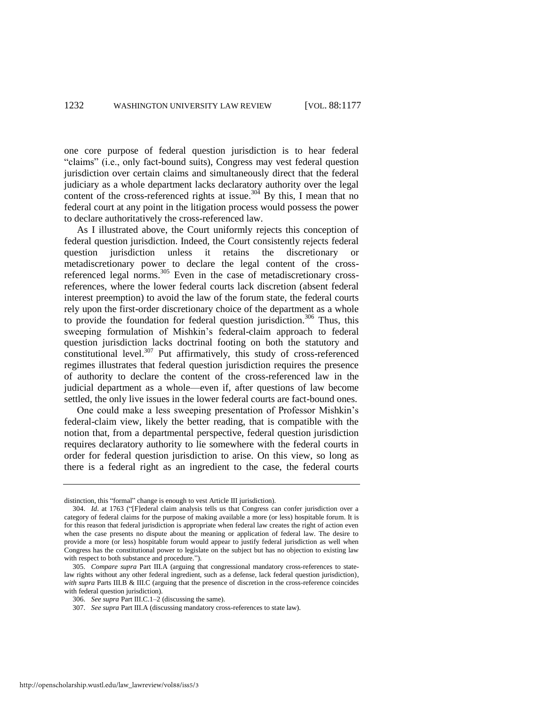one core purpose of federal question jurisdiction is to hear federal "claims" (i.e., only fact-bound suits), Congress may vest federal question jurisdiction over certain claims and simultaneously direct that the federal judiciary as a whole department lacks declaratory authority over the legal content of the cross-referenced rights at issue.<sup>304</sup> By this, I mean that no federal court at any point in the litigation process would possess the power to declare authoritatively the cross-referenced law.

As I illustrated above, the Court uniformly rejects this conception of federal question jurisdiction. Indeed, the Court consistently rejects federal question jurisdiction unless it retains the discretionary or metadiscretionary power to declare the legal content of the crossreferenced legal norms.<sup>305</sup> Even in the case of metadiscretionary crossreferences, where the lower federal courts lack discretion (absent federal interest preemption) to avoid the law of the forum state, the federal courts rely upon the first-order discretionary choice of the department as a whole to provide the foundation for federal question jurisdiction.<sup>306</sup> Thus, this sweeping formulation of Mishkin's federal-claim approach to federal question jurisdiction lacks doctrinal footing on both the statutory and  $\overline{\text{constitutional level.}}^{307}$  Put affirmatively, this study of cross-referenced regimes illustrates that federal question jurisdiction requires the presence of authority to declare the content of the cross-referenced law in the judicial department as a whole—even if, after questions of law become settled, the only live issues in the lower federal courts are fact-bound ones.

One could make a less sweeping presentation of Professor Mishkin's federal-claim view, likely the better reading, that is compatible with the notion that, from a departmental perspective, federal question jurisdiction requires declaratory authority to lie somewhere with the federal courts in order for federal question jurisdiction to arise. On this view, so long as there is a federal right as an ingredient to the case, the federal courts

distinction, this "formal" change is enough to vest Article III jurisdiction).

<sup>304.</sup> *Id.* at 1763 ("[F]ederal claim analysis tells us that Congress can confer jurisdiction over a category of federal claims for the purpose of making available a more (or less) hospitable forum. It is for this reason that federal jurisdiction is appropriate when federal law creates the right of action even when the case presents no dispute about the meaning or application of federal law. The desire to provide a more (or less) hospitable forum would appear to justify federal jurisdiction as well when Congress has the constitutional power to legislate on the subject but has no objection to existing law with respect to both substance and procedure.").

<sup>305.</sup> *Compare supra* Part III.A (arguing that congressional mandatory cross-references to statelaw rights without any other federal ingredient, such as a defense, lack federal question jurisdiction), *with supra* Parts III.B & III.C (arguing that the presence of discretion in the cross-reference coincides with federal question jurisdiction).

<sup>306.</sup> *See supra* Part III.C.1–2 (discussing the same).

<sup>307.</sup> *See supra* Part III.A (discussing mandatory cross-references to state law).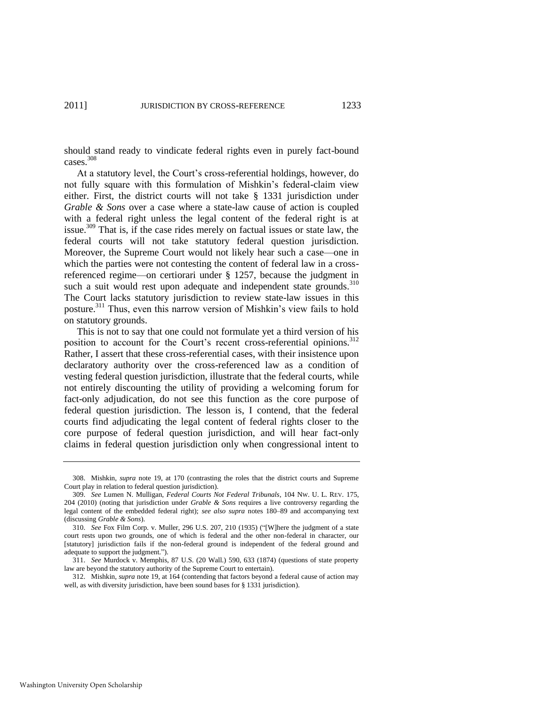should stand ready to vindicate federal rights even in purely fact-bound cases.<sup>308</sup>

At a statutory level, the Court's cross-referential holdings, however, do not fully square with this formulation of Mishkin's federal-claim view either. First, the district courts will not take § 1331 jurisdiction under *Grable & Sons* over a case where a state-law cause of action is coupled with a federal right unless the legal content of the federal right is at issue.<sup>309</sup> That is, if the case rides merely on factual issues or state law, the federal courts will not take statutory federal question jurisdiction. Moreover, the Supreme Court would not likely hear such a case—one in which the parties were not contesting the content of federal law in a crossreferenced regime—on certiorari under § 1257, because the judgment in such a suit would rest upon adequate and independent state grounds. $310$ The Court lacks statutory jurisdiction to review state-law issues in this posture.<sup>311</sup> Thus, even this narrow version of Mishkin's view fails to hold on statutory grounds.

This is not to say that one could not formulate yet a third version of his position to account for the Court's recent cross-referential opinions.<sup>312</sup> Rather, I assert that these cross-referential cases, with their insistence upon declaratory authority over the cross-referenced law as a condition of vesting federal question jurisdiction, illustrate that the federal courts, while not entirely discounting the utility of providing a welcoming forum for fact-only adjudication, do not see this function as the core purpose of federal question jurisdiction. The lesson is, I contend, that the federal courts find adjudicating the legal content of federal rights closer to the core purpose of federal question jurisdiction, and will hear fact-only claims in federal question jurisdiction only when congressional intent to

<sup>308.</sup> Mishkin, *supra* note 19, at 170 (contrasting the roles that the district courts and Supreme Court play in relation to federal question jurisdiction).

<sup>309.</sup> *See* Lumen N. Mulligan, *Federal Courts Not Federal Tribunals*, 104 NW. U. L. REV. 175, 204 (2010) (noting that jurisdiction under *Grable & Sons* requires a live controversy regarding the legal content of the embedded federal right); *see also supra* notes 180–89 and accompanying text (discussing *Grable & Sons*).

<sup>310.</sup> *See* Fox Film Corp. v. Muller, 296 U.S. 207, 210 (1935) ("[W]here the judgment of a state court rests upon two grounds, one of which is federal and the other non-federal in character, our [statutory] jurisdiction fails if the non-federal ground is independent of the federal ground and adequate to support the judgment.").

<sup>311.</sup> *See* Murdock v. Memphis, 87 U.S. (20 Wall.) 590, 633 (1874) (questions of state property law are beyond the statutory authority of the Supreme Court to entertain).

<sup>312.</sup> Mishkin, *supra* note 19, at 164 (contending that factors beyond a federal cause of action may well, as with diversity jurisdiction, have been sound bases for § 1331 jurisdiction).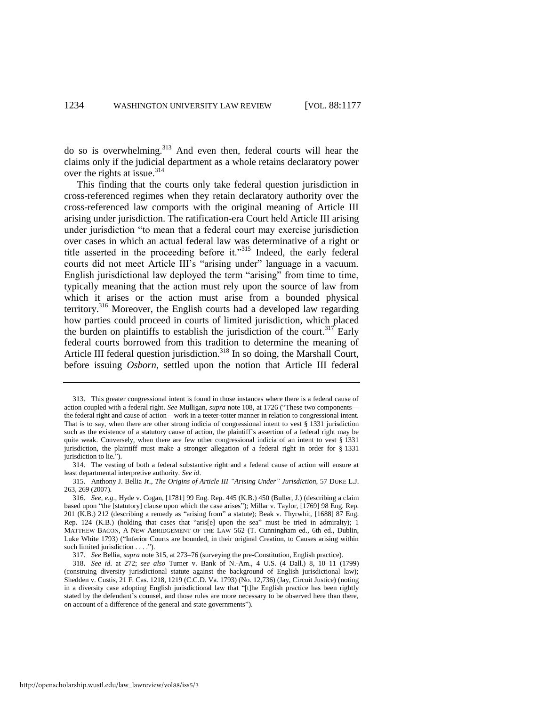do so is overwhelming.<sup>313</sup> And even then, federal courts will hear the claims only if the judicial department as a whole retains declaratory power over the rights at issue.<sup>314</sup>

<span id="page-58-0"></span>This finding that the courts only take federal question jurisdiction in cross-referenced regimes when they retain declaratory authority over the cross-referenced law comports with the original meaning of Article III arising under jurisdiction. The ratification-era Court held Article III arising under jurisdiction "to mean that a federal court may exercise jurisdiction over cases in which an actual federal law was determinative of a right or title asserted in the proceeding before it."<sup>315</sup> Indeed, the early federal courts did not meet Article III's "arising under" language in a vacuum. English jurisdictional law deployed the term "arising" from time to time, typically meaning that the action must rely upon the source of law from which it arises or the action must arise from a bounded physical territory.<sup>316</sup> Moreover, the English courts had a developed law regarding how parties could proceed in courts of limited jurisdiction, which placed the burden on plaintiffs to establish the jurisdiction of the court.<sup>317</sup> Early federal courts borrowed from this tradition to determine the meaning of Article III federal question jurisdiction.<sup>318</sup> In so doing, the Marshall Court, before issuing *Osborn*, settled upon the notion that Article III federal

<sup>313.</sup> This greater congressional intent is found in those instances where there is a federal cause of action coupled with a federal right. *See Mulligan, supra* not[e 108,](#page-21-0) at 1726 ("These two components the federal right and cause of action—work in a teeter-totter manner in relation to congressional intent. That is to say, when there are other strong indicia of congressional intent to vest § 1331 jurisdiction such as the existence of a statutory cause of action, the plaintiff's assertion of a federal right may be quite weak. Conversely, when there are few other congressional indicia of an intent to vest § 1331 jurisdiction, the plaintiff must make a stronger allegation of a federal right in order for § 1331 jurisdiction to lie.").

<sup>314.</sup> The vesting of both a federal substantive right and a federal cause of action will ensure at least departmental interpretive authority. *See id*.

<sup>315.</sup> Anthony J. Bellia Jr., *The Origins of Article III "Arising Under" Jurisdiction*, 57 DUKE L.J. 263, 269 (2007).

<sup>316.</sup> *See, e.g*., Hyde v. Cogan, [1781] 99 Eng. Rep. 445 (K.B.) 450 (Buller, J.) (describing a claim based upon "the [statutory] clause upon which the case arises"); Millar v. Taylor, [1769] 98 Eng. Rep. 201 (K.B.) 212 (describing a remedy as "arising from" a statute); Beak v. Thyrwhit, [1688] 87 Eng. Rep. 124 (K.B.) (holding that cases that "aris[e] upon the sea" must be tried in admiralty); 1 MATTHEW BACON, A NEW ABRIDGEMENT OF THE LAW 562 (T. Cunningham ed., 6th ed., Dublin, Luke White 1793) ("Inferior Courts are bounded, in their original Creation, to Causes arising within such limited jurisdiction . . . .").

<sup>317.</sup> *See* Bellia, *supra* not[e 315,](#page-58-0) at 273–76 (surveying the pre-Constitution, English practice).

<sup>318.</sup> *See id*. at 272; *see also* Turner v. Bank of N.-Am., 4 U.S. (4 Dall.) 8, 10–11 (1799) (construing diversity jurisdictional statute against the background of English jurisdictional law); Shedden v. Custis, 21 F. Cas. 1218, 1219 (C.C.D. Va. 1793) (No. 12,736) (Jay, Circuit Justice) (noting in a diversity case adopting English jurisdictional law that "[t]he English practice has been rightly stated by the defendant's counsel, and those rules are more necessary to be observed here than there, on account of a difference of the general and state governments").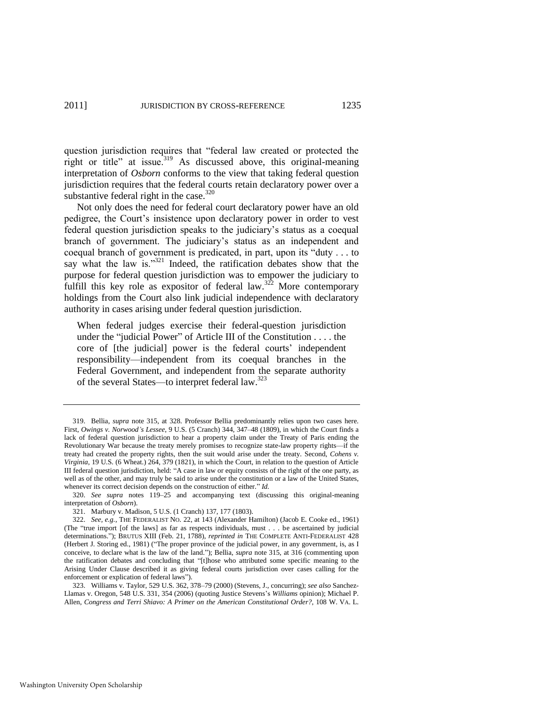question jurisdiction requires that "federal law created or protected the right or title" at issue.<sup>319</sup> As discussed above, this original-meaning interpretation of *Osborn* conforms to the view that taking federal question jurisdiction requires that the federal courts retain declaratory power over a substantive federal right in the case. $320$ 

Not only does the need for federal court declaratory power have an old pedigree, the Court's insistence upon declaratory power in order to vest federal question jurisdiction speaks to the judiciary's status as a coequal branch of government. The judiciary's status as an independent and coequal branch of government is predicated, in part, upon its "duty  $\dots$  to say what the law is." $321$  Indeed, the ratification debates show that the purpose for federal question jurisdiction was to empower the judiciary to fulfill this key role as expositor of federal law.<sup>322</sup> More contemporary holdings from the Court also link judicial independence with declaratory authority in cases arising under federal question jurisdiction.

<span id="page-59-1"></span><span id="page-59-0"></span>When federal judges exercise their federal-question jurisdiction under the "judicial Power" of Article III of the Constitution  $\dots$  the core of [the judicial] power is the federal courts' independent responsibility—independent from its coequal branches in the Federal Government, and independent from the separate authority of the several States—to interpret federal law.<sup>323</sup>

<sup>319.</sup> Bellia, *supra* note [315,](#page-58-0) at 328. Professor Bellia predominantly relies upon two cases here. First, *Owings v. Norwood's Lessee*, 9 U.S. (5 Cranch) 344, 347–48 (1809), in which the Court finds a lack of federal question jurisdiction to hear a property claim under the Treaty of Paris ending the Revolutionary War because the treaty merely promises to recognize state-law property rights—if the treaty had created the property rights, then the suit would arise under the treaty. Second, *Cohens v. Virginia*, 19 U.S. (6 Wheat.) 264, 379 (1821), in which the Court, in relation to the question of Article III federal question jurisdiction, held: "A case in law or equity consists of the right of the one party, as well as of the other, and may truly be said to arise under the constitution or a law of the United States, whenever its correct decision depends on the construction of either." *Id.* 

<sup>320.</sup> *See supra* notes [119–](#page-23-0)25 and accompanying text (discussing this original-meaning interpretation of *Osborn*).

<sup>321.</sup> Marbury v. Madison, 5 U.S. (1 Cranch) 137, 177 (1803).

<sup>322.</sup> *See, e.g.*, THE FEDERALIST NO. 22, at 143 (Alexander Hamilton) (Jacob E. Cooke ed., 1961) (The "true import [of the laws] as far as respects individuals, must  $\dots$  be ascertained by judicial determinations."); BRUTUS XIII (Feb. 21, 1788), *reprinted in* THE COMPLETE ANTI-FEDERALIST 428 (Herbert J. Storing ed., 1981) ("The proper province of the judicial power, in any government, is, as I conceive, to declare what is the law of the land.‖); Bellia, *supra* not[e 315,](#page-58-0) at 316 (commenting upon the ratification debates and concluding that "[t]hose who attributed some specific meaning to the Arising Under Clause described it as giving federal courts jurisdiction over cases calling for the enforcement or explication of federal laws").

<sup>323.</sup> Williams v. Taylor, 529 U.S. 362, 378–79 (2000) (Stevens, J., concurring); *see also* Sanchez-Llamas v. Oregon, 548 U.S. 331, 354 (2006) (quoting Justice Stevens's *Williams* opinion); Michael P. Allen, *Congress and Terri Shiavo: A Primer on the American Constitutional Order?*, 108 W. VA. L.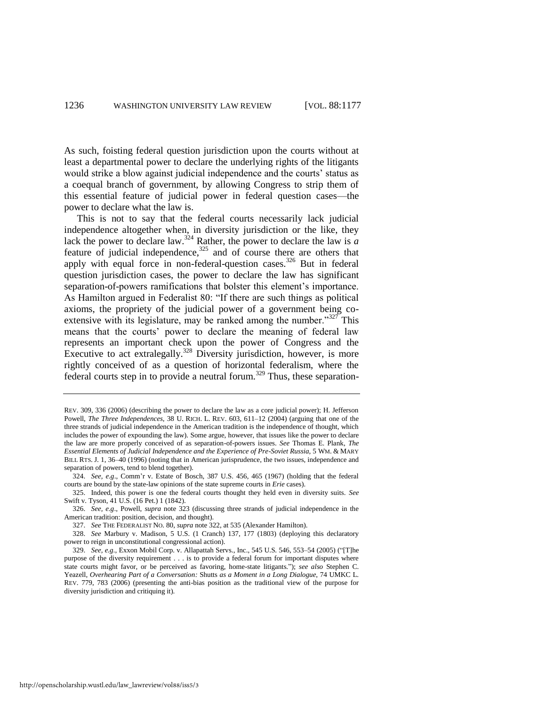As such, foisting federal question jurisdiction upon the courts without at least a departmental power to declare the underlying rights of the litigants would strike a blow against judicial independence and the courts' status as a coequal branch of government, by allowing Congress to strip them of this essential feature of judicial power in federal question cases—the power to declare what the law is.

This is not to say that the federal courts necessarily lack judicial independence altogether when, in diversity jurisdiction or the like, they lack the power to declare law.<sup>324</sup> Rather, the power to declare the law is  $\overline{a}$ feature of judicial independence, $325$  and of course there are others that apply with equal force in non-federal-question cases.<sup>326</sup> But in federal question jurisdiction cases, the power to declare the law has significant separation-of-powers ramifications that bolster this element's importance. As Hamilton argued in Federalist 80: "If there are such things as political axioms, the propriety of the judicial power of a government being coextensive with its legislature, may be ranked among the number. $327$  This means that the courts' power to declare the meaning of federal law represents an important check upon the power of Congress and the Executive to act extralegally.<sup>328</sup> Diversity jurisdiction, however, is more rightly conceived of as a question of horizontal federalism, where the federal courts step in to provide a neutral forum.<sup>329</sup> Thus, these separation-

REV. 309, 336 (2006) (describing the power to declare the law as a core judicial power); H. Jefferson Powell, *The Three Independences*, 38 U. RICH. L. REV. 603, 611–12 (2004) (arguing that one of the three strands of judicial independence in the American tradition is the independence of thought, which includes the power of expounding the law). Some argue, however, that issues like the power to declare the law are more properly conceived of as separation-of-powers issues. *See* Thomas E. Plank, *The Essential Elements of Judicial Independence and the Experience of Pre-Soviet Russia*, 5 WM. & MARY BILL RTS. J. 1, 36–40 (1996) (noting that in American jurisprudence, the two issues, independence and separation of powers, tend to blend together).

<sup>324.</sup> *See, e.g*., Comm'r v. Estate of Bosch, 387 U.S. 456, 465 (1967) (holding that the federal courts are bound by the state-law opinions of the state supreme courts in *Erie* cases).

<sup>325.</sup> Indeed, this power is one the federal courts thought they held even in diversity suits. *See* Swift v. Tyson, 41 U.S. (16 Pet.) 1 (1842).

<sup>326.</sup> *See, e.g*., Powell, *supra* note [323](#page-59-0) (discussing three strands of judicial independence in the American tradition: position, decision, and thought).

<sup>327.</sup> *See* THE FEDERALIST NO. 80, *supra* not[e 322,](#page-59-1) at 535 (Alexander Hamilton).

<sup>328.</sup> *See* Marbury v. Madison, 5 U.S. (1 Cranch) 137, 177 (1803) (deploying this declaratory power to reign in unconstitutional congressional action).

<sup>329.</sup> *See, e.g.*, Exxon Mobil Corp. v. Allapattah Servs., Inc., 545 U.S. 546, 553-54 (2005) ("[T]he purpose of the diversity requirement . . . is to provide a federal forum for important disputes where state courts might favor, or be perceived as favoring, home-state litigants.‖); *see also* Stephen C. Yeazell, *Overhearing Part of a Conversation:* Shutts *as a Moment in a Long Dialogue*, 74 UMKC L. REV. 779, 783 (2006) (presenting the anti-bias position as the traditional view of the purpose for diversity jurisdiction and critiquing it).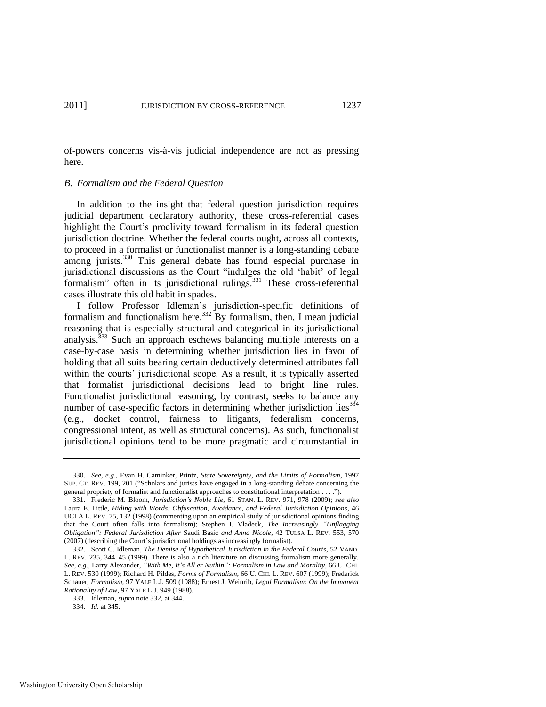of-powers concerns vis-à-vis judicial independence are not as pressing here.

#### *B. Formalism and the Federal Question*

In addition to the insight that federal question jurisdiction requires judicial department declaratory authority, these cross-referential cases highlight the Court's proclivity toward formalism in its federal question jurisdiction doctrine. Whether the federal courts ought, across all contexts, to proceed in a formalist or functionalist manner is a long-standing debate among jurists.<sup>330</sup> This general debate has found especial purchase in jurisdictional discussions as the Court "indulges the old 'habit' of legal formalism‖ often in its jurisdictional rulings.<sup>331</sup> These cross-referential cases illustrate this old habit in spades.

<span id="page-61-0"></span>I follow Professor Idleman's jurisdiction-specific definitions of formalism and functionalism here.<sup>332</sup> By formalism, then, I mean judicial reasoning that is especially structural and categorical in its jurisdictional analysis. $333$  Such an approach eschews balancing multiple interests on a case-by-case basis in determining whether jurisdiction lies in favor of holding that all suits bearing certain deductively determined attributes fall within the courts' jurisdictional scope. As a result, it is typically asserted that formalist jurisdictional decisions lead to bright line rules. Functionalist jurisdictional reasoning, by contrast, seeks to balance any number of case-specific factors in determining whether jurisdiction lies $^{334}$ (e.g., docket control, fairness to litigants, federalism concerns, congressional intent, as well as structural concerns). As such, functionalist jurisdictional opinions tend to be more pragmatic and circumstantial in

<sup>330.</sup> *See, e.g*., Evan H. Caminker, Printz*, State Sovereignty, and the Limits of Formalism*, 1997 SUP. CT. REV. 199, 201 ("Scholars and jurists have engaged in a long-standing debate concerning the general propriety of formalist and functionalist approaches to constitutional interpretation . . . .").

<sup>331.</sup> Frederic M. Bloom, *Jurisdiction's Noble Lie*, 61 STAN. L. REV. 971, 978 (2009); *see also* Laura E. Little, *Hiding with Words: Obfuscation, Avoidance, and Federal Jurisdiction Opinions*, 46 UCLA L. REV. 75, 132 (1998) (commenting upon an empirical study of jurisdictional opinions finding that the Court often falls into formalism); Stephen I. Vladeck, *The Increasingly "Unflagging Obligation": Federal Jurisdiction After* Saudi Basic *and Anna Nicole*, 42 TULSA L. REV. 553, 570 (2007) (describing the Court's jurisdictional holdings as increasingly formalist).

<sup>332.</sup> Scott C. Idleman, *The Demise of Hypothetical Jurisdiction in the Federal Courts*, 52 VAND. L. REV. 235, 344–45 (1999). There is also a rich literature on discussing formalism more generally. *See, e.g*., Larry Alexander, *"With Me, It's All er Nuthin": Formalism in Law and Morality*, 66 U. CHI. L. REV. 530 (1999); Richard H. Pildes, *Forms of Formalism*, 66 U. CHI. L. REV. 607 (1999); Frederick Schauer, *Formalism*, 97 YALE L.J. 509 (1988); Ernest J. Weinrib, *Legal Formalism: On the Immanent Rationality of Law*, 97 YALE L.J. 949 (1988).

<sup>333.</sup> Idleman, *supra* not[e 332,](#page-61-0) at 344.

<sup>334.</sup> *Id.* at 345.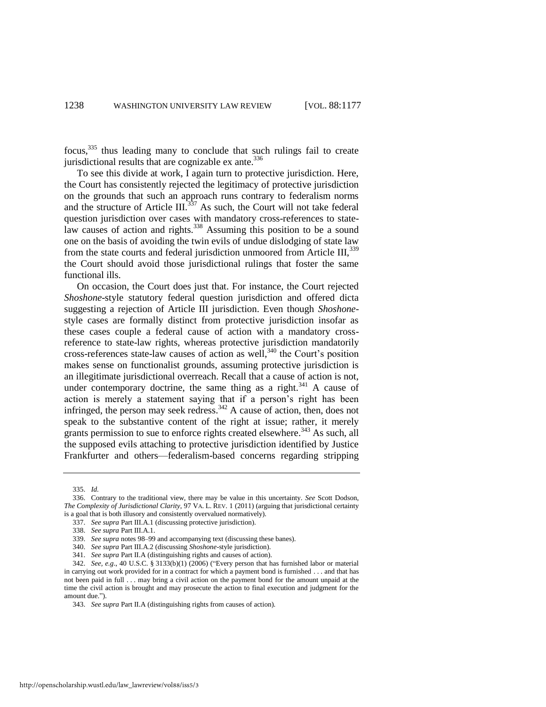focus,<sup>335</sup> thus leading many to conclude that such rulings fail to create jurisdictional results that are cognizable  $ex$  ante.<sup>336</sup>

To see this divide at work, I again turn to protective jurisdiction. Here, the Court has consistently rejected the legitimacy of protective jurisdiction on the grounds that such an approach runs contrary to federalism norms and the structure of Article  $III$ <sup>337</sup> As such, the Court will not take federal question jurisdiction over cases with mandatory cross-references to statelaw causes of action and rights.<sup>338</sup> Assuming this position to be a sound one on the basis of avoiding the twin evils of undue dislodging of state law from the state courts and federal jurisdiction unmoored from Article III, 339 the Court should avoid those jurisdictional rulings that foster the same functional ills.

On occasion, the Court does just that. For instance, the Court rejected *Shoshone*-style statutory federal question jurisdiction and offered dicta suggesting a rejection of Article III jurisdiction. Even though *Shoshone*style cases are formally distinct from protective jurisdiction insofar as these cases couple a federal cause of action with a mandatory crossreference to state-law rights, whereas protective jurisdiction mandatorily cross-references state-law causes of action as well, $340$  the Court's position makes sense on functionalist grounds, assuming protective jurisdiction is an illegitimate jurisdictional overreach. Recall that a cause of action is not, under contemporary doctrine, the same thing as a right.<sup>341</sup> A cause of action is merely a statement saying that if a person's right has been infringed, the person may seek redress.<sup>342</sup> A cause of action, then, does not speak to the substantive content of the right at issue; rather, it merely grants permission to sue to enforce rights created elsewhere.<sup>343</sup> As such, all the supposed evils attaching to protective jurisdiction identified by Justice Frankfurter and others—federalism-based concerns regarding stripping

<span id="page-62-0"></span><sup>335.</sup> *Id.* 

<sup>336.</sup> Contrary to the traditional view, there may be value in this uncertainty. *See* Scott Dodson, *The Complexity of Jurisdictional Clarity*, 97 VA. L. REV. 1 (2011) (arguing that jurisdictional certainty is a goal that is both illusory and consistently overvalued normatively).

<sup>337.</sup> *See supra* Part III.A.1 (discussing protective jurisdiction).

<sup>338.</sup> *See supra* Part III.A.1.

<sup>339.</sup> *See supra* notes 98–99 and accompanying text (discussing these banes).

<sup>340.</sup> *See supra* Part III.A.2 (discussing *Shoshone*-style jurisdiction).

<sup>341.</sup> *See supra* Part II.A (distinguishing rights and causes of action).

<sup>342.</sup> *See, e.g.*, 40 U.S.C. § 3133(b)(1) (2006) ("Every person that has furnished labor or material in carrying out work provided for in a contract for which a payment bond is furnished . . . and that has not been paid in full . . . may bring a civil action on the payment bond for the amount unpaid at the time the civil action is brought and may prosecute the action to final execution and judgment for the amount due.").

<sup>343.</sup> *See supra* Part II.A (distinguishing rights from causes of action).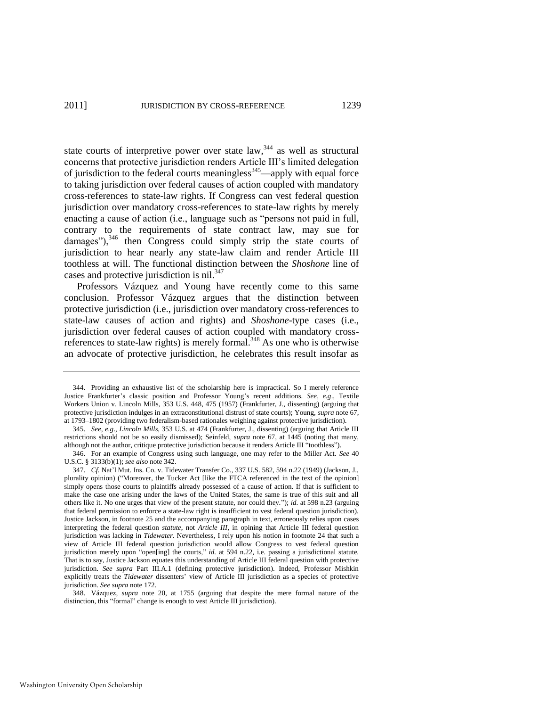state courts of interpretive power over state law,  $344$  as well as structural concerns that protective jurisdiction renders Article III's limited delegation of jurisdiction to the federal courts meaningless<sup>345</sup>—apply with equal force to taking jurisdiction over federal causes of action coupled with mandatory cross-references to state-law rights. If Congress can vest federal question jurisdiction over mandatory cross-references to state-law rights by merely enacting a cause of action (i.e., language such as "persons not paid in full, contrary to the requirements of state contract law, may sue for damages"), $346$  then Congress could simply strip the state courts of jurisdiction to hear nearly any state-law claim and render Article III toothless at will. The functional distinction between the *Shoshone* line of cases and protective jurisdiction is nil.<sup>347</sup>

Professors Vázquez and Young have recently come to this same conclusion. Professor Vázquez argues that the distinction between protective jurisdiction (i.e., jurisdiction over mandatory cross-references to state-law causes of action and rights) and *Shoshone*-type cases (i.e., jurisdiction over federal causes of action coupled with mandatory crossreferences to state-law rights) is merely formal.<sup>348</sup> As one who is otherwise an advocate of protective jurisdiction, he celebrates this result insofar as

<sup>344.</sup> Providing an exhaustive list of the scholarship here is impractical. So I merely reference Justice Frankfurter's classic position and Professor Young's recent additions. *See, e.g*., Textile Workers Union v. Lincoln Mills, 353 U.S. 448, 475 (1957) (Frankfurter, J., dissenting) (arguing that protective jurisdiction indulges in an extraconstitutional distrust of state courts); Young, *supra* note 67, at 1793–1802 (providing two federalism-based rationales weighing against protective jurisdiction).

<sup>345.</sup> *See, e.g*., *Lincoln Mills*, 353 U.S. at 474 (Frankfurter, J., dissenting) (arguing that Article III restrictions should not be so easily dismissed); Seinfeld, *supra* note 67, at 1445 (noting that many, although not the author, critique protective jurisdiction because it renders Article III "toothless").

<sup>346.</sup> For an example of Congress using such language, one may refer to the Miller Act. *See* 40 U.S.C. § 3133(b)(1); *see also* note [342.](#page-62-0) 

<sup>347.</sup> *Cf.* Nat'l Mut. Ins. Co. v. Tidewater Transfer Co., 337 U.S. 582, 594 n.22 (1949) (Jackson, J., plurality opinion) ("Moreover, the Tucker Act [like the FTCA referenced in the text of the opinion] simply opens those courts to plaintiffs already possessed of a cause of action. If that is sufficient to make the case one arising under the laws of the United States, the same is true of this suit and all others like it. No one urges that view of the present statute, nor could they.‖); *id*. at 598 n.23 (arguing that federal permission to enforce a state-law right is insufficient to vest federal question jurisdiction). Justice Jackson, in footnote [25](#page-7-2) and the accompanying paragraph in text, erroneously relies upon cases interpreting the federal question *statute*, not *Article III*, in opining that Article III federal question jurisdiction was lacking in *Tidewater*. Nevertheless, I rely upon his notion in footnote [24](#page-7-3) that such a view of Article III federal question jurisdiction would allow Congress to vest federal question jurisdiction merely upon "open[ing] the courts," id. at 594 n.22, i.e. passing a jurisdictional statute. That is to say, Justice Jackson equates this understanding of Article III federal question with protective jurisdiction. *See supra* Part III.A.1 (defining protective jurisdiction). Indeed, Professor Mishkin explicitly treats the *Tidewater* dissenters' view of Article III jurisdiction as a species of protective jurisdiction. *See supra* note 172.

<sup>348.</sup> Vázquez, *supra* note 20, at 1755 (arguing that despite the mere formal nature of the distinction, this "formal" change is enough to vest Article III jurisdiction).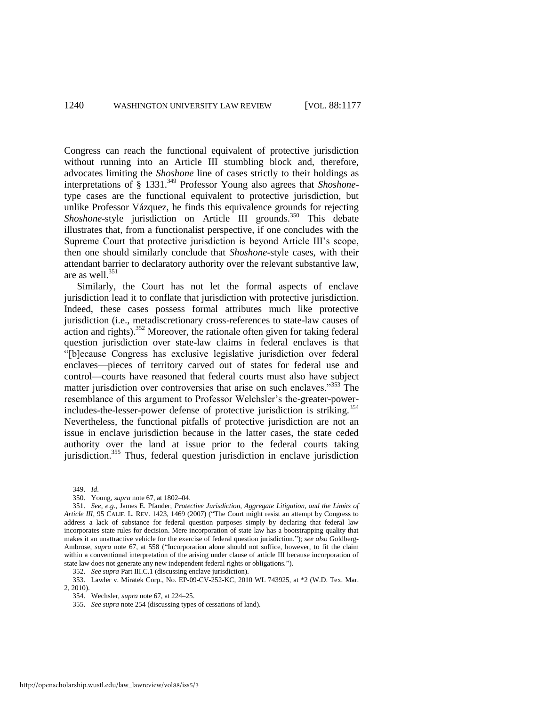Congress can reach the functional equivalent of protective jurisdiction without running into an Article III stumbling block and, therefore, advocates limiting the *Shoshone* line of cases strictly to their holdings as interpretations of § 1331.<sup>349</sup> Professor Young also agrees that *Shoshone*type cases are the functional equivalent to protective jurisdiction, but unlike Professor Vázquez, he finds this equivalence grounds for rejecting *Shoshone-style* jurisdiction on Article III grounds.<sup>350</sup> This debate illustrates that, from a functionalist perspective, if one concludes with the Supreme Court that protective jurisdiction is beyond Article III's scope, then one should similarly conclude that *Shoshone*-style cases, with their attendant barrier to declaratory authority over the relevant substantive law, are as well.<sup>351</sup>

Similarly, the Court has not let the formal aspects of enclave jurisdiction lead it to conflate that jurisdiction with protective jurisdiction. Indeed, these cases possess formal attributes much like protective jurisdiction (i.e., metadiscretionary cross-references to state-law causes of  $\alpha$  action and rights).<sup>352</sup> Moreover, the rationale often given for taking federal question jurisdiction over state-law claims in federal enclaves is that ―[b]ecause Congress has exclusive legislative jurisdiction over federal enclaves—pieces of territory carved out of states for federal use and control—courts have reasoned that federal courts must also have subject matter jurisdiction over controversies that arise on such enclaves.<sup>3553</sup> The resemblance of this argument to Professor Welchsler's the-greater-powerincludes-the-lesser-power defense of protective jurisdiction is striking.<sup>354</sup> Nevertheless, the functional pitfalls of protective jurisdiction are not an issue in enclave jurisdiction because in the latter cases, the state ceded authority over the land at issue prior to the federal courts taking jurisdiction.<sup>355</sup> Thus, federal question jurisdiction in enclave jurisdiction

349. *Id*.

<sup>350.</sup> Young, *supra* note 67, at 1802–04.

<sup>351.</sup> *See, e.g*., James E. Pfander, *Protective Jurisdiction, Aggregate Litigation, and the Limits of Article III*, 95 CALIF. L. REV. 1423, 1469 (2007) ("The Court might resist an attempt by Congress to address a lack of substance for federal question purposes simply by declaring that federal law incorporates state rules for decision. Mere incorporation of state law has a bootstrapping quality that makes it an unattractive vehicle for the exercise of federal question jurisdiction."); *see also* Goldberg-Ambrose, *supra* note 67, at 558 ("Incorporation alone should not suffice, however, to fit the claim within a conventional interpretation of the arising under clause of article III because incorporation of state law does not generate any new independent federal rights or obligations.").

<sup>352.</sup> *See supra* Part III.C.1 (discussing enclave jurisdiction).

<sup>353.</sup> Lawler v. Miratek Corp., No. EP-09-CV-252-KC, 2010 WL 743925, at \*2 (W.D. Tex. Mar. 2, 2010).

<sup>354.</sup> Wechsler, *supra* note 67, at 224–25.

<sup>355.</sup> *See supra* note 254 (discussing types of cessations of land).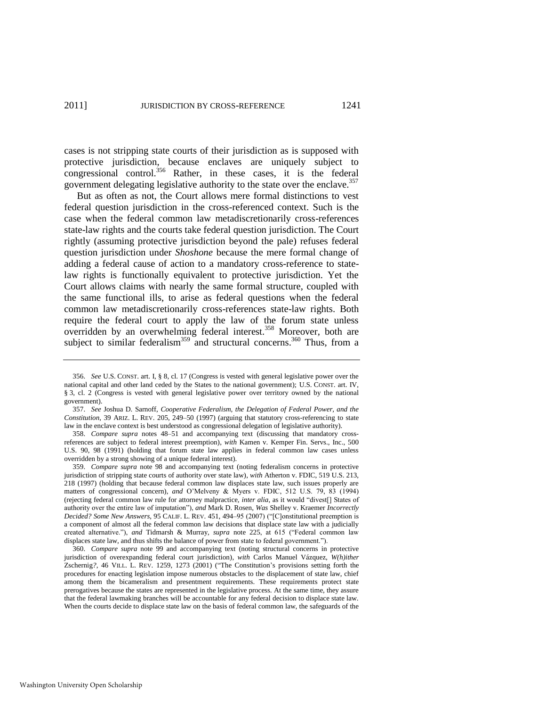cases is not stripping state courts of their jurisdiction as is supposed with protective jurisdiction, because enclaves are uniquely subject to congressional control.<sup>356</sup> Rather, in these cases, it is the federal government delegating legislative authority to the state over the enclave.<sup>357</sup>

But as often as not, the Court allows mere formal distinctions to vest federal question jurisdiction in the cross-referenced context. Such is the case when the federal common law metadiscretionarily cross-references state-law rights and the courts take federal question jurisdiction. The Court rightly (assuming protective jurisdiction beyond the pale) refuses federal question jurisdiction under *Shoshone* because the mere formal change of adding a federal cause of action to a mandatory cross-reference to statelaw rights is functionally equivalent to protective jurisdiction. Yet the Court allows claims with nearly the same formal structure, coupled with the same functional ills, to arise as federal questions when the federal common law metadiscretionarily cross-references state-law rights. Both require the federal court to apply the law of the forum state unless overridden by an overwhelming federal interest.<sup>358</sup> Moreover, both are subject to similar federalism<sup>359</sup> and structural concerns.<sup>360</sup> Thus, from a

358. *Compare supra* notes 48–51 and accompanying text (discussing that mandatory crossreferences are subject to federal interest preemption), *with* Kamen v. Kemper Fin. Servs., Inc., 500 U.S. 90, 98 (1991) (holding that forum state law applies in federal common law cases unless overridden by a strong showing of a unique federal interest).

359. *Compare supra* note 98 and accompanying text (noting federalism concerns in protective jurisdiction of stripping state courts of authority over state law), *with* Atherton v. FDIC, 519 U.S. 213, 218 (1997) (holding that because federal common law displaces state law, such issues properly are matters of congressional concern), *and* O'Melveny & Myers v. FDIC, 512 U.S. 79, 83 (1994) (rejecting federal common law rule for attorney malpractice, *inter alia*, as it would "divest[] States of authority over the entire law of imputation"), and Mark D. Rosen, *Was Shelley v. Kraemer Incorrectly Decided? Some New Answers*, 95 CALIF. L. REV. 451, 494–95 (2007) ("[C]onstitutional preemption is a component of almost all the federal common law decisions that displace state law with a judicially created alternative."), *and* Tidmarsh & Murray, *supra* note 225, at 615 ("Federal common law displaces state law, and thus shifts the balance of power from state to federal government.").

360. *Compare supra* note 99 and accompanying text (noting structural concerns in protective jurisdiction of overexpanding federal court jurisdiction), *with* Carlos Manuel Vázquez, *W(h)ither* Zschernig?, 46 VILL. L. REV. 1259, 1273 (2001) ("The Constitution's provisions setting forth the procedures for enacting legislation impose numerous obstacles to the displacement of state law, chief among them the bicameralism and presentment requirements. These requirements protect state prerogatives because the states are represented in the legislative process. At the same time, they assure that the federal lawmaking branches will be accountable for any federal decision to displace state law. When the courts decide to displace state law on the basis of federal common law, the safeguards of the

<span id="page-65-0"></span><sup>356.</sup> *See* U.S. CONST. art. I, § 8, cl. 17 (Congress is vested with general legislative power over the national capital and other land ceded by the States to the national government); U.S. CONST. art. IV, § 3, cl. 2 (Congress is vested with general legislative power over territory owned by the national government).

<sup>357.</sup> *See* Joshua D. Sarnoff, *Cooperative Federalism, the Delegation of Federal Power, and the Constitution*, 39 ARIZ. L. REV. 205, 249–50 (1997) (arguing that statutory cross-referencing to state law in the enclave context is best understood as congressional delegation of legislative authority).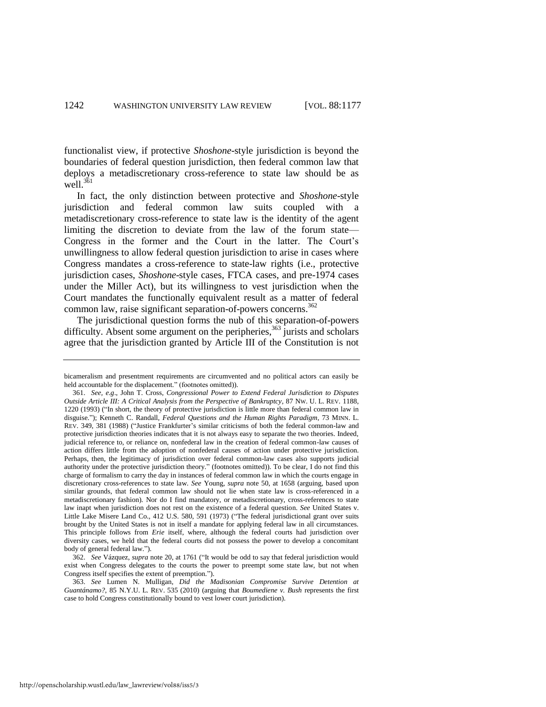functionalist view, if protective *Shoshone*-style jurisdiction is beyond the boundaries of federal question jurisdiction, then federal common law that deploys a metadiscretionary cross-reference to state law should be as well.<sup>361</sup>

<span id="page-66-0"></span>In fact, the only distinction between protective and *Shoshone*-style jurisdiction and federal common law suits coupled with a metadiscretionary cross-reference to state law is the identity of the agent limiting the discretion to deviate from the law of the forum state— Congress in the former and the Court in the latter. The Court's unwillingness to allow federal question jurisdiction to arise in cases where Congress mandates a cross-reference to state-law rights (i.e., protective jurisdiction cases, *Shoshone*-style cases, FTCA cases, and pre-1974 cases under the Miller Act), but its willingness to vest jurisdiction when the Court mandates the functionally equivalent result as a matter of federal common law, raise significant separation-of-powers concerns.<sup>362</sup>

The jurisdictional question forms the nub of this separation-of-powers difficulty. Absent some argument on the peripheries,  $363$  jurists and scholars agree that the jurisdiction granted by Article III of the Constitution is not

362. See Vázquez, *supra* note 20, at 1761 ("It would be odd to say that federal jurisdiction would exist when Congress delegates to the courts the power to preempt some state law, but not when Congress itself specifies the extent of preemption.").

363. *See* Lumen N. Mulligan, *Did the Madisonian Compromise Survive Detention at Guantánamo?*, 85 N.Y.U. L. REV. 535 (2010) (arguing that *Boumediene v. Bush* represents the first case to hold Congress constitutionally bound to vest lower court jurisdiction).

bicameralism and presentment requirements are circumvented and no political actors can easily be held accountable for the displacement." (footnotes omitted)).

<sup>361.</sup> *See, e.g*., John T. Cross, *Congressional Power to Extend Federal Jurisdiction to Disputes Outside Article III: A Critical Analysis from the Perspective of Bankruptcy*, 87 NW. U. L. REV. 1188, 1220 (1993) ("In short, the theory of protective jurisdiction is little more than federal common law in disguise.‖); Kenneth C. Randall, *Federal Questions and the Human Rights Paradigm*, 73 MINN. L. REV. 349, 381 (1988) ("Justice Frankfurter's similar criticisms of both the federal common-law and protective jurisdiction theories indicates that it is not always easy to separate the two theories. Indeed, judicial reference to, or reliance on, nonfederal law in the creation of federal common-law causes of action differs little from the adoption of nonfederal causes of action under protective jurisdiction. Perhaps, then, the legitimacy of jurisdiction over federal common-law cases also supports judicial authority under the protective jurisdiction theory." (footnotes omitted)). To be clear, I do not find this charge of formalism to carry the day in instances of federal common law in which the courts engage in discretionary cross-references to state law. *See* Young, *supra* note 50, at 1658 (arguing, based upon similar grounds, that federal common law should not lie when state law is cross-referenced in a metadiscretionary fashion). Nor do I find mandatory, or metadiscretionary, cross-references to state law inapt when jurisdiction does not rest on the existence of a federal question. *See* United States v. Little Lake Misere Land Co., 412 U.S. 580, 591 (1973) ("The federal jurisdictional grant over suits brought by the United States is not in itself a mandate for applying federal law in all circumstances. This principle follows from *Erie* itself, where, although the federal courts had jurisdiction over diversity cases, we held that the federal courts did not possess the power to develop a concomitant body of general federal law.").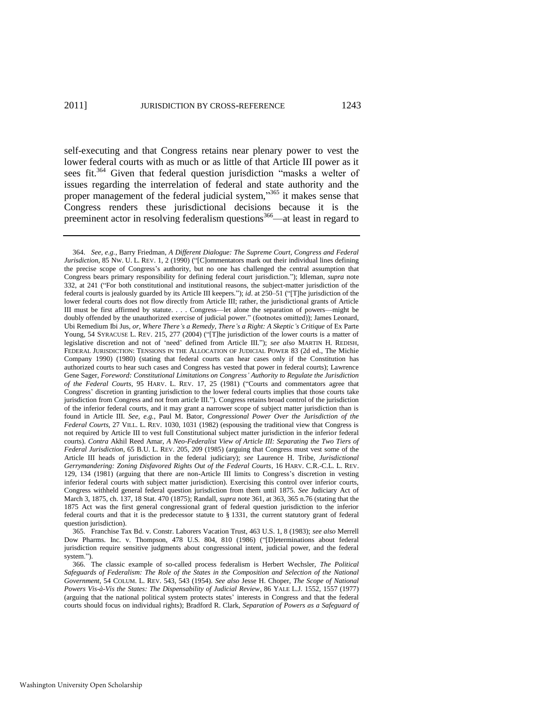<span id="page-67-0"></span>self-executing and that Congress retains near plenary power to vest the lower federal courts with as much or as little of that Article III power as it sees fit.<sup>364</sup> Given that federal question jurisdiction "masks a welter of issues regarding the interrelation of federal and state authority and the proper management of the federal judicial system,"<sup>365</sup> it makes sense that Congress renders these jurisdictional decisions because it is the preeminent actor in resolving federalism questions<sup>366</sup>—at least in regard to

365. Franchise Tax Bd. v. Constr. Laborers Vacation Trust, 463 U.S. 1, 8 (1983); *see also* Merrell Dow Pharms. Inc. v. Thompson, 478 U.S. 804, 810 (1986) ("[D]eterminations about federal jurisdiction require sensitive judgments about congressional intent, judicial power, and the federal system.").

<sup>364.</sup> *See, e.g.*, Barry Friedman, *A Different Dialogue: The Supreme Court, Congress and Federal Jurisdiction*, 85 Nw. U. L. REV. 1, 2 (1990) ("[C]ommentators mark out their individual lines defining the precise scope of Congress's authority, but no one has challenged the central assumption that Congress bears primary responsibility for defining federal court jurisdiction."); Idleman, *supra* note [332,](#page-61-0) at 241 ("For both constitutional and institutional reasons, the subject-matter jurisdiction of the federal courts is jealously guarded by its Article III keepers."); *id.* at 250–51 ("[T]he jurisdiction of the lower federal courts does not flow directly from Article III; rather, the jurisdictional grants of Article III must be first affirmed by statute. . . . Congress—let alone the separation of powers—might be doubly offended by the unauthorized exercise of judicial power." (footnotes omitted)); James Leonard, Ubi Remedium Ibi Jus*, or, Where There's a Remedy, There's a Right: A Skeptic's Critique* of Ex Parte Young, 54 SYRACUSE L. REV. 215, 277 (2004) ("[T]he jurisdiction of the lower courts is a matter of legislative discretion and not of 'need' defined from Article III."); see also MARTIN H. REDISH, FEDERAL JURISDICTION: TENSIONS IN THE ALLOCATION OF JUDICIAL POWER 83 (2d ed., The Michie Company 1990) (1980) (stating that federal courts can hear cases only if the Constitution has authorized courts to hear such cases and Congress has vested that power in federal courts); Lawrence Gene Sager, *Foreword: Constitutional Limitations on Congress' Authority to Regulate the Jurisdiction of the Federal Courts*, 95 HARV. L. REV. 17, 25 (1981) ("Courts and commentators agree that Congress' discretion in granting jurisdiction to the lower federal courts implies that those courts take jurisdiction from Congress and not from article III."). Congress retains broad control of the jurisdiction of the inferior federal courts, and it may grant a narrower scope of subject matter jurisdiction than is found in Article III. *See, e.g.*, Paul M. Bator, *Congressional Power Over the Jurisdiction of the Federal Courts*, 27 VILL. L. REV. 1030, 1031 (1982) (espousing the traditional view that Congress is not required by Article III to vest full Constitutional subject matter jurisdiction in the inferior federal courts). *Contra* Akhil Reed Amar, *A Neo-Federalist View of Article III: Separating the Two Tiers of Federal Jurisdiction*, 65 B.U. L. REV. 205, 209 (1985) (arguing that Congress must vest some of the Article III heads of jurisdiction in the federal judiciary); *see* Laurence H. Tribe, *Jurisdictional Gerrymandering: Zoning Disfavored Rights Out of the Federal Courts*, 16 HARV. C.R.-C.L. L. REV. 129, 134 (1981) (arguing that there are non-Article III limits to Congress's discretion in vesting inferior federal courts with subject matter jurisdiction). Exercising this control over inferior courts, Congress withheld general federal question jurisdiction from them until 1875. *See* Judiciary Act of March 3, 1875, ch. 137, 18 Stat. 470 (1875); Randall, *supra* not[e 361,](#page-66-0) at 363, 365 n.76 (stating that the 1875 Act was the first general congressional grant of federal question jurisdiction to the inferior federal courts and that it is the predecessor statute to § 1331, the current statutory grant of federal question jurisdiction).

<sup>366.</sup> The classic example of so-called process federalism is Herbert Wechsler, *The Political Safeguards of Federalism: The Role of the States in the Composition and Selection of the National Government*, 54 COLUM. L. REV. 543, 543 (1954). *See also* Jesse H. Choper, *The Scope of National Powers Vis-à-Vis the States: The Dispensability of Judicial Review*, 86 YALE L.J. 1552, 1557 (1977) (arguing that the national political system protects states' interests in Congress and that the federal courts should focus on individual rights); Bradford R. Clark, *Separation of Powers as a Safeguard of*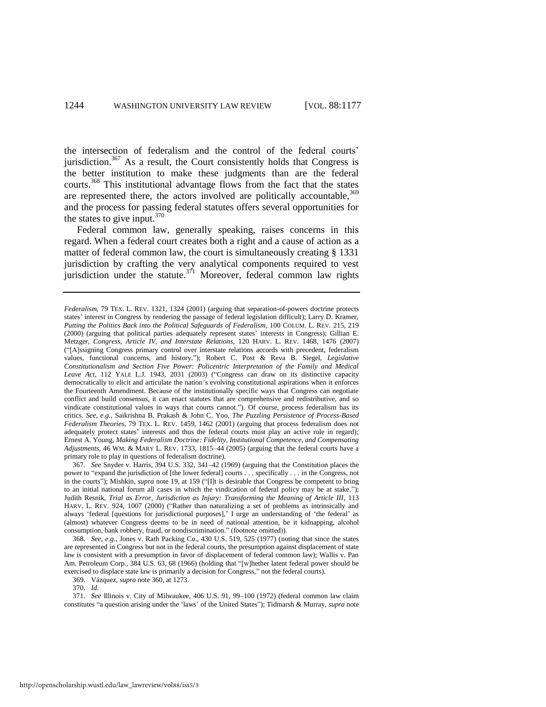the intersection of federalism and the control of the federal courts' jurisdiction.<sup>367</sup> As a result, the Court consistently holds that Congress is the better institution to make these judgments than are the federal courts.<sup>368</sup> This institutional advantage flows from the fact that the states are represented there, the actors involved are politically accountable,  $369$ and the process for passing federal statutes offers several opportunities for the states to give input.  $370$ 

Federal common law, generally speaking, raises concerns in this regard. When a federal court creates both a right and a cause of action as a matter of federal common law, the court is simultaneously creating § 1331 jurisdiction by crafting the very analytical components required to vest jurisdiction under the statute. $371$  Moreover, federal common law rights

*Federalism*, 79 TEX. L. REV. 1321, 1324 (2001) (arguing that separation-of-powers doctrine protects states' interest in Congress by rendering the passage of federal legislation difficult); Larry D. Kramer, *Putting the Politics Back into the Political Safeguards of Federalism*, 100 COLUM. L. REV. 215, 219 (2000) (arguing that political parties adequately represent states' interests in Congress); Gillian E. Metzger, *Congress, Article IV, and Interstate Relations*, 120 HARV. L. REV. 1468, 1476 (2007) (―[A]ssigning Congress primary control over interstate relations accords with precedent, federalism values, functional concerns, and history.‖); Robert C. Post & Reva B. Siegel, *Legislative Constitutionalism and Section Five Power: Policentric Interpretation of the Family and Medical*  Leave Act, 112 YALE L.J. 1943, 2031 (2003) ("Congress can draw on its distinctive capacity democratically to elicit and articulate the nation's evolving constitutional aspirations when it enforces the Fourteenth Amendment. Because of the institutionally specific ways that Congress can negotiate conflict and build consensus, it can enact statutes that are comprehensive and redistributive, and so vindicate constitutional values in ways that courts cannot."). Of course, process federalism has its critics. *See, e.g.*, Saikrishna B. Prakash & John C. Yoo, *The Puzzling Persistence of Process-Based Federalism Theories*, 79 TEX. L. REV. 1459, 1462 (2001) (arguing that process federalism does not adequately protect states' interests and thus the federal courts must play an active role in regard); Ernest A. Young, *Making Federalism Doctrine: Fidelity, Institutional Competence, and Compensating Adjustments*, 46 WM. & MARY L. REV. 1733, 1815–44 (2005) (arguing that the federal courts have a primary role to play in questions of federalism doctrine).

<sup>367.</sup> *See* Snyder v. Harris, 394 U.S. 332, 341–42 (1969) (arguing that the Constitution places the power to "expand the jurisdiction of [the lower federal] courts . . . specifically . . . in the Congress, not in the courts"); Mishkin, *supra* note 19, at 159 ("[I]t is desirable that Congress be competent to bring to an initial national forum all cases in which the vindication of federal policy may be at stake."); Judith Resnik, *Trial as Error, Jurisdiction as Injury: Transforming the Meaning of Article III*, 113 HARV. L. REV. 924, 1007 (2000) ("Rather than naturalizing a set of problems as intrinsically and always 'federal [questions for jurisdictional purposes],' I urge an understanding of 'the federal' as (almost) whatever Congress deems to be in need of national attention, be it kidnapping, alcohol consumption, bank robbery, fraud, or nondiscrimination." (footnote omitted)).

<sup>368.</sup> *See, e.g.*, Jones v. Rath Packing Co., 430 U.S. 519, 525 (1977) (noting that since the states are represented in Congress but not in the federal courts, the presumption against displacement of state law is consistent with a presumption in favor of displacement of federal common law); Wallis v. Pan Am. Petroleum Corp., 384 U.S. 63, 68 (1966) (holding that "[w]hether latent federal power should be exercised to displace state law is primarily a decision for Congress," not the federal courts).

<sup>369.</sup> Vázquez, *supra* note 360, at 1273.

<sup>370.</sup> *Id.*

<sup>371.</sup> *See* Illinois v. City of Milwaukee, 406 U.S. 91, 99–100 (1972) (federal common law claim constitutes "a question arising under the 'laws' of the United States"); Tidmarsh & Murray, *supra* note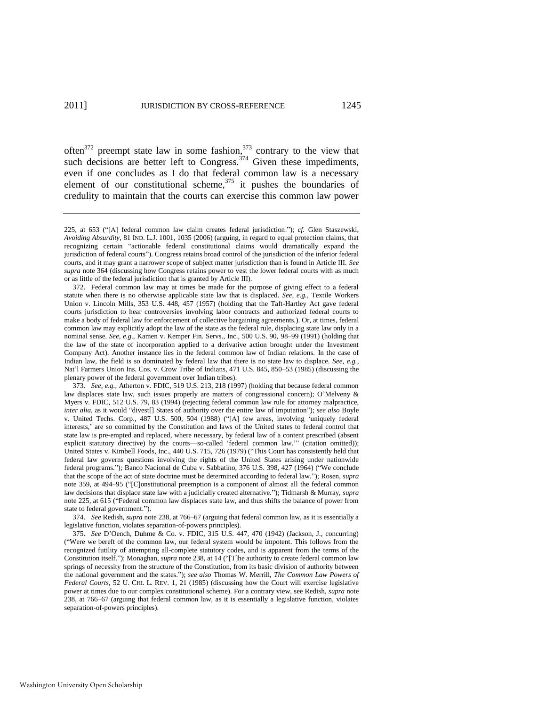often $372$  preempt state law in some fashion, $373$  contrary to the view that such decisions are better left to Congress.<sup>374</sup> Given these impediments, even if one concludes as I do that federal common law is a necessary element of our constitutional scheme,<sup>375</sup> it pushes the boundaries of credulity to maintain that the courts can exercise this common law power

[<sup>225,</sup>](#page-42-0) at 653 ("[A] federal common law claim creates federal jurisdiction."); *cf.* Glen Staszewski, *Avoiding Absurdity*, 81 IND. L.J. 1001, 1035 (2006) (arguing, in regard to equal protection claims, that recognizing certain "actionable federal constitutional claims would dramatically expand the jurisdiction of federal courts"). Congress retains broad control of the jurisdiction of the inferior federal courts, and it may grant a narrower scope of subject matter jurisdiction than is found in Article III. *See supra* note [364](#page-67-0) (discussing how Congress retains power to vest the lower federal courts with as much or as little of the federal jurisdiction that is granted by Article III).

<sup>372.</sup> Federal common law may at times be made for the purpose of giving effect to a federal statute when there is no otherwise applicable state law that is displaced. *See, e.g.*, Textile Workers Union v. Lincoln Mills, 353 U.S. 448, 457 (1957) (holding that the Taft-Hartley Act gave federal courts jurisdiction to hear controversies involving labor contracts and authorized federal courts to make a body of federal law for enforcement of collective bargaining agreements.). Or, at times, federal common law may explicitly adopt the law of the state as the federal rule, displacing state law only in a nominal sense. *See, e.g.*, Kamen v. Kemper Fin. Servs., Inc., 500 U.S. 90, 98–99 (1991) (holding that the law of the state of incorporation applied to a derivative action brought under the Investment Company Act). Another instance lies in the federal common law of Indian relations. In the case of Indian law, the field is so dominated by federal law that there is no state law to displace. *See*, *e.g.*, Nat'l Farmers Union Ins. Cos. v. Crow Tribe of Indians, 471 U.S. 845, 850–53 (1985) (discussing the plenary power of the federal government over Indian tribes).

<sup>373.</sup> *See, e.g.*, Atherton v. FDIC, 519 U.S. 213, 218 (1997) (holding that because federal common law displaces state law, such issues properly are matters of congressional concern); O'Melveny & Myers v. FDIC, 512 U.S. 79, 83 (1994) (rejecting federal common law rule for attorney malpractice, *inter alia*, as it would "divest[] States of authority over the entire law of imputation"); see also Boyle v. United Techs. Corp., 487 U.S. 500, 504 (1988) ("[A] few areas, involving 'uniquely federal interests,' are so committed by the Constitution and laws of the United states to federal control that state law is pre-empted and replaced, where necessary, by federal law of a content prescribed (absent explicit statutory directive) by the courts—so-called 'federal common law." (citation omitted)); United States v. Kimbell Foods, Inc., 440 U.S. 715, 726 (1979) ("This Court has consistently held that federal law governs questions involving the rights of the United States arising under nationwide federal programs."); Banco Nacional de Cuba v. Sabbatino, 376 U.S. 398, 427 (1964) ("We conclude that the scope of the act of state doctrine must be determined according to federal law.‖); Rosen, *supra* note [359,](#page-65-0) at 494–95 ("[C]onstitutional preemption is a component of almost all the federal common law decisions that displace state law with a judicially created alternative."); Tidmarsh & Murray, *supra* note [225,](#page-42-0) at 615 ("Federal common law displaces state law, and thus shifts the balance of power from state to federal government.").

<sup>374.</sup> *See* Redish, *supra* note 238, at 766–67 (arguing that federal common law, as it is essentially a legislative function, violates separation-of-powers principles).

<sup>375.</sup> *See* D'Oench, Duhme & Co. v. FDIC, 315 U.S. 447, 470 (1942) (Jackson, J., concurring) (―Were we bereft of the common law, our federal system would be impotent. This follows from the recognized futility of attempting all-complete statutory codes, and is apparent from the terms of the Constitution itself."); Monaghan, *supra* not[e 238,](#page-44-0) at 14 ("[T]he authority to create federal common law springs of necessity from the structure of the Constitution, from its basic division of authority between the national government and the states.‖); *see also* Thomas W. Merrill, *The Common Law Powers of Federal Courts*, 52 U. CHI. L. REV. 1, 21 (1985) (discussing how the Court will exercise legislative power at times due to our complex constitutional scheme). For a contrary view, see Redish, *supra* note 238, at 766–67 (arguing that federal common law, as it is essentially a legislative function, violates separation-of-powers principles).